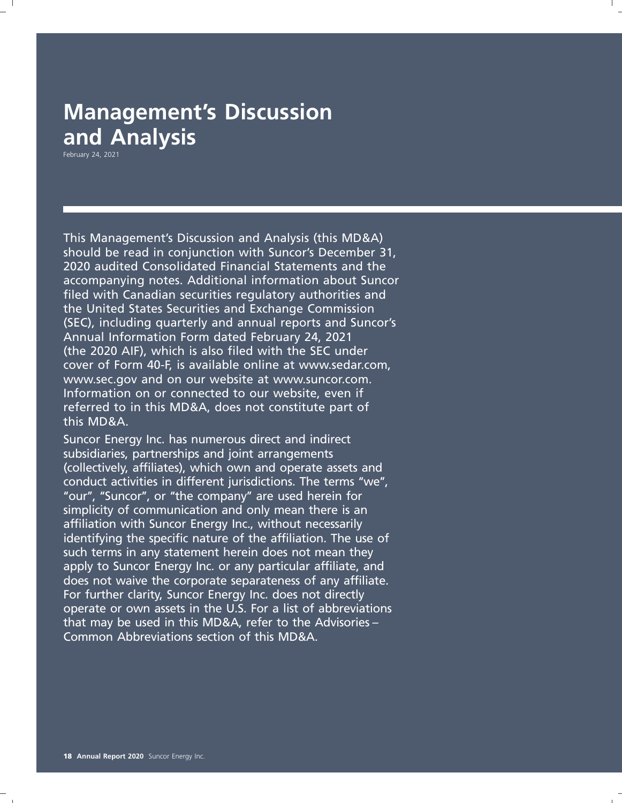## **Management's Discussion and Analysis**

February 24, 2021

This Management's Discussion and Analysis (this MD&A) should be read in conjunction with Suncor's December 31, 2020 audited Consolidated Financial Statements and the accompanying notes. Additional information about Suncor filed with Canadian securities regulatory authorities and the United States Securities and Exchange Commission (SEC), including quarterly and annual reports and Suncor's Annual Information Form dated February 24, 2021 (the 2020 AIF), which is also filed with the SEC under cover of Form 40-F, is available online at www.sedar.com, www.sec.gov and on our website at www.suncor.com. Information on or connected to our website, even if referred to in this MD&A, does not constitute part of this MD&A.

Suncor Energy Inc. has numerous direct and indirect subsidiaries, partnerships and joint arrangements (collectively, affiliates), which own and operate assets and conduct activities in different jurisdictions. The terms ''we'', "our", "Suncor", or "the company" are used herein for simplicity of communication and only mean there is an affiliation with Suncor Energy Inc., without necessarily identifying the specific nature of the affiliation. The use of such terms in any statement herein does not mean they apply to Suncor Energy Inc. or any particular affiliate, and does not waive the corporate separateness of any affiliate. For further clarity, Suncor Energy Inc. does not directly operate or own assets in the U.S. For a list of abbreviations that may be used in this MD&A, refer to the Advisories – Common Abbreviations section of this MD&A.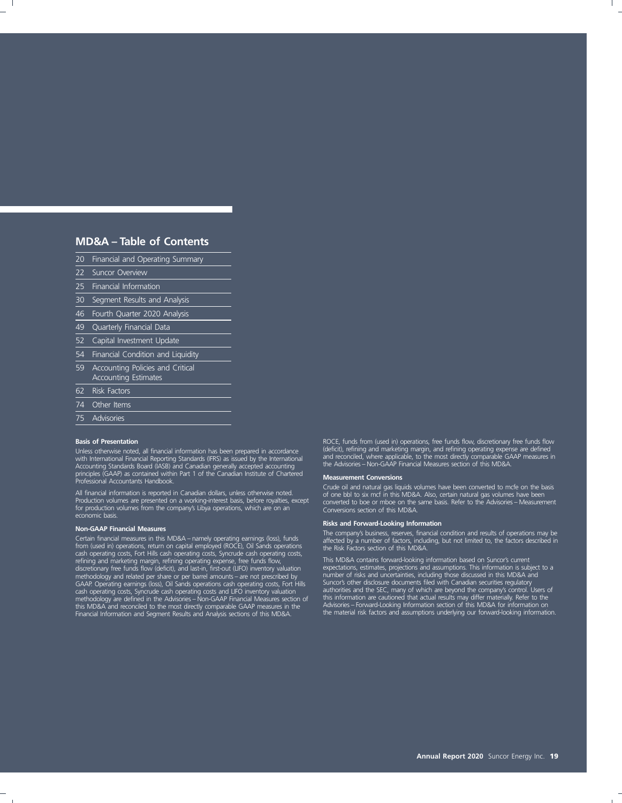### **MD&A – Table of Contents**

- 20 Financial and Operating Summary
- 22 Suncor Overview
- 25 Financial Information
- 30 Segment Results and Analysis
- 46 Fourth Quarter 2020 Analysis
- 49 Quarterly Financial Data
- 52 Capital Investment Update
- 54 Financial Condition and Liquidity
- 59 Accounting Policies and Critical Accounting Estimates
- 62 Risk Factors
- 74 Other Items
- 
- 75 Advisories

Accounting Standards Board (IASB) and Canadian generally accepted accounting the Advisories – Non-GAAP Financial Measures section of this MD&A. principles (GAAP) as contained within Part 1 of the Canadian Institute of Chartered **Measurement Conversions** Professional Accountants Handbook.

for production volumes from the company's Libya operations, which are on an Conversions section of this MD&A.<br>economic basis.

cash operating costs, Fort Hills cash operating costs, Syncrude cash operating costs,<br>
refining operating costs, This MD&A contains forward-looking information based on Suncor's current<br>
refining and marketing margin, refi this MD&A and reconciled to the most directly comparable GAAP measures in the and Advisories – Forward-Looking Information section of this MD&A for information on<br>Financial Information and Segment Results and Analysis sect

**Basis of Presentation** Roce, funds from (used in) operations, free funds flow, discretionary free funds flow Unless otherwise noted, all financial information has been prepared in accordance (deficit), refining and marketing margin, and refining operating expense are defined<br>with International Financial Reporting Standards (IFRS)

Crude oil and natural gas liquids volumes have been converted to mcfe on the basis of one bbl to six mcf in this MD&A. Also, certain natural gas volumes have been converted to boe or mboe on the same basis. Refer to the Ad

**Non-GAAP Financial Measures**<br>The company's business, reserves, financial condition and results of operations may be<br>Certain financial measures in this MD&A – namely operating earnings (loss), funds<br>from (used in) operatio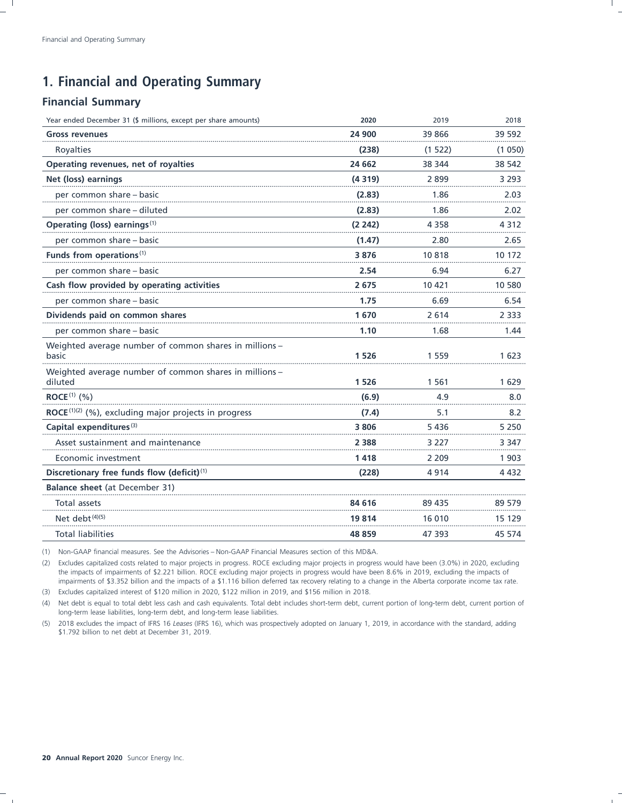### **1. Financial and Operating Summary**

### **Financial Summary**

| Year ended December 31 (\$ millions, except per share amounts)     | 2020    | 2019    | 2018    |
|--------------------------------------------------------------------|---------|---------|---------|
| <b>Gross revenues</b>                                              | 24 900  | 39 866  | 39 592  |
| Royalties                                                          | (238)   | (1522)  | (1050)  |
| Operating revenues, net of royalties                               | 24 662  | 38 344  | 38 542  |
| Net (loss) earnings                                                | (4319)  | 2899    | 3 2 9 3 |
| per common share – basic                                           | (2.83)  | 1.86    | 2.03    |
| per common share - diluted                                         | (2.83)  | 1.86    | 2.02    |
| Operating (loss) earnings <sup>(1)</sup>                           | (2 242) | 4 3 5 8 | 4 3 1 2 |
| per common share – basic                                           | (1.47)  | 2.80    | 2.65    |
| Funds from operations <sup>(1)</sup>                               | 3876    | 10818   | 10 172  |
| per common share - basic                                           | 2.54    | 6.94    | 6.27    |
| Cash flow provided by operating activities                         | 2675    | 10 421  | 10 580  |
| per common share - basic                                           | 1.75    | 6.69    | 6.54    |
| Dividends paid on common shares                                    | 1670    | 2614    | 2 3 3 3 |
| per common share - basic                                           | 1.10    | 1.68    | 1.44    |
| Weighted average number of common shares in millions -<br>basic    | 1 5 2 6 | 1559    | 1 623   |
| Weighted average number of common shares in millions -<br>diluted  | 1 5 2 6 | 1561    | 1629    |
| ROCE <sup>(1)</sup> $(\% )$                                        | (6.9)   | 4.9     | 8.0     |
| $\mathsf{ROCE}^{(1)(2)}$ (%), excluding major projects in progress | (7.4)   | 5.1     | 8.2     |
| Capital expenditures <sup>(3)</sup>                                | 3806    | 5436    | 5 2 5 0 |
| Asset sustainment and maintenance                                  | 2 3 8 8 | 3 227   | 3 3 4 7 |
| Economic investment                                                | 1418    | 2 2 0 9 | 1 903   |
| Discretionary free funds flow (deficit) <sup>(1)</sup>             | (228)   | 4914    | 4 4 3 2 |
| Balance sheet (at December 31)                                     |         |         |         |
| Total assets                                                       | 84 616  | 89 435  | 89 579  |
| Net debt <sup>(4)(5)</sup>                                         | 19 814  | 16 010  | 15 129  |
| <b>Total liabilities</b>                                           | 48 859  | 47 393  | 45 574  |

(1) Non-GAAP financial measures. See the Advisories – Non-GAAP Financial Measures section of this MD&A.

(2) Excludes capitalized costs related to major projects in progress. ROCE excluding major projects in progress would have been (3.0%) in 2020, excluding the impacts of impairments of \$2.221 billion. ROCE excluding major projects in progress would have been 8.6% in 2019, excluding the impacts of impairments of \$3.352 billion and the impacts of a \$1.116 billion deferred tax recovery relating to a change in the Alberta corporate income tax rate.

(3) Excludes capitalized interest of \$120 million in 2020, \$122 million in 2019, and \$156 million in 2018.

(4) Net debt is equal to total debt less cash and cash equivalents. Total debt includes short-term debt, current portion of long-term debt, current portion of long-term lease liabilities, long-term debt, and long-term lease liabilities.

(5) 2018 excludes the impact of IFRS 16 *Leases* (IFRS 16), which was prospectively adopted on January 1, 2019, in accordance with the standard, adding \$1.792 billion to net debt at December 31, 2019.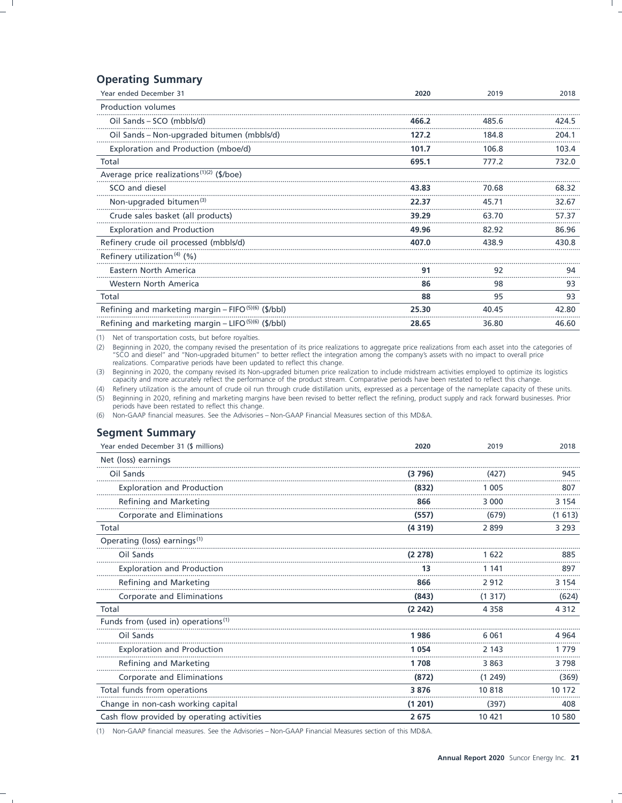### **Operating Summary**

| Year ended December 31                                          | 2020  | 2019  | 2018  |
|-----------------------------------------------------------------|-------|-------|-------|
| <b>Production volumes</b>                                       |       |       |       |
| Oil Sands - SCO (mbbls/d)                                       | 466.2 | 485.6 | 424.5 |
| Oil Sands - Non-upgraded bitumen (mbbls/d)                      | 127.2 | 184.8 | 204.1 |
| Exploration and Production (mboe/d)                             | 101.7 | 106.8 | 103.4 |
| Total                                                           | 695.1 | 777.2 | 732.0 |
| Average price realizations <sup>(1)(2)</sup> (\$/boe)           |       |       |       |
| SCO and diesel                                                  | 43.83 | 70.68 | 68.32 |
| Non-upgraded bitumen <sup>(3)</sup>                             | 22.37 | 45.71 | 32.67 |
| Crude sales basket (all products)                               | 39.29 | 63.70 | 57.37 |
| <b>Exploration and Production</b>                               | 49.96 | 82.92 | 86.96 |
| Refinery crude oil processed (mbbls/d)                          | 407.0 | 438.9 | 430.8 |
| Refinery utilization <sup>(4)</sup> $(%)$                       |       |       |       |
| Eastern North America                                           | 91    | 92    | 94    |
| Western North America                                           | 86    | 98    | 93    |
| Total                                                           | 88    | 95    | 93    |
| Refining and marketing margin - FIFO <sup>(5)(6)</sup> (\$/bbl) | 25.30 | 40.45 | 42.80 |
| Refining and marketing margin – LIFO $(5)(6)$ (\$/bbl)          | 28.65 | 36.80 | 46.60 |

(1) Net of transportation costs, but before royalties.

(2) Beginning in 2020, the company revised the presentation of its price realizations to aggregate price realizations from each asset into the categories of "SCO and diesel" and "Non-upgraded bitumen" to better reflect the realizations. Comparative periods have been updated to reflect this change.

(3) Beginning in 2020, the company revised its Non-upgraded bitumen price realization to include midstream activities employed to optimize its logistics capacity and more accurately reflect the performance of the product stream. Comparative periods have been restated to reflect this change.

(4) Refinery utilization is the amount of crude oil run through crude distillation units, expressed as a percentage of the nameplate capacity of these units.

(5) Beginning in 2020, refining and marketing margins have been revised to better reflect the refining, product supply and rack forward businesses. Prior periods have been restated to reflect this change.

(6) Non-GAAP financial measures. See the Advisories - Non-GAAP Financial Measures section of this MD&A.

### **Segment Summary**

| Year ended December 31 (\$ millions)           | 2020    | 2019    | 2018    |
|------------------------------------------------|---------|---------|---------|
| Net (loss) earnings                            |         |         |         |
| Oil Sands                                      | (3796)  | (427)   | 945     |
| <b>Exploration and Production</b>              | (832)   | 1 0 0 5 | 807     |
| Refining and Marketing                         | 866     | 3 000   | 3 1 5 4 |
| Corporate and Eliminations                     | (557)   | (679)   | (1613)  |
| Total                                          | (4319)  | 2899    | 3 2 9 3 |
| Operating (loss) earnings <sup>(1)</sup>       |         |         |         |
| Oil Sands                                      | (2278)  | 1622    | 885     |
| <b>Exploration and Production</b>              | 13      | 1 141   | 897     |
| Refining and Marketing                         | 866     | 2912    | 3 1 5 4 |
| Corporate and Eliminations                     | (843)   | (1317)  | (624)   |
| Total                                          | (2 242) | 4 3 5 8 | 4 3 1 2 |
| Funds from (used in) operations <sup>(1)</sup> |         |         |         |
| Oil Sands                                      | 1986    | 6061    | 4 9 6 4 |
| <b>Exploration and Production</b>              | 1 054   | 2 1 4 3 | 1779    |
| Refining and Marketing                         | 1 708   | 3863    | 3798    |
| Corporate and Eliminations                     | (872)   | (1249)  | (369)   |
| Total funds from operations                    | 3876    | 10818   | 10 172  |
| Change in non-cash working capital             | (1 201) | (397)   | 408     |
| Cash flow provided by operating activities     | 2675    | 10 421  | 10 580  |

(1) Non-GAAP financial measures. See the Advisories - Non-GAAP Financial Measures section of this MD&A.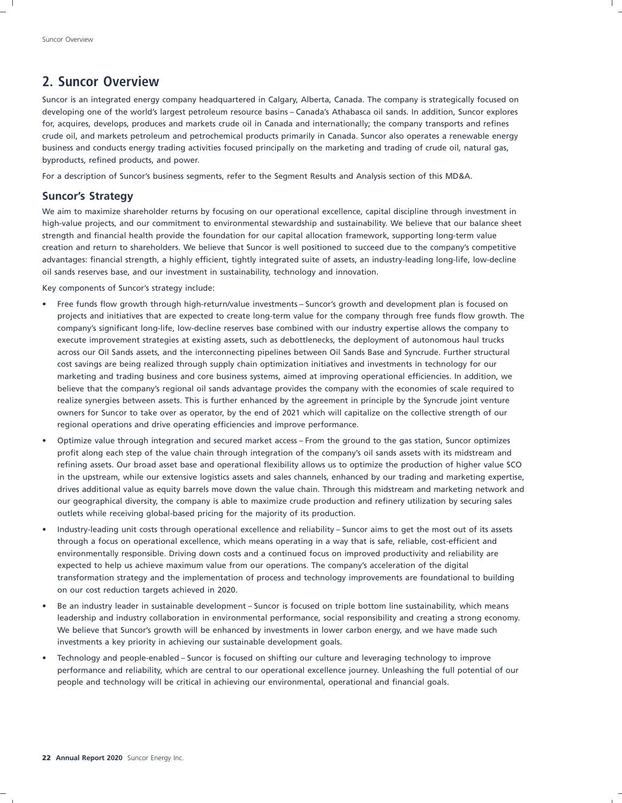### **2. Suncor Overview**

Suncor is an integrated energy company headquartered in Calgary, Alberta, Canada. The company is strategically focused on developing one of the world's largest petroleum resource basins – Canada's Athabasca oil sands. In addition, Suncor explores for, acquires, develops, produces and markets crude oil in Canada and internationally; the company transports and refines crude oil, and markets petroleum and petrochemical products primarily in Canada. Suncor also operates a renewable energy business and conducts energy trading activities focused principally on the marketing and trading of crude oil, natural gas, byproducts, refined products, and power.

For a description of Suncor's business segments, refer to the Segment Results and Analysis section of this MD&A.

### **Suncor's Strategy**

We aim to maximize shareholder returns by focusing on our operational excellence, capital discipline through investment in high-value projects, and our commitment to environmental stewardship and sustainability. We believe that our balance sheet strength and financial health provide the foundation for our capital allocation framework, supporting long-term value creation and return to shareholders. We believe that Suncor is well positioned to succeed due to the company's competitive advantages: financial strength, a highly efficient, tightly integrated suite of assets, an industry-leading long-life, low-decline oil sands reserves base, and our investment in sustainability, technology and innovation.

Key components of Suncor's strategy include:

- Free funds flow growth through high-return/value investments Suncor's growth and development plan is focused on projects and initiatives that are expected to create long-term value for the company through free funds flow growth. The company's significant long-life, low-decline reserves base combined with our industry expertise allows the company to execute improvement strategies at existing assets, such as debottlenecks, the deployment of autonomous haul trucks across our Oil Sands assets, and the interconnecting pipelines between Oil Sands Base and Syncrude. Further structural cost savings are being realized through supply chain optimization initiatives and investments in technology for our marketing and trading business and core business systems, aimed at improving operational efficiencies. In addition, we believe that the company's regional oil sands advantage provides the company with the economies of scale required to realize synergies between assets. This is further enhanced by the agreement in principle by the Syncrude joint venture owners for Suncor to take over as operator, by the end of 2021 which will capitalize on the collective strength of our regional operations and drive operating efficiencies and improve performance.
- Optimize value through integration and secured market access From the ground to the gas station, Suncor optimizes profit along each step of the value chain through integration of the company's oil sands assets with its midstream and refining assets. Our broad asset base and operational flexibility allows us to optimize the production of higher value SCO in the upstream, while our extensive logistics assets and sales channels, enhanced by our trading and marketing expertise, drives additional value as equity barrels move down the value chain. Through this midstream and marketing network and our geographical diversity, the company is able to maximize crude production and refinery utilization by securing sales outlets while receiving global-based pricing for the majority of its production.
- Industry-leading unit costs through operational excellence and reliability Suncor aims to get the most out of its assets through a focus on operational excellence, which means operating in a way that is safe, reliable, cost-efficient and environmentally responsible. Driving down costs and a continued focus on improved productivity and reliability are expected to help us achieve maximum value from our operations. The company's acceleration of the digital transformation strategy and the implementation of process and technology improvements are foundational to building on our cost reduction targets achieved in 2020.
- Be an industry leader in sustainable development Suncor is focused on triple bottom line sustainability, which means leadership and industry collaboration in environmental performance, social responsibility and creating a strong economy. We believe that Suncor's growth will be enhanced by investments in lower carbon energy, and we have made such investments a key priority in achieving our sustainable development goals.
- Technology and people-enabled Suncor is focused on shifting our culture and leveraging technology to improve performance and reliability, which are central to our operational excellence journey. Unleashing the full potential of our people and technology will be critical in achieving our environmental, operational and financial goals.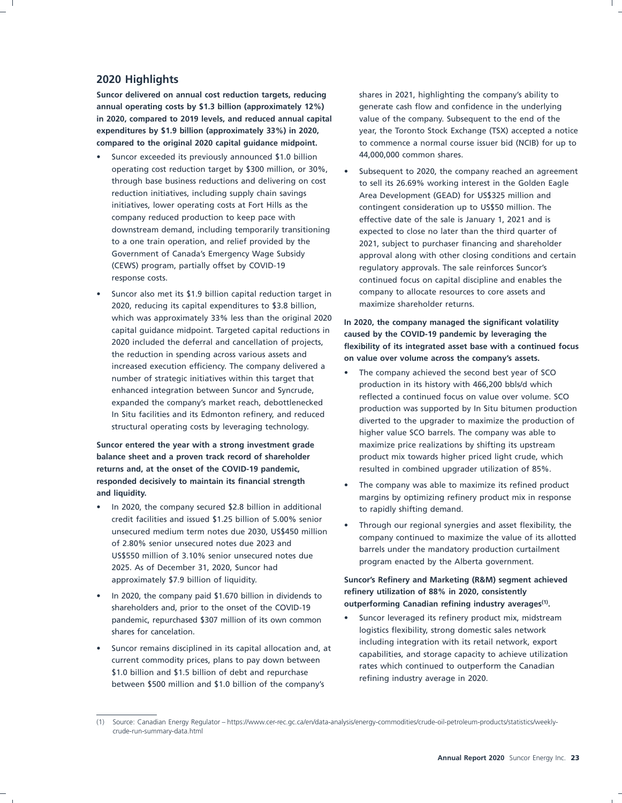### **2020 Highlights**

**Suncor delivered on annual cost reduction targets, reducing** shares in 2021, highlighting the company's ability to **annual operating costs by \$1.3 billion (approximately 12%)** generate cash flow and confidence in the underlying **in 2020, compared to 2019 levels, and reduced annual capital** value of the company. Subsequent to the end of the **expenditures by \$1.9 billion (approximately 33%) in 2020,** year, the Toronto Stock Exchange (TSX) accepted a notice **compared to the original 2020 capital guidance midpoint.** to commence a normal course issuer bid (NCIB) for up to

- Suncor exceeded its previously announced \$1.0 billion 44,000,000 common shares. operating cost reduction target by \$300 million, or 30%, • Subsequent to 2020, the company reached an agreement reduction initiatives, including supply chain savings Area Development (GEAD) for US\$325 million and initiatives, lower operating costs at Fort Hills as the contingent consideration up to US\$50 million. The company reduced production to keep pace with effective date of the sale is lanuary 1, 2021 and is downstream demand, including temporarily transitioning expected to close no later than the third quarter of to a one train operation, and relief provided by the 2021, subject to purchaser financing and shareholder
- 2020, reducing its capital expenditures to  $$3.8$  billion, which was approximately 33% less than the original 2020 **In 2020, the company managed the significant volatility**<br>capital quidance midpoint. Targeted capital reductions in **According the COVID 10 pondamis by lowsgrips the** capital guidance midpoint. Targeted capital reductions in **caused by the COVID-19 pandemic by leveraging the**<br>2020 included the deferral and cancellation of projects, *Alouibility of its integrated asset hase with a senti* the reduction in spending across various assets and **on value over volume across the company's assets.**

returns and, at the onset of the COVID-19 pandemic, resulted in combined upgrader utilization of 85%. **responded decisively to maintain its financial strength** • The company was able to maximize its refined product<br>and liquidity.

- In 2020, the company secured \$2.8 billion in additional to rapidly shifting demand. credit facilities and issued \$1.25 billion of 5.00% senior<br>
unsecured medium term notes due 2030, US\$450 million<br>
of 2.80% senior unsecured notes due 2023 and<br>
US\$550 million of 3.10% senior unsecured notes due<br>
2025. As o
- shareholders and, prior to the onset of the COVID-19<br>**outperforming Canadian refining industry averages** of the one of the own common **b** Suncor leveraged its refinery product mix, midstream pandemic, repurchased \$307 million of its own common shares for cancelation. logistics flexibility, strong domestic sales network
- Suncor remains disciplined in its capital allocation and, at current commodity prices, plans to pay down between<br>
\$1.0 billion and \$1.5 billion of debt and repurchase<br>
between \$500 million and \$1.0 billion of the company

through base business reductions and delivering on cost to sell its 26.69% working interest in the Golden Eagle effective date of the sale is January 1, 2021 and is 2021, subject to purchaser financing and shareholder Government of Canada's Emergency Wage Subsidy approval along with other closing conditions and certain<br>(CEWS) program, partially offset by COVID-19 requlatory approvals. The sale reinforces Suncor's requiatory approvals. The sale reinforces Suncor's response costs. continued focus on capital discipline and enables the • Suncor also met its \$1.9 billion capital reduction target in company to allocate resources to core assets and

2020 included the deferral and cancellation of projects, **flexibility of its integrated asset base with a continued focus**

- increased execution efficiency. The company delivered a<br>
number of strategic initiatives within this target that<br>
enhanced integration between Suncor and Syncrude,<br>
expanded the company's market reach, debottlenecked<br>
In S **Suncor entered the year with a strong investment grade** maximize price realizations by shifting its upstream **balance sheet and a proven track record of shareholder** product mix towards higher priced light crude, which
	- margins by optimizing refinery product mix in response
	-

approximately \$7.9 billion of liquidity. **Suncor's Refinery and Marketing (R&M) segment achieved** In 2020, the company paid \$1.670 billion in dividends to **refinery utilization of 88% in 2020, consistently**<br>
charabelders and prior to the const of the COVID 19 **outperforming Canadian refining industry averages**<sup>(1)</sup>.

<sup>(1)</sup> Source: Canadian Energy Regulator – https://www.cer-rec.gc.ca/en/data-analysis/energy-commodities/crude-oil-petroleum-products/statistics/weeklycrude-run-summary-data.html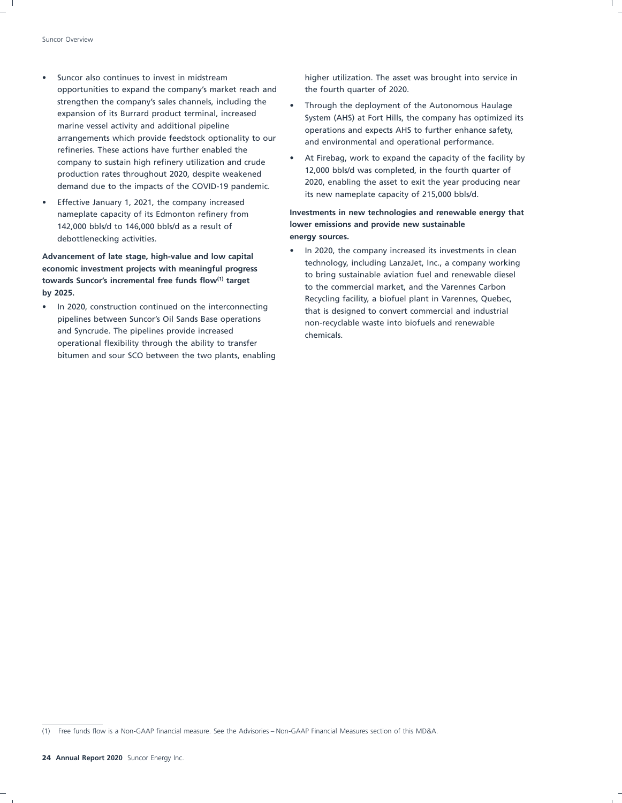- opportunities to expand the company's market reach and the fourth quarter of 2020. strengthen the company's sales channels, including the • Through the deployment of the Autonomous Haulage<br>expansion of its Burrard product terminal, increased<br>expansion of its Burrard product terminal, increased marine vessel activity and additional pipeline operations and expects AHS to further enhance safety,<br>arrangements which provide feedstock optionality to our and environmental and encertional performance. refineries. These actions have further enabled the demand due to the impacts of the COVID-19 pandemic.
- Effective January 1, 2021, the company increased 142,000 bbls/d to 146,000 bbls/d as a result of **lower emissions and provide new sustainable** debottlenecking activities. **energy sources.**

and Syncrude. The pipelines provide increased operational flexibility through the ability to transfer bitumen and sour SCO between the two plants, enabling

• Suncor also continues to invest in midstream higher utilization. The asset was brought into service in

- expansion of its Burrard product terminal, increased System (AHS) at Fort Hills, the company has optimized its<br>marine vessel activity and additional pipeline state of a possible connects AHS to further ophance safety and environmental and operational performance.
- e At Firebag, work to expand the capacity of the facility by<br>
reduction rates throughout 2020, despite weakened<br>
12,000 bbls/d was completed, in the fourth quarter of production rates throughout 2020, despite weakened<br>demand due to the impacts of the COVID-19 pandemic<br>2020, enabling the asset to exit the year producing near its new nameplate capacity of 215,000 bbls/d.

# nameplate capacity of its Edmonton refinery from **Investments in new technologies and renewable energy that**

Advancement of late stage, high-value and low capital<br>
economic investments in clean<br>
technology, including LanzaJet, Inc., a company working<br>
to bring sustainable aviation fuel and renewable diesel<br>
by 2025.<br>
by 2025.<br>
by In 2020, construction continued on the interconnecting that is designed to convert commercial and industrial pipelines between Suncor's Oil Sands Base operations non-recyclable waste into biofuels and renewable

<sup>(1)</sup> Free funds flow is a Non-GAAP financial measure. See the Advisories – Non-GAAP Financial Measures section of this MD&A.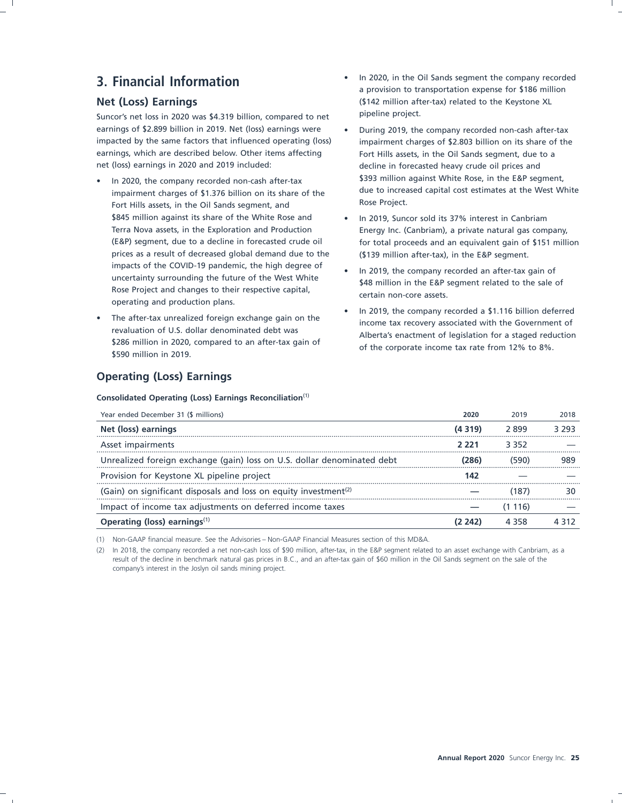Suncor's net loss in 2020 was \$4.319 billion, compared to net pipeline project. earnings of \$2.899 billion in 2019. Net (loss) earnings were • During 2019, the company recorded non-cash after-tax impacted by the same factors that influenced operating (loss) impairment charges of \$2.803 billion on its share of the earnings, which are described below. Other items affecting Fort Hills assets, in the Oil Sands segment, due to a net (loss) earnings in 2020 and 2019 included: decline in forecasted heavy crude oil prices and

- impairment charges of \$1.376 billion on its share of the and the Rose Project.<br>Fort Hills assets in the Oil Sands segment, and and Rose Project. Fort Hills assets, in the Oil Sands segment, and \$845 million against its share of the White Rose and • In 2019, Suncor sold its 37% interest in Canbriam prices as a result of decreased global demand due to the (\$139 million after-tax), in the E&P segment. impacts of the COVID-19 pandemic, the high degree of the 2019, the company recorded an after-tax gain of uncertainty surrounding the future of the West White<br>Rose Project and changes to their respective capital,<br>Rose Proje operating and production plans.
- The after-tax unrealized foreign exchange gain on the revaluation of U.S. dollar denominated debt was<br>
\$286 million in 2020, compared to an after-tax gain of<br>
\$590 million in 2019.

### **Operating (Loss) Earnings**

**Consolidated Operating (Loss) Earnings Reconciliation**(1)

- **3. Financial Information 3. Financial Information 1. In 2020** in the Oil Sands segment the company recorded a provision to transportation expense for \$186 million **Net (Loss) Earnings Constant Constant Constant Constant Constant Constant Constant Constant Constant Constant Constant Constant Constant Constant Constant Constant Constant Constant Constant Constant Constant Constant C** 
	- In 2020, the company recorded non-cash after-tax<br>impairment charges of \$1.376 billion on its share of the due to increased capital cost estimates at the West White
	- Terra Nova assets, in the Exploration and Production Energy Inc. (Canbriam), a private natural gas company, (E&P) segment, due to a decline in forecasted crude oil for total proceeds and an equivalent gain of \$151 million
		-
		-

| Year ended December 31 (\$ millions)                                         | 2020    | 2019  | 2018  |
|------------------------------------------------------------------------------|---------|-------|-------|
| Net (loss) earnings                                                          | (4 319) | 2.899 | 3 293 |
| Asset impairments                                                            | 2 2 2 1 | 3352  |       |
| Unrealized foreign exchange (gain) loss on U.S. dollar denominated debt      | (286)   | (590) |       |
| Provision for Keystone XL pipeline project                                   | 142     |       |       |
| (Gain) on significant disposals and loss on equity investment <sup>(2)</sup> |         |       |       |
| Impact of income tax adjustments on deferred income taxes                    |         | 116)  |       |
| Operating (loss) earnings $(1)$                                              |         |       |       |

(1) Non-GAAP financial measure. See the Advisories – Non-GAAP Financial Measures section of this MD&A.

(2) In 2018, the company recorded a net non-cash loss of \$90 million, after-tax, in the E&P segment related to an asset exchange with Canbriam, as a result of the decline in benchmark natural gas prices in B.C., and an after-tax gain of \$60 million in the Oil Sands segment on the sale of the company's interest in the Joslyn oil sands mining project.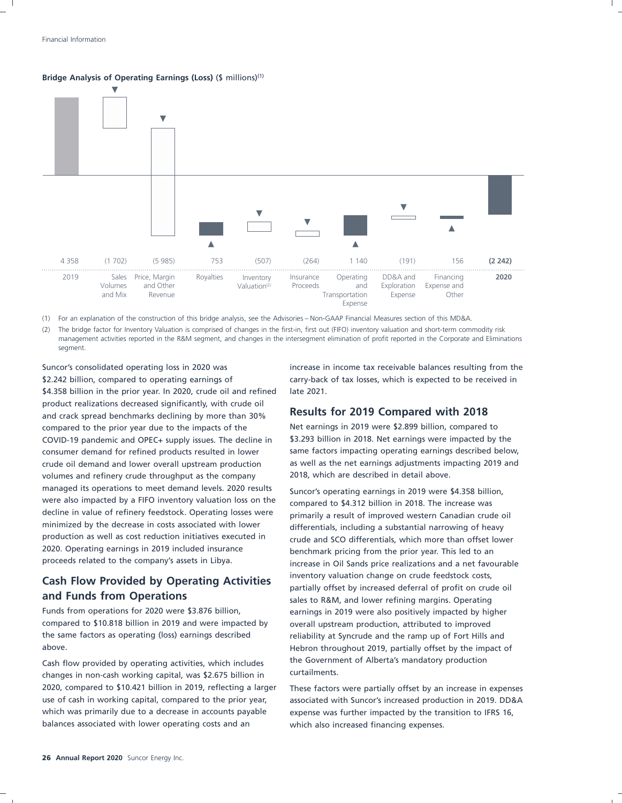



(1) For an explanation of the construction of this bridge analysis, see the Advisories – Non-GAAP Financial Measures section of this MD&A.

The bridge factor for Inventory Valuation is comprised of changes in the first-in, first out (FIFO) inventory valuation and short-term commodity risk management activities reported in the R&M segment, and changes in the intersegment elimination of profit reported in the Corporate and Eliminations segment.

\$2.242 billion, compared to operating earnings of carry-back of tax losses, which is expected to be received in \$4.358 billion in the prior year. In 2020, crude oil and refined late 2021. product realizations decreased significantly, with crude oil and crack spread benchmarks declining by more than 30% **Results for 2019 Compared with 2018** compared to the prior year due to the impacts of the Net earnings in 2019 were \$2.899 billion, compared to COVID-19 pandemic and OPEC+ supply issues. The decline in \$3.293 billion in 2018. Net earnings were impacted by the consumer demand for refined products resulted in lower same factors impacting operating earnings described below, crude oil demand and lower overall upstream production as well as the net earnings adjustments impacting 2019 and volumes and refinery crude throughput as the company 2018, which are described in detail above. managed its operations to meet demand levels. 2020 results suncor's operating earnings in 2019 were \$4.358 billion,<br>were also impacted by a FIFO inventory valuation loss on the compared to \$4.312 billion in 2018. The incre were also impacted by a FIFO inventory valuation loss on the compared to \$4.312 billion in 2018. The increase was<br>decline in value of refinery feedstock. Operating losses were comparily a result of improved western Capadia decline in value of refinery feedstock. Operating losses were primarily a result of improved western Canadian crude oil<br>minimized by the decrease in costs associated with lower alternatials including a substantial narrowin minimized by the decrease in costs associated with lower differentials, including a substantial narrowing of heavy<br>production as well as cost reduction initiatives executed in erude and SCO differentials, which more than o production as well as cost reduction initiatives executed in errude and SCO differentials, which more than offset lower<br>2020. Operating earnings in 2019 included insurance benchmark pricing from the prior vear. This led to 2020. Operating earnings in 2019 included insurance benchmark pricing from the prior year. This led to an proceeds related to the company's assets in Libya.

compared to \$10.818 billion in 2019 and were impacted by overall upstream production, attributed to improved the same factors as operating (loss) earnings described reliability at Syncrude and the ramp up of Fort Hills and above. Hebron throughout 2019, partially offset by the impact of

changes in non-cash working capital, was \$2.675 billion in 2020, compared to \$10.421 billion in 2019, reflecting a larger These factors were partially offset by an increase in expenses use of cash in working capital, compared to the prior year, associated with Suncor's increased production in 2019. DD&A which was primarily due to a decrease in accounts payable expense was further impacted by the transition to IFRS 16, balances associated with lower operating costs and an which also increased financing expenses.

Suncor's consolidated operating loss in 2020 was increase in income tax receivable balances resulting from the

increase in Oil Sands price realizations and a net favourable **Cash Flow Provided by Operating Activities** inventory valuation change on crude feedstock costs,<br> **Cash Flow Provided by Operations** partially offset by increased deferral of profit on crude oil sales to R&M, and lower refining margins. Operating Funds from operations for 2020 were \$3.876 billion, earnings in 2019 were also positively impacted by higher Cash flow provided by operating activities, which includes the Government of Alberta's mandatory production cannos changes in pop-cash working canital was \$2.675 billion in curtailments.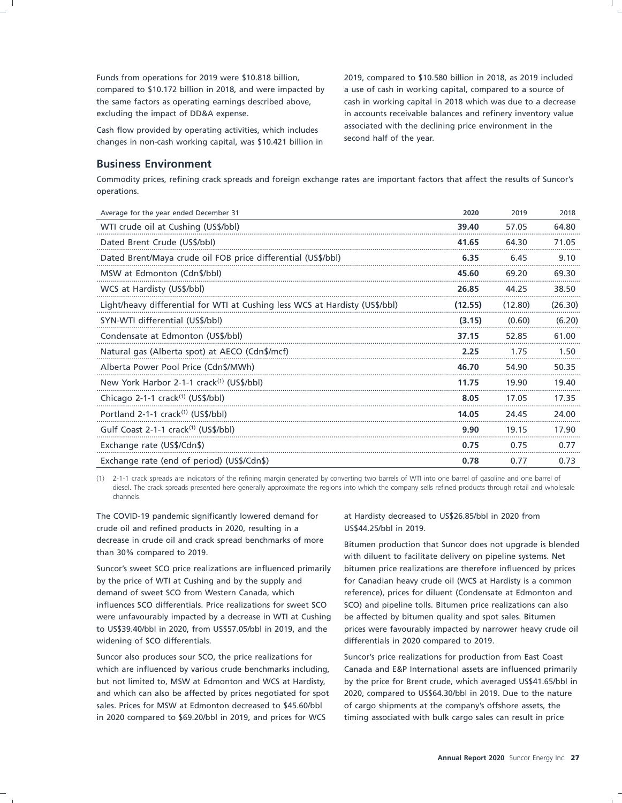Funds from operations for 2019 were \$10.818 billion, 2019, compared to \$10.580 billion in 2018, as 2019 included compared to \$10.172 billion in 2018, and were impacted by a use of cash in working capital, compared to a source of the same factors as operating earnings described above, cash in working capital in 2018 which was due to a decrease excluding the impact of DD&A expense. in accounts receivable balances and refinery inventory value

changes in non-cash working capital, was \$10.421 billion in

# Cash flow provided by operating activities, which includes associated with the declining price environment in the changes in non-cash working conital was \$10.421 billion in Second half of the year.

### **Business Environment**

Commodity prices, refining crack spreads and foreign exchange rates are important factors that affect the results of Suncor's operations.

| Average for the year ended December 31                                      | 2020    | 2019    | 2018    |
|-----------------------------------------------------------------------------|---------|---------|---------|
| WTI crude oil at Cushing (US\$/bbl)                                         | 39.40   | 57.05   | 64.80   |
| Dated Brent Crude (US\$/bbl)                                                | 41.65   | 64.30   | 71.05   |
| Dated Brent/Maya crude oil FOB price differential (US\$/bbl)                | 6.35    | 6.45    | 9.10    |
| MSW at Edmonton (Cdn\$/bbl)                                                 | 45.60   | 69.20   | 69.30   |
| WCS at Hardisty (US\$/bbl)                                                  | 26.85   | 44.25   | 38.50   |
| Light/heavy differential for WTI at Cushing less WCS at Hardisty (US\$/bbl) | (12.55) | (12.80) | (26.30) |
| SYN-WTI differential (US\$/bbl)                                             | (3.15)  | (0.60)  | (6.20)  |
| Condensate at Edmonton (US\$/bbl)                                           | 37.15   | 52.85   | 61.00   |
| Natural gas (Alberta spot) at AECO (Cdn\$/mcf)                              | 2.25    | 1.75    | 1.50    |
| Alberta Power Pool Price (Cdn\$/MWh)                                        | 46.70   | 54.90   | 50.35   |
| New York Harbor 2-1-1 crack <sup>(1)</sup> (US\$/bbl)                       | 11.75   | 19.90   | 19.40   |
| Chicago 2-1-1 crack $(1)$ (US\$/bbl)                                        | 8.05    | 17.05   | 17.35   |
| Portland 2-1-1 crack <sup>(1)</sup> (US\$/bbl)                              | 14.05   | 24.45   | 24.00   |
| Gulf Coast 2-1-1 crack <sup>(1)</sup> (US\$/bbl)                            | 9.90    | 19.15   | 17.90   |
| Exchange rate (US\$/Cdn\$)                                                  | 0.75    | 0.75    | 0.77    |
| Exchange rate (end of period) (US\$/Cdn\$)                                  | 0.78    | 0.77    | 0.73    |

(1) 2-1-1 crack spreads are indicators of the refining margin generated by converting two barrels of WTI into one barrel of gasoline and one barrel of diesel. The crack spreads presented here generally approximate the regions into which the company sells refined products through retail and wholesale channels.

The COVID-19 pandemic significantly lowered demand for at Hardisty decreased to US\$26.85/bbl in 2020 from crude oil and refined products in 2020, resulting in a US\$44.25/bbl in 2019. decrease in crude oil and crack spread benchmarks of more<br>than 30% compared to 2019.<br>with dilugat to facilitate delivery on pineling systems. Net

Suncor's sweet SCO price realizations are influenced primarily bitumen price realizations are therefore influenced by prices by the price of WTI at Cushing and by the supply and for Canadian heavy crude oil (WCS at Hardisty is a common demand of sweet SCO from Western Canada, which reference), prices for diluent (Condensate at Edmonton and influences SCO differentials. Price realizations for sweet SCO SCO) and pipeline tolls. Bitumen price realizations can also were unfavourably impacted by a decrease in WTI at Cushing be affected by bitumen quality and spot sales. Bitumen to US\$39.40/bbl in 2020, from US\$57.05/bbl in 2019, and the prices were favourably impacted by narrower heavy crude oil widening of SCO differentials.  $\qquad \qquad$  differentials in 2020 compared to 2019.

Suncor also produces sour SCO, the price realizations for Suncor's price realizations for production from East Coast and which can also be affected by prices negotiated for spot 2020, compared to US\$64.30/bbl in 2019. Due to the nature sales. Prices for MSW at Edmonton decreased to \$45.60/bbl of cargo shipments at the company's offshore assets, the in 2020 compared to \$69.20/bbl in 2019, and prices for WCS timing associated with bulk cargo sales can result in price

with diluent to facilitate delivery on pipeline systems. Net

which are influenced by various crude benchmarks including, Canada and E&P International assets are influenced primarily but not limited to, MSW at Edmonton and WCS at Hardisty, by the price for Brent crude, which averaged US\$41.65/bbl in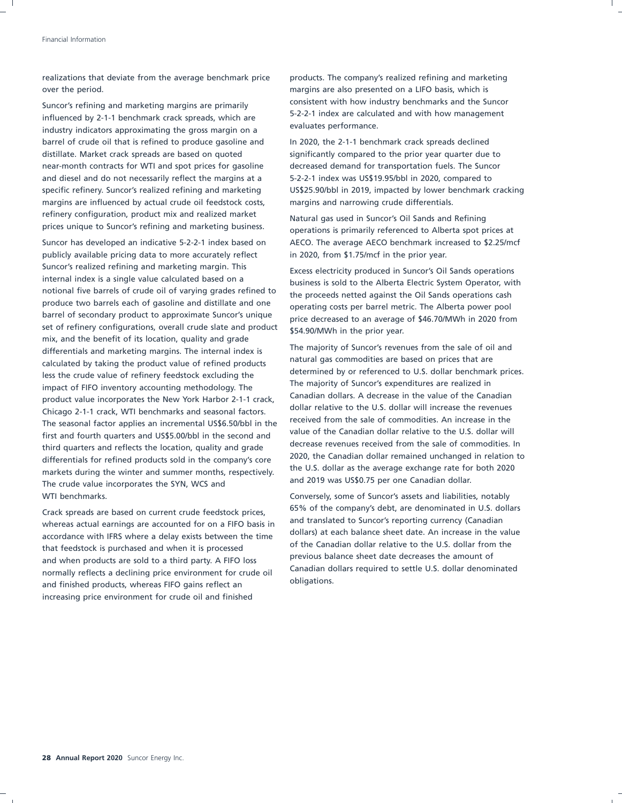realizations that deviate from the average benchmark price products. The company's realized refining and marketing over the period. margins are also presented on a LIFO basis, which is

influenced by 2-1-1 benchmark crack spreads, which are  $\frac{5-2-2-1}{2}$  index are calculated by 2-1-1 benchmark crack spreads, which are  $\frac{5-2-2-1}{2}$  index are calculated by 2-1-1 benchmark crack spreads, which are eval industry indicators approximating the gross margin on a barrel of crude oil that is refined to produce gasoline and In 2020, the 2-1-1 benchmark crack spreads declined distillate. Market crack spreads are based on quoted significantly compared to the prior year quarter due to near-month contracts for WTI and spot prices for gasoline decreased demand for transportation fuels. The Suncor and diesel and do not necessarily reflect the margins at a 5-2-2-1 index was US\$19.95/bbl in 2020, compared to margins are influenced by actual crude oil feedstock costs, margins and narrowing crude differentials. refinery configuration, product mix and realized market Natural gas used in Suncor's Oil Sands and Refining<br>
prices unique to Suncor's refining and marketing business. Approximations is primarily referenced to Alberta spot

publicly available pricing data to more accurately reflect in 2020, from \$1.75/mcf in the prior year. Suncor's realized refining and marketing margin. This Excess electricity produced in Suncor's Oil Sands operations<br>
internal index is a single value calculated based on a business is sold to the Alberta Electric System Ope internal index is a single value calculated based on a business is sold to the Alberta Electric System Operator, with notional five barrels of crude oil of varying grades refined to the proceeds netted against the Qil Sand notional five barrels of crude oil of varying grades refined to the proceeds netted against the Oil Sands operations cash<br>produce two barrels each of gasoline and distillate and one approxime sects nex bextel metric. The A produce two barrels each of gasoline and distillate and one operating costs per barrel metric. The Alberta power pool<br>barrel of secondary product to approximate Suncor's unique saries decreased to an avance of \$46,700,000b set of refinery configurations, overall crude slate and product  $\frac{1}{154.90}$ /MWh in the prior year. mix, and the benefit of its location, quality and grade differentials and marketing margins. The internal index is<br>
The majority of Suncor's revenues from the sale of oil and<br>
natural gas commodities are based on prices that are calculated by taking the product value of refined products<br>less that are cause of refinement foodsteek excluding the determined by or referenced to U.S. dollar benchmark prices. less the crude value of refinery feedstock excluding the<br>impact of EIEO inventory accounting methodology. The analogy of Suncor's expenditures are realized in Intermation of FIFO inventory accounting methodology. The international international control is expenditures are realized in impact of the Canadian control in impact of the Canadian control of the Canadian control of the product value incorporates the New York Harbor 2-1-1 crack, a conduct of the U.S. dollar will increase the revenues Chicago 2-1-1 crack, WTI benchmarks and seasonal factors.<br>The cossensi factor applies an incremental uses Forbhi in the crecived from the sale of commodities. An increase in the The seasonal factor applies an incremental US\$6.50/bbl in the The seasonal factor commodities. An increase in the The seasonal factor applies and LIGE COVI-LI in the seasonal grad value of the Canadian dollar relative to t first and fourth quarters and US\$5.00/bbl in the second and<br>third quarters and reflects the lecation quality and grade decrease revenues received from the sale of commodities. In third quarters and reflects the location, quality and grade<br>differentials for refined products cald in the company's care 2020, the Canadian dollar remained unchanged in relation to differentials for refined products sold in the company's core<br>the U.S. dollar as the average exchange rate for both 2020 markets during the winter and summer months, respectively.<br>The crude value incorporates the SVN WCS and and 2019 was US\$0.75 per one Canadian dollar. The crude value incorporates the SYN, WCS and WTI benchmarks. Conversely, some of Suncor's assets and liabilities, notably

whereas actual earnings are accounted for on a FIFO basis in and translated to Suncor's reporting currency (Canadian under the value of the value of our and translated for on a FIFO basis in and translated to Suncor's repo accordance with IFRS where a delay exists between the time and accordance sheet date. An increase in the value<br>of the Canadian dollar relative to the U.S. dollar from the of the Canadian dollar relative to the U.S. dollar from the that feedstock is purchased and when it is processed by the Canadian dollar relative to the U.S. dollar from the that form that first purchases the amount of and when products are sold to a third party. A FIFO loss and previous balance sheet date decreases the amount or<br>Canadian dollars required to settle U.S. dollar denominated normally reflects a declining price environment for crude oil Canadian denominations. and finished products, whereas FIFO gains reflect an increasing price environment for crude oil and finished

Suncor's refining and marketing margins are primarily<br>
S-2-2-1 index are calculated and with how management<br>
S-2-2-1 index are calculated and with how management

specific refinery. Suncor's realized refining and marketing US\$25.90/bbl in 2019, impacted by lower benchmark cracking

operations is primarily referenced to Alberta spot prices at Suncor has developed an indicative 5-2-2-1 index based on AECO. The average AECO benchmark increased to \$2.25/mcf

price decreased to an average of \$46.70/MWh in 2020 from

Grack spreads are based on current crude feedstock prices,<br>Crack spreads are based on current crude feedstock prices,<br>and translated to Suncor's reporting currency (Canadian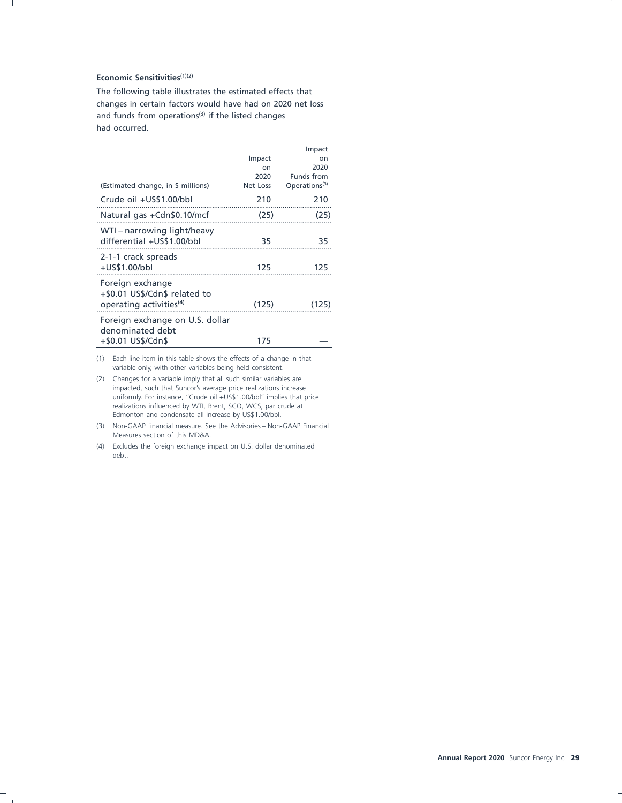### **Economic Sensitivities**(1)(2)

The following table illustrates the estimated effects that changes in certain factors would have had on 2020 net loss and funds from operations<sup>(3)</sup> if the listed changes had occurred.

|                                                                                          |          | Impact                    |
|------------------------------------------------------------------------------------------|----------|---------------------------|
|                                                                                          | Impact   | on                        |
|                                                                                          | on       | 2020                      |
|                                                                                          | 2020     | Funds from                |
| (Estimated change, in \$ millions)                                                       | Net Loss | Operations <sup>(3)</sup> |
| Crude oil +US\$1.00/bbl                                                                  | 210      | 210                       |
| Natural gas +Cdn\$0.10/mcf                                                               | (25)     | (25)                      |
| WTI - narrowing light/heavy<br>differential +US\$1.00/bbl                                | 35       | 35                        |
| 2-1-1 crack spreads<br>+US\$1.00/bbl                                                     | 125      | 125                       |
| Foreign exchange<br>+\$0.01 US\$/Cdn\$ related to<br>operating activities <sup>(4)</sup> | (125)    | (125)                     |
| Foreign exchange on U.S. dollar<br>denominated debt                                      |          |                           |
| +\$0.01 US\$/Cdn\$                                                                       | 175      |                           |

(1) Each line item in this table shows the effects of a change in that variable only, with other variables being held consistent.

- (2) Changes for a variable imply that all such similar variables are impacted, such that Suncor's average price realizations increase uniformly. For instance, "Crude oil +US\$1.00/bbl" implies that price realizations influenced by WTI, Brent, SCO, WCS, par crude at Edmonton and condensate all increase by US\$1.00/bbl.
- (3) Non-GAAP financial measure. See the Advisories Non-GAAP Financial Measures section of this MD&A.
- (4) Excludes the foreign exchange impact on U.S. dollar denominated debt.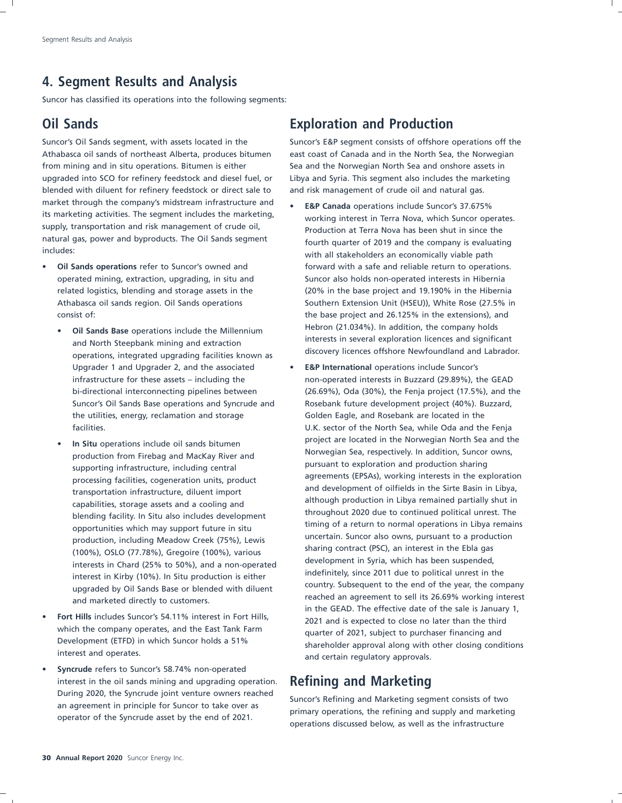### **4. Segment Results and Analysis**

Suncor has classified its operations into the following segments:

Suncor's Oil Sands segment, with assets located in the Suncor's E&P segment consists of offshore operations off the Athabasca oil sands of northeast Alberta, produces bitumen east coast of Canada and in the North Sea, the Norwegian from mining and in situ operations. Bitumen is either Sea and the Norwegian North Sea and onshore assets in upgraded into SCO for refinery feedstock and diesel fuel, or Libya and Syria. This segment also includes the marketing blended with diluent for refinery feedstock or direct sale to and risk management of crude oil and natural gas. market through the company's midstream infrastructure and **• E&P Canada** operations include Suncor's 37.675%<br>its marketing activities. The segment includes the marketing, **• The construction of the sunce of the suncer** ope supply, transportation and risk management of crude oil,<br>
natural gas, power and byproducts. The Oil Sands segment<br>
fourth quarter of 2019 and the company is qualuatively natural gas, power and byproducts. The Oil Sands segment fourth quarter of 2019 and the company is evaluating<br>includes:<br>inith all stakeholders an aconomically viable path

- - operations, integrated upgrading facilities known as Upgrader 1 and Upgrader 2, and the associated • **E&P International** operations include Suncor's the utilities, energy, reclamation and storage Golden Eagle, and Rosebank are located in the
	- blending facility. In Situ also includes development production, including Meadow Creek (75%), Lewis and the uncertain. Suncor also owns, pursuant to a production, including Meadow Creek (75%), Lewis sharing contract (PSC), an interest in the Ebla gas sharing contract (PSC), an interest in the Ebla gas (100%), OSLO (77.78%), Gregoire (100%), various upgraded by Oil Sands Base or blended with diluent
- which the company operates, and the East Tank Farm quarter of 2021, subject to purchaser financing and<br>Development (ETFD) in which Suncor holds a 51% and a shareholder annoual along with ather design sond
- **Syncrude** refers to Suncor's 58.74% non-operated interest in the oil sands mining and upgrading operation. **Refining and Marketing**

### **Oil Sands Exploration and Production**

- working interest in Terra Nova, which Suncor operates. with all stakeholders an economically viable path **Oil Sands operations** refer to Suncor's owned and forward with a safe and reliable return to operations. operated mining, extraction, upgrading, in situ and Suncor also holds non-operated interests in Hibernia related logistics, blending and storage assets in the (20% in the base project and 19.190% in the Hibernia Athabasca oil sands region. Oil Sands operations Southern Extension Unit (HSEU)), White Rose (27.5% in consist of: the base project and 26.125% in the extensions), and Hebron (21.034%). In addition, the company holds • **Oil Sands Base** operations include the Millennium and North Steepbank mining and extraction<br>discovery licences offshore Newfoundland and Labrador.
- infrastructure for these assets including the non-operated interests in Buzzard (29.89%), the GEAD bi-directional interconnecting pipelines between (26.69%), Oda (30%), the Fenja project (17.5%), and the Suncor's Oil Sands Base operations and Syncrude and Rosebank future development project (40%). Buzzard, facilities. U.K. sector of the North Sea, while Oda and the Fenja In Situ operations include oil sands bitumen **Figure 10** project are located in the Norwegian North Sea and the production from Firebag and MacKay River and<br>
pursuant to exploration and production sharing<br>
pursuant to exploration and production sharing supporting infrastructure, including central support pursuant to exploration and production sharing<br>agreements (EPSAs), working interests in the exploration processing facilities, cogeneration units, product<br>transportation infrastructure, dilust import and development of oilfields in the Sirte Basin in Libya, transportation infrastructure, diluent import<br>although production in Libya remained partially shut in<br>although production in Libya remained partially shut in capabilities, storage assets and a cooling and<br>throughout 2020 due to continued political unrest. The<br>capabilities, storage assets and a cooling and<br>throughout 2020 due to continued political unrest. The opportunities which may support future in situ timing of a return to normal operations in Libya remains<br>uncertain. Suncor also owns, pursuant to a production interests in Chard (25% to 50%), and a non-operated and development in Syria, which has been suspended, in Kirky (10%), lp City production is either in indefinitely, since 2011 due to political unrest in the interest in Kirby (10%). In Situ production is either interest in the interest in Kirby (10%). In Situ production is either interest in Country. Subsequent to the end of the year, the company reached an agreement to sell its 26.69% working interest and marketed directly to customers. in the GEAD. The effective date of the sale is January 1, **Fort Hills** includes Suncor's 54.11% interest in Fort Hills, 2021 and is expected to close no later than the thirding<br>which the company operates, and the East Tank Farm 2021 and is expected to close no later than the thir Development (ETFD) in which Suncor holds a 51% shareholder approval along with other closing conditions interest and operates. and certain regulatory approvals.

Buring 2020, the syncrude joint venture owners reached<br>an agreement in principle for Suncor to take over as<br>operator of the Syncrude asset by the end of 2021.<br>operations discussed below, as well as the infrastructure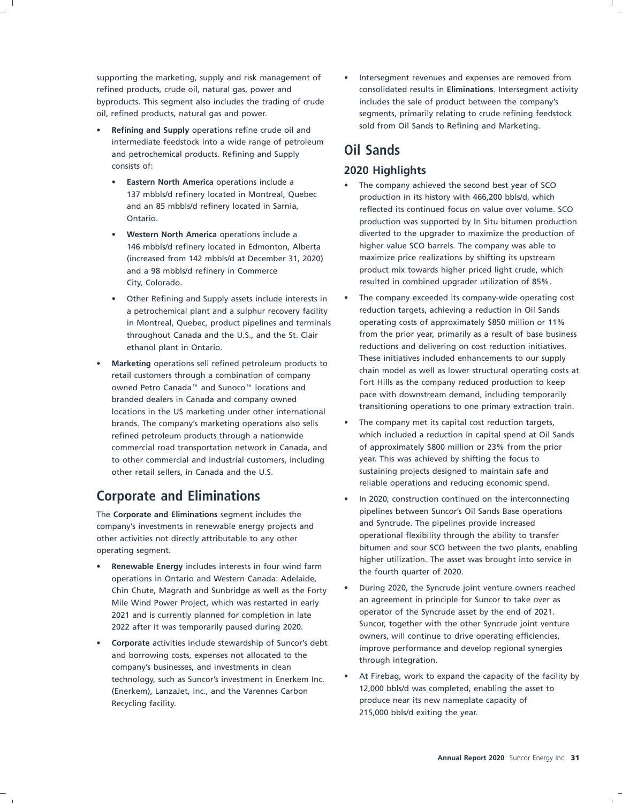byproducts. This segment also includes the trading of crude includes the sale of product between the company's oil, refined products, natural gas and power. seements, primarily relating to crude refining feedstock

- sold from Oil Sands to Refining and Marketing. **Refining and Supply** operations refine crude oil and intermediate feedstock into a wide range of petroleum and petrochemical products. Refining and Supply **Oil Sands** consists of: **2020 Highlights**
	- **Eastern North America** operations include a **•** The company achieved the second best year of SCO<br>137 mbbls/d refinery located in Montreal, Quebec  **Production in its bistory with 466.200 bbls/d** which
	-
	-
- branded dealers in Canada and company owned and the state with downstream demand, including temporarily branded transitioning operations to one primary extraction train. brands. The company's marketing operations also sells • The company met its capital cost reduction targets, to other commercial and industrial customers, including year. This was achieved by shifting the focus to other retail sellers, in Canada and the U.S. sustaining projects designed to maintain safe and

company's investments in renewable energy projects and and Syncrude. The pipelines provide increased<br>
company's investments in renewable energy projects and properational flexibility through the ability to transfer other activities not directly attributable to any other

- higher utilization. The asset was brought into service in **Properations in Ontario and Western Canada:** Adelaide,<br>
This Chute Magrath and Suphridge as well as the Forty During 2020, the Syncrude joint venture owners re Mile Wind Power Project, which was restarted in early an agreement in principle for Suncor to take over a<br>2021 and is currently planned for completion in late operator of the Syncrude asset by the end of 2021. 2021 and is currently planned for completion in late
- Corporate activities include stewardship of Suncor's debt<br>
and borrowing costs, expenses not allocated to the<br>
company's businesses, and investments in clean<br>
technology such as Suncor's investment in Enerkem Inc. At Fireb technology, such as Suncor's investment in Enerkem Inc. Comes the Facility by the facility of the facility of<br>(Enerkem) Lanzalet, Inc. and the Varennes Carbon [12,000 bbls/d was completed, enabling the asset to (Enerkem), LanzaJet, Inc., and the Varennes Carbon Recycling facility. The recoverage of the recover of the recycling facility of Recycling facility.

supporting the marketing, supply and risk management of  $\bullet$  Intersegment revenues and expenses are removed from refined products, crude oil, natural gas, power and consolidated results in **Eliminations**. Intersegment activity

- 137 mbbls/d refinery located in Montreal, Quebec production in its history with 466,200 bbls/d, which<br>and an 85 mbbls/d refinery located in Sarnia, enter a production in its history with 466,200 bbls/d, which and an 85 mbbls/d refinery located in Sarnia, and are reflected its continued focus on value over volume. SCO<br>Ontario, and are supported by In Situ bitumen production production was supported by In Situ bitumen production • **Western North America** operations include a diverted to the upgrader to maximize the production of 146 mbbls/d refinery located in Edmonton, Alberta higher value SCO barrels. The company was able to (increased from 142 mbbls/d at December 31, 2020) maximize price realizations by shifting its upstream and a 98 mbbls/d refinery in Commerce entity and a product mix towards higher priced light crude, which City, Colorado. **Resulted in combined upgrader utilization of 85%**.
- Other Refining and Supply assets include interests in The company exceeded its company-wide operating cost a petrochemical plant and a sulphur recovery facility reduction targets, achieving a reduction in Oil Sands in Montreal, Quebec, product pipelines and terminals operating costs of approximately \$850 million or 11% throughout Canada and the U.S., and the St. Clair from the prior year, primarily as a result of base business ethanol plant in Ontario. The reductions and delivering on cost reduction initiatives. **Marketing** operations sell refined petroleum products to<br>
retail customers through a combination of company<br>
operation of company<br>
Fort Hills as the company reduced production to keep<br>
pace with downstream demand, includ
- refined petroleum products through a nationwide which included a reduction in capital spend at Oil Sands commercial road transportation network in Canada, and of approximately \$800 million or 23% from the prior reliable operations and reducing economic spend.
- **Corporate and Eliminations** In 2020, construction continued on the interconnecting The **Corporate and Eliminations** segment includes the pipelines between Suncor's Oil Sands Base operations company's investments in renewable energy projects and **Synchland** Syncrude. The pipelines provide increased operating segment.<br>
bitumen and sour SCO between the two plants, enabling by the two plants, enabling by the two plants of the two<br>
higher utilization. The asset was brought into service in
	- Chin Chute, Magrath and Sunbridge as well as the Forty  $\cdot$  During 2020, the Syncrude joint venture owners reached Chin Chute, Magrath and Sunbridge as well as the Forty an agreement in principle for Suncor to take over as Suncor, together with the other Syncrude joint venture 2022 after it was temporarily paused during 2020.<br>
	owners, will continue to drive operating efficiencies,
		- 215,000 bbls/d exiting the year.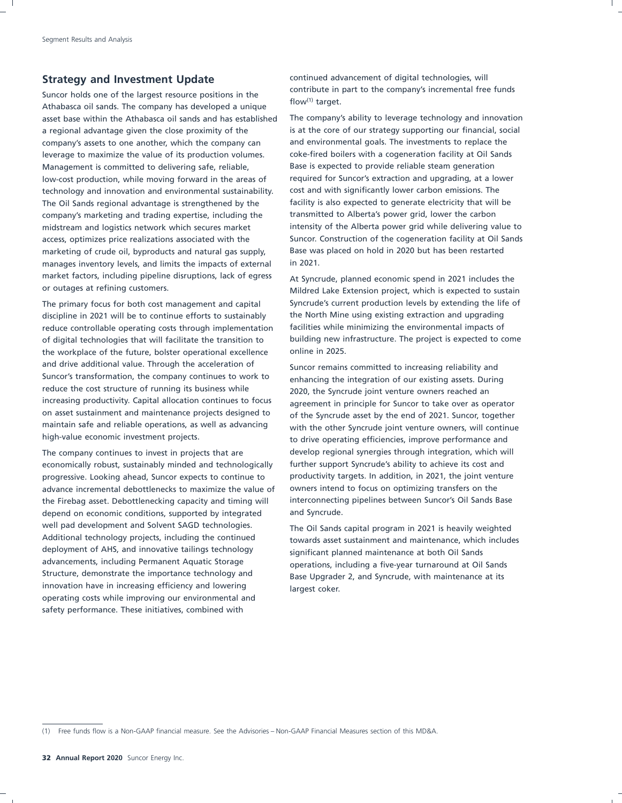Suncor holds one of the largest resource positions in the  $\frac{C}{2}$  contribute in Athabasca oil sands. The company has developed a unique  $\frac{C}{2}$  flow(1) target. asset base within the Athabasca oil sands and has established The company's ability to leverage technology and innovation a regional advantage given the close proximity of the is at the core of our strategy supporting our financial, social company's assets to one another, which the company can and environmental goals. The investments to replace the leverage to maximize the value of its production volumes. coke-fired boilers with a cogeneration facility at Oil Sands Management is committed to delivering safe, reliable, Base is expected to provide reliable steam generation low-cost production, while moving forward in the areas of required for Suncor's extraction and upgrading, at a lower technology and innovation and environmental sustainability. cost and with significantly lower carbon emissions. The The Oil Sands regional advantage is strengthened by the facility is also expected to generate electricity that will be company's marketing and trading expertise, including the transmitted to Alberta's power grid, lower the carbon marketing of crude oil, byproducts and natural gas supply, Base was placed on hold in 2020 but has been restarted manages inventory levels, and limits the impacts of external in 2021. market factors, including pipeline disruptions, lack of egress At Syncrude, planned economic spend in 2021 includes the<br>At Syncrude, planned economic spend in 2021 includes the original spendid of the Extension project, wh

discipline in 2021 will be to continue efforts to sustainably the North Mine using existing extraction and upgrading reduce controllable operating costs through implementation facilities while minimizing the environmental impacts of the workplace of the future, bolster operational excellence online in 2025. and drive additional value. Through the acceleration of suncor remains committed to increasing reliability and<br>Suncor's transformation, the company continues to work to appropriate the integration of our ovirting accete. D Suncor's transformation, the company continues to work to enhancing the integration of our existing assets. During reduce the cost structure of running its business while reduce the cost structure of running its business while 2020, the Syncrude joint venture owners reached an<br>increasing productivity. Capital allocation continues to focus agreement in principle for Suncer to take over as an increasing productivity. Capital allocation continues to focus agreement in principle for Suncor to take over as operator<br>on asset sustainment and maintenance projects designed to and the Suncrude asset by the end of 2021, on asset sustainment and maintenance projects designed to of the Syncrude asset by the end of 2021. Suncor, together<br>maintain safe and reliable operations, as well as advancing with the other Syncrude joint venture owners maintain safe and reliable operations, as well as advancing with the other Syncrude joint venture owners, will continue<br>high-value economic investment projects.

economically robust, sustainably minded and technologically further support Syncrude's ability to achieve its cost and progressive. Looking ahead, Suncor expects to continue to productivity targets. In addition, in 2021, the joint venture advance incremental debottlenecks to maximize the value of owners intend to focus on optimizing transfers on the the Firebag asset. Debottlenecking capacity and timing will interconnecting pipelines between Suncor's Oil Sands Base depend on economic conditions, supported by integrated and Syncrude. well pad development and Solvent SAGD technologies. The Oil Sands capital program in 2021 is heavily weighted<br>Additional technology projects, including the continued<br>Additional technology projects, including the continued Additional technology projects, including the continued towards asset sustainment and maintenance, which includes deployment of AHS, and innovative tailings technology deployment of AHS, and innovative tailings technology significant planned maintenance at both Oil Sands<br>advancements, including Permanent Aquatic Storage subsequently consections including a five-year turnaround at Oil advancements, including Permanent Aquatic Storage operations, including a five-year turnaround at Oil Sands<br>Structure, demonstrate the importance technology and space Ungrader 2, and Syncrude with maintenance at its innovation have in increasing efficiency and lowering largest coker. operating costs while improving our environmental and safety performance. These initiatives, combined with

**Strategy and Investment Update** continued advancement of digital technologies, will<br>contribute in part to the company's incremental free funds

midstream and logistics network which secures market intensity of the Alberta power grid while delivering value to access, optimizes price realizations associated with the Suncor. Construction of the cogeneration facility at Oil Sands

Mildred Lake Extension project, which is expected to sustain The primary focus for both cost management and capital Syncrude's current production levels by extending the life of of digital technologies that will facilitate the transition to building new infrastructure. The project is expected to come

to drive operating efficiencies, improve performance and The company continues to invest in projects that are develop regional synergies through integration, which will

Base Upgrader 2, and Syncrude, with maintenance at its

<sup>(1)</sup> Free funds flow is a Non-GAAP financial measure. See the Advisories – Non-GAAP Financial Measures section of this MD&A.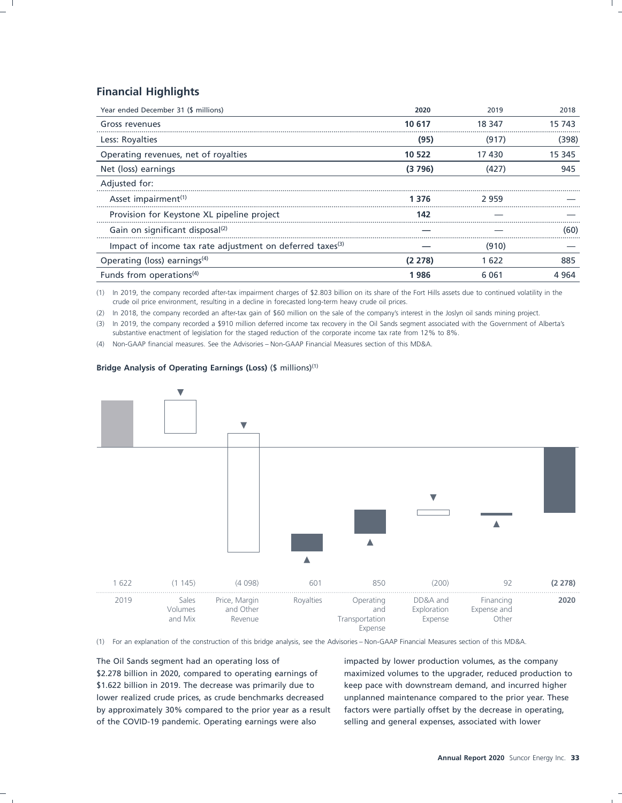### **Financial Highlights**

| Year ended December 31 (\$ millions)                                  | 2020    | 2019    | 2018   |
|-----------------------------------------------------------------------|---------|---------|--------|
| Gross revenues                                                        | 10 617  | 18 347  | 15 743 |
| Less: Royalties                                                       | (95)    | (917)   | (398)  |
| Operating revenues, net of royalties                                  | 10 522  | 17430   | 15 345 |
| Net (loss) earnings                                                   | (3796)  | (427)   | 945    |
| Adjusted for:                                                         |         |         |        |
| Asset impairment <sup>(1)</sup>                                       | 1 3 7 6 | 2959    |        |
| Provision for Keystone XL pipeline project                            | 142     |         |        |
| Gain on significant disposal <sup>(2)</sup>                           |         |         | (60)   |
| Impact of income tax rate adjustment on deferred taxes <sup>(3)</sup> |         | (910)   |        |
| Operating (loss) earnings $(4)$                                       | (2 278) | 1 622   | 885    |
| Funds from operations <sup>(4)</sup>                                  | 986 ا   | 6 0 6 1 | 4 964  |

(1) In 2019, the company recorded after-tax impairment charges of \$2.803 billion on its share of the Fort Hills assets due to continued volatility in the crude oil price environment, resulting in a decline in forecasted long-term heavy crude oil prices.

(2) In 2018, the company recorded an after-tax gain of \$60 million on the sale of the company's interest in the Joslyn oil sands mining project.

(3) In 2019, the company recorded a \$910 million deferred income tax recovery in the Oil Sands segment associated with the Government of Alberta's substantive enactment of legislation for the staged reduction of the corporate income tax rate from 12% to 8%.

(4) Non-GAAP financial measures. See the Advisories – Non-GAAP Financial Measures section of this MD&A.

### **Bridge Analysis of Operating Earnings (Loss)** (\$ millions)(1)



(1) For an explanation of the construction of this bridge analysis, see the Advisories – Non-GAAP Financial Measures section of this MD&A.

The Oil Sands segment had an operating loss of impacted by lower production volumes, as the company \$2.278 billion in 2020, compared to operating earnings of maximized volumes to the upgrader, reduced production to \$1.622 billion in 2019. The decrease was primarily due to keep pace with downstream demand, and incurred higher lower realized crude prices, as crude benchmarks decreased unplanned maintenance compared to the prior year. These by approximately 30% compared to the prior year as a result factors were partially offset by the decrease in operating, of the COVID-19 pandemic. Operating earnings were also selling and general expenses, associated with lower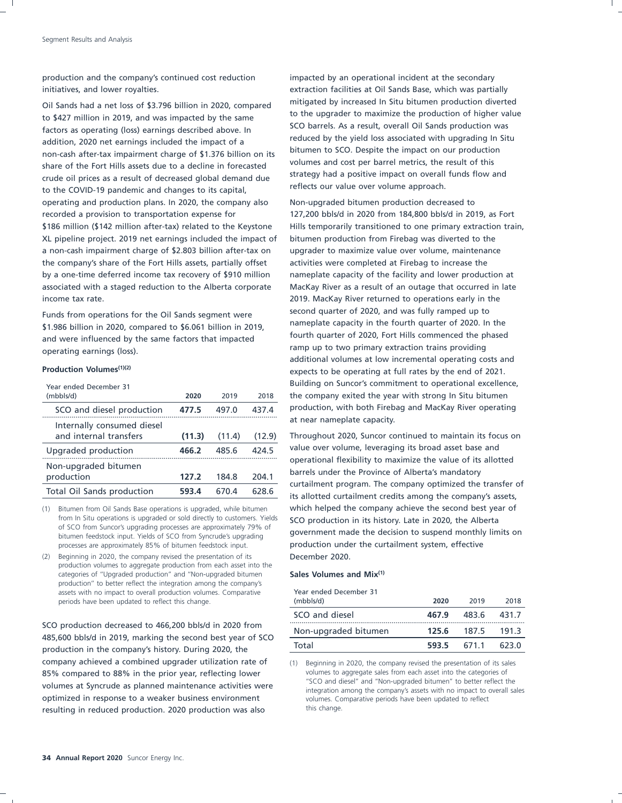production and the company's continued cost reduction impacted by an operational incident at the secondary

to the upgrader to maximize the production of higher value to the upgrader to maximize the production of higher va<br>SCO barrels. As a result, overall Oil Sands production was SCO barrels. As a result, overall Oil Sands production was<br>reduced by the yield loss associated with upgrading In Situ reduced by the yield loss associated with upgrading in Situ and Indian and Indian Situ and Indian Situ and the impact of a same cash of the impact on our production bitumen to SCO. Despite the impact on our production<br>charge of the Fert Hills areate due to a decline in forecasted volumes and cost per barrel metrics, the result of this share of the Fort Hills assets due to a decline in forecasted<br>strategy had a positive impact on overall funds flow and<br>strategy had a positive impact on overall funds flow and crude oil prices as a result of decreased global demand due<br>to the COVID 10 pandamic and changes to its senital reflects our value over volume approach. to the COVID-19 pandemic and changes to its capital, operating and production plans. In 2020, the company also Non-upgraded bitumen production decreased to recorded a provision to transportation expense for 127,200 bbls/d in 2020 from 184,800 bbls/d in 2019, as Fort \$186 million (\$142 million after-tax) related to the Keystone Hills temporarily transitioned to one primary extraction train, XL pipeline project. 2019 net earnings included the impact of bitumen production from Firebag was diverted to the a non-cash impairment charge of \$2.803 billion after-tax on upgrader to maximize value over volume, maintenance the company's share of the Fort Hills assets, partially offset activities were completed at Firebag to increase the by a one-time deferred income tax recovery of \$910 million nameplate capacity of the facility and lower production at associated with a staged reduction to the Alberta corporate MacKay River as a result of an outage that occurred in late income tax rate. 2019. MacKay River returned to operations early in the

\$1.986 billion in 2020, compared to \$6.061 billion in 2019,<br>and were influenced by the same factors that impacted fourth quarter of 2020, Fort Hills commenced the phased and were influenced by the same factors that impacted ramp up to two primary extraction trains providing operating earnings (loss).

| Year ended December 31<br>(mbbls/d)                  | 2020   | 2019   | 2018   |
|------------------------------------------------------|--------|--------|--------|
| SCO and diesel production                            | 477.5  | 497.0  | 437.4  |
| Internally consumed diesel<br>and internal transfers | (11.3) | (11.4) | (12.9) |
| Upgraded production                                  | 466.2  | 485.6  | 424.5  |
| Non-upgraded bitumen<br>production                   | 127.2  | 184.8  | 204.1  |
| Total Oil Sands production                           | 593.4  | 670.4  | 628.6  |

processes are approximately 85% of bitumen feedstock input.

(2) Beginning in 2020, the company revised the presentation of its December 2020. production volumes to aggregate production from each asset into the categories of ''Upgraded production'' and ''Non-upgraded bitumen **Sales Volumes and Mix(1)** production'' to better reflect the integration among the company's assets with no impact to overall production volumes. Comparative Year ended December 31 periods have been updated to reflect this change.

SCO production decreased to 466,200 bbls/d in 2020 from 485,600 bbls/d in 2019, marking the second best year of SCO production in the company's history. During 2020, the company achieved a combined upgrader utilization rate of (1) Beginning in 2020, the company revised the presentation of its sales 85% compared to 88% in the prior year, reflecting lower volumes to aggregate sales from each asset into the categories of volumes to aggregate sales from each asset into the categories of variancy and version of variancy o ''SCO and diesel'' and ''Non-upgraded bitumen'' to better reflect the volumes at Syncrude as planned maintenance activities were integration among the company's assets with no impact to overall sales optimized in response to a weaker business environment volumes. Comparative periods have been updated to reflect resulting in reduced production. 2020 production was also this change.

initiatives, and lower royalties. extraction facilities at Oil Sands Base, which was partially Oil Sands had a net loss of \$3.796 billion in 2020, compared mitigated by increased In Situ bitumen production diverted<br>
to the upgrader to maximize the production of higher value

Funds from operations for the Oil Sands segment were second quarter of 2020, and was fully ramped up to<br>\$1.986 billion in 2020, compared to \$6.061 billion in 2019 ameplate capacity in the fourth quarter of 2020. In the additional volumes at low incremental operating costs and **Production Volumes**<sup>(1)(2)</sup> expects to be operating at full rates by the end of 2021. Building on Suncor's commitment to operational excellence, the company exited the year with strong In Situ bitumen production, with both Firebag and MacKay River operating<br>at near nameplate capacity.

Throughout 2020, Suncor continued to maintain its focus on value over volume, leveraging its broad asset base and<br>operational flexibility to maximize the value of its allotted<br>barrels under the Province of Alberta's mandatory<br>curtailment program. The company optimized the transfer its allotted curtailment credits among the company's assets, (1) Bitumen from Oil Sands Base operations is upgraded, while bitumen which helped the company achieve the second best year of from In Situ operations is upgraded or sold directly to customers. Yields **SCO production in its history. Late in 2020, the Alberta** of SCO from Suncor's upgrading processes are approximately 79% of bitumen feedstock input

| (mbbls/d)            | 2020  | 2019  | 2018  |
|----------------------|-------|-------|-------|
| SCO and diesel       | 467.9 | 483.6 | 431.7 |
| Non-upgraded bitumen | 125.6 | 187.5 | 191.3 |
| Total                | 593.5 | 671.1 | 623.0 |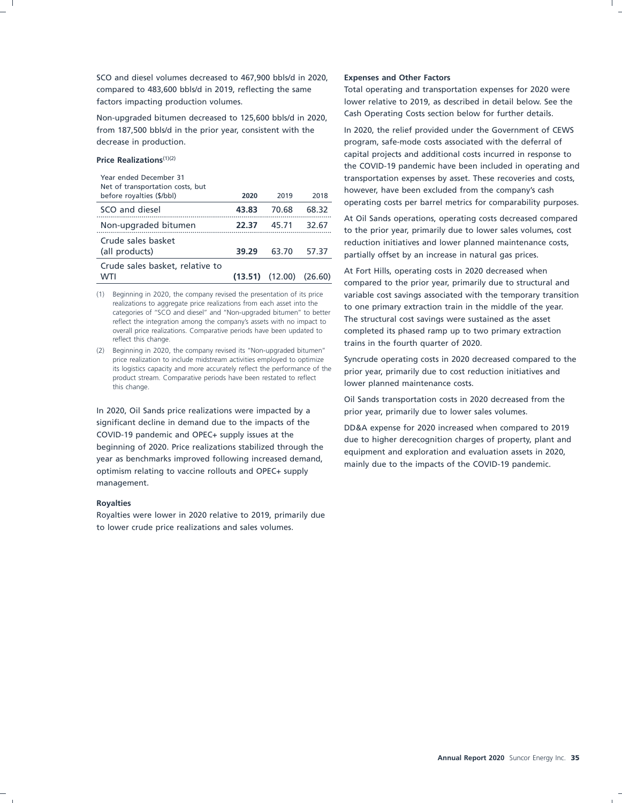SCO and diesel volumes decreased to 467,900 bbls/d in 2020, **Expenses and Other Factors** compared to 483,600 bbls/d in 2019, reflecting the same Total operating and transportation expenses for 2020 were factors impacting production volumes. lower relative to 2019, as described in detail below. See the

Non-upgraded bitumen decreased to 125,600 bbls/d in 2020, Cash Operating Costs section below for further details. from 187,500 bbls/d in the prior year, consistent with the In 2020, the relief provided under the Government of CEWS decrease in production. **program**, safe-mode costs associated with the deferral of

| Year ended December 31<br>Net of transportation costs, but<br>before royalties (\$/bbl) | 2020    | 2019    | 2018    |
|-----------------------------------------------------------------------------------------|---------|---------|---------|
| SCO and diesel                                                                          | 43.83   | 70.68   | 68.32   |
| Non-upgraded bitumen                                                                    | 22.37   | 45.71   | 32.67   |
| Crude sales basket<br>(all products)                                                    | 39.29   | 63.70   | 57.37   |
| Crude sales basket, relative to<br><b>WTI</b>                                           | (13.51) | (12.00) | (26.60) |

(2) Beginning in 2020, the company revised its ''Non-upgraded bitumen'' its logistics capacity and more accurately reflect the performance of the **prior year, primarily due to cost reduction initiatives and** product stream. Comparative periods have been restated to reflect **lower planned maint** 

In 2020, Oil Sands price realizations were impacted by a prior year, primarily due to lower sales volumes. significant decline in demand due to the impacts of the<br>COVID-19 pandemic and OPEC+ supply issues at the<br>beginning of 2020. Price realizations stabilized through the<br>year as benchmarks improved following increased demand,<br> management.

### **Royalties**

Royalties were lower in 2020 relative to 2019, primarily due to lower crude price realizations and sales volumes.

capital projects and additional costs incurred in response to **Price Realizations**(1)(2) the COVID-19 pandemic have been included in operating and transportation expenses by asset. These recoveries and costs, however, have been excluded from the company's cash operating costs per barrel metrics for comparability purposes.

> At Oil Sands operations, operating costs decreased compared<br>to the prior year, primarily due to lower sales volumes, cost reduction initiatives and lower planned maintenance costs, partially offset by an increase in natural gas prices.

At Fort Hills, operating costs in 2020 decreased when<br>compared to the prior year, primarily due to structural and (1) Beginning in 2020, the company revised the presentation of its price variable cost savings associated with the temporary transition realizations to aggregate price realizations from each asset into the the one primary realizations to aggregate price realizations from each asset into the<br>categories of "SCO and diesel" and "Non-upgraded bitumen" to better<br>reflect the integration among the company's assets with no impact to The structural overall price realizations. Comparative periods have been updated to completed its phased ramp up to two primary extraction reflect this change. trains in the fourth quarter of 2020.

price realization to include midstream activities employed to optimize Syncrude operating costs in 2020 decreased compared to the

Oil Sands transportation costs in 2020 decreased from the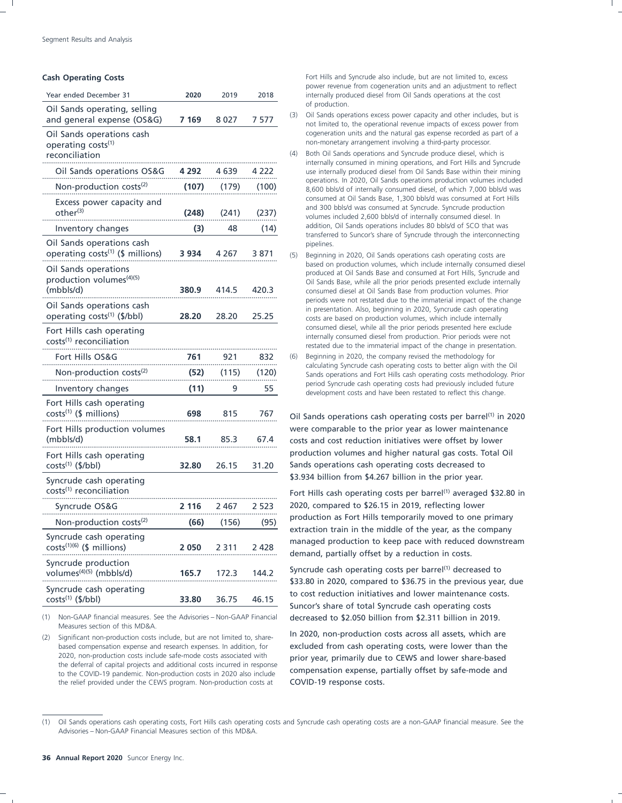| Year ended December 31                                                    | 2020    | 2019    | 2018     | power revenue nom cogeneration units and an adjustment to renect<br>internally produced diesel from Oil Sands operations at the cost                                                                                                                                                        |  |
|---------------------------------------------------------------------------|---------|---------|----------|---------------------------------------------------------------------------------------------------------------------------------------------------------------------------------------------------------------------------------------------------------------------------------------------|--|
| Oil Sands operating, selling<br>and general expense (OS&G)                | 7 1 6 9 | 8 0 2 7 | 7577     | of production.<br>Oil Sands operations excess power capacity and other includes, but is<br>(3)                                                                                                                                                                                              |  |
| Oil Sands operations cash<br>operating costs <sup>(1)</sup>               |         |         |          | not limited to, the operational revenue impacts of excess power from<br>cogeneration units and the natural gas expense recorded as part of a<br>non-monetary arrangement involving a third-party processor.<br>Both Oil Sands operations and Syncrude produce diesel, which is<br>(4)       |  |
| reconciliation                                                            |         |         |          | internally consumed in mining operations, and Fort Hills and Syncrude                                                                                                                                                                                                                       |  |
| Oil Sands operations OS&G                                                 | 4 292   | 4 639   | 4 222    | use internally produced diesel from Oil Sands Base within their mining<br>operations. In 2020, Oil Sands operations production volumes included                                                                                                                                             |  |
| Non-production costs <sup>(2)</sup>                                       | (107)   | (179)   | (100)    | 8,600 bbls/d of internally consumed diesel, of which 7,000 bbls/d was<br>consumed at Oil Sands Base, 1,300 bbls/d was consumed at Fort Hills                                                                                                                                                |  |
| Excess power capacity and<br>other <sup>(3)</sup>                         | (248)   | (241)   | (237)    | and 300 bbls/d was consumed at Syncrude. Syncrude production<br>volumes included 2,600 bbls/d of internally consumed diesel. In                                                                                                                                                             |  |
| Inventory changes                                                         | (3)     | 48      | (14)     | addition, Oil Sands operations includes 80 bbls/d of SCO that was<br>transferred to Suncor's share of Syncrude through the interconnecting                                                                                                                                                  |  |
| Oil Sands operations cash<br>operating costs <sup>(1)</sup> (\$ millions) | 3 9 3 4 | 4 2 6 7 | 3871     | pipelines.<br>(5)<br>Beginning in 2020, Oil Sands operations cash operating costs are                                                                                                                                                                                                       |  |
| Oil Sands operations<br>production volumes <sup>(4)(5)</sup><br>(mbbls/d) | 380.9   | 414.5   | 420.3    | based on production volumes, which include internally consumed diese<br>produced at Oil Sands Base and consumed at Fort Hills, Syncrude and<br>Oil Sands Base, while all the prior periods presented exclude internally<br>consumed diesel at Oil Sands Base from production volumes. Prior |  |
| Oil Sands operations cash<br>operating costs <sup>(1)</sup> (\$/bbl)      | 28.20   | 28.20   | 25.25    | periods were not restated due to the immaterial impact of the change<br>in presentation. Also, beginning in 2020, Syncrude cash operating<br>costs are based on production volumes, which include internally                                                                                |  |
| Fort Hills cash operating<br>costs <sup>(1)</sup> reconciliation          |         |         |          | consumed diesel, while all the prior periods presented here exclude<br>internally consumed diesel from production. Prior periods were not<br>restated due to the immaterial impact of the change in presentation.                                                                           |  |
| Fort Hills OS&G                                                           | 761     | 921     | 832<br>. | Beginning in 2020, the company revised the methodology for<br>(6)                                                                                                                                                                                                                           |  |
| Non-production costs <sup>(2)</sup>                                       | (52)    | (115)   | (120)    | calculating Syncrude cash operating costs to better align with the Oil<br>Sands operations and Fort Hills cash operating costs methodology. Prior                                                                                                                                           |  |
| Inventory changes                                                         | (11)    | 9       | 55       | period Syncrude cash operating costs had previously included future<br>development costs and have been restated to reflect this change.                                                                                                                                                     |  |
| Fort Hills cash operating<br>$costs^{(1)}$ (\$ millions)                  | 698     | 815     | 767      | Oil Sands operations cash operating costs per barrel <sup>(1)</sup> in 2020                                                                                                                                                                                                                 |  |
| Fort Hills production volumes                                             |         |         |          | were comparable to the prior year as lower maintenance                                                                                                                                                                                                                                      |  |
| (mbbls/d)                                                                 | 58.1    | 85.3    | 67.4     | costs and cost reduction initiatives were offset by lower                                                                                                                                                                                                                                   |  |
| Fort Hills cash operating<br>costs <sup>(1)</sup> (\$/bbl)                | 32.80   | 26.15   | 31.20    | production volumes and higher natural gas costs. Total Oil<br>Sands operations cash operating costs decreased to                                                                                                                                                                            |  |
| Syncrude cash operating<br>costs <sup>(1)</sup> reconciliation            |         |         |          | \$3.934 billion from \$4.267 billion in the prior year.<br>Fort Hills cash operating costs per barrel <sup>(1)</sup> averaged \$32.80 ir                                                                                                                                                    |  |
| Syncrude OS&G                                                             | 2 1 1 6 | 2 4 6 7 | 2 523    | 2020, compared to \$26.15 in 2019, reflecting lower                                                                                                                                                                                                                                         |  |
| Non-production costs <sup>(2)</sup>                                       | (66)    | (156)   | (95)     | production as Fort Hills temporarily moved to one primary                                                                                                                                                                                                                                   |  |
| Syncrude cash operating<br>$costs^{(1)(6)}$ (\$ millions)                 | 2 0 5 0 | 2 3 1 1 | 2 4 2 8  | extraction train in the middle of the year, as the company<br>managed production to keep pace with reduced downstream<br>demand, partially offset by a reduction in costs.                                                                                                                  |  |
| Syncrude production<br>volumes <sup>(4)(5)</sup> (mbbls/d)                | 165.7   | 172.3   | 144.2    | Syncrude cash operating costs per barrel <sup>(1)</sup> decreased to                                                                                                                                                                                                                        |  |
| Syncrude cash operating<br>$costs^{(1)}$ (\$/bbl)                         | 33.80   | 36.75   | 46.15    | \$33.80 in 2020, compared to \$36.75 in the previous year, due<br>to cost reduction initiatives and lower maintenance costs.<br>Suncor's share of total Syncrude cash operating costs                                                                                                       |  |
|                                                                           |         |         |          |                                                                                                                                                                                                                                                                                             |  |

Measures section of this MD&A.

based compensation expense and research expenses. In addition, for excluded from cash operating costs, were lower than the 2020, non-production costs include safe-mode costs associated with<br>the deferral of capital projects and additional costs incurred in response<br>to the COVID-19 pandemic. Non-production costs in 2020 also include<br>**COMPEDIAM C** the relief provided under the CEWS program. Non-production costs at COVID-19 response costs.

**Cash Operating Costs** Fort Hills and Syncrude also include, but are not limited to, excess power revenue from cogeneration units and an adjustment to reflect internally produced diesel from Oil Sands operations at the cost

- of production.<br>(3) Oil Sands operations excess power capacity and other includes, but is<br>not limited to, the operational revenue impacts of excess power from cogeneration units and the natural gas expense recorded as part of a non-monetary arrangement involving a third-party processor.
- (4) Both Oil Sands operations and Syncrude produce diesel, which is internally consumed in mining operations, and Fort Hills and Syncrude use internally produced diesel from Oil Sands Base within their mining addition, Oil Sands operations includes 80 bbls/d of SCO that was transferred to Suncor's share of Syncrude through the interconnecting
- (5) Beginning in 2020, Oil Sands operations cash operating costs are based on production volumes, which include internally consumed diesel produced at Oil Sands Base and consumed at Fort Hills, Syncrude and Oil Sands Base, periods were not restated due to the immaterial impact of the change<br>in presentation. Also, beginning in 2020, Syncrude cash operating costs are based on production volumes, which include internally consumed diesel, while all the prior periods presented here exclude internally consumed diesel from production. Prior periods were not restated due to the immaterial impact of the change in presentation.
- (6) Beginning in 2020, the company revised the methodology for<br>calculating Syncrude cash operating costs to better align with the Oil Sands operations and Fort Hills cash operating costs methodology. Prior period Syncrude cash operating costs had previously included future development costs and have been restated to reflect this change.

Syncrude cash operating costs per barrel<sup>(1)</sup> decreased to<br>\$33.80 in 2020, compared to \$36.75 in the previous year, due<br>to cost reduction initiatives and lower maintenance costs. Suncor's share of total Syncrude cash operating costs (1) Non-GAAP financial measures. See the Advisories – Non-GAAP Financial decreased to \$2.050 billion from \$2.311 billion in 2019.

(2) Significant non-production costs include, but are not limited to, share-<br>In 2020, non-production costs include, but are not limited to, share-

<sup>(1)</sup> Oil Sands operations cash operating costs, Fort Hills cash operating costs and Syncrude cash operating costs are a non-GAAP financial measure. See the Advisories – Non-GAAP Financial Measures section of this MD&A.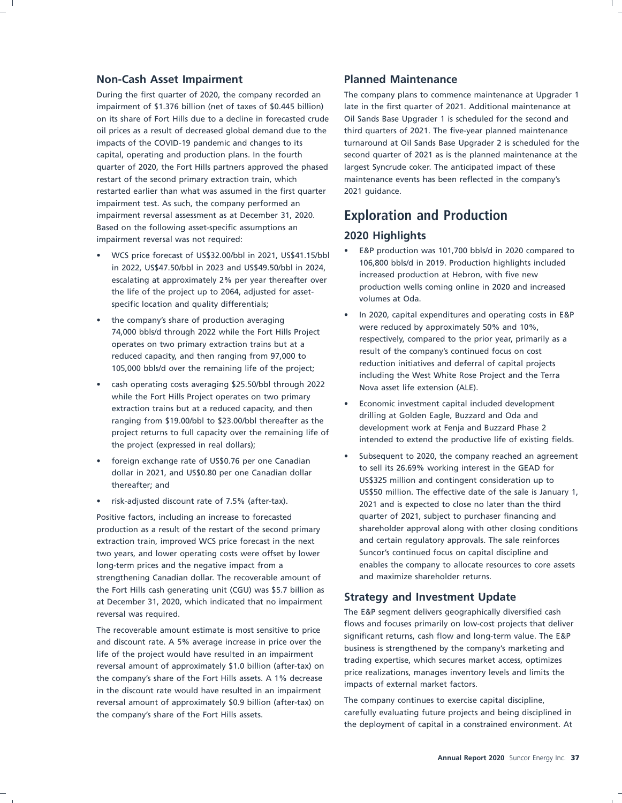### **Non-Cash Asset Impairment Planned Maintenance**

During the first quarter of 2020, the company recorded an The company plans to commence maintenance at Upgrader 1 impairment of \$1.376 billion (net of taxes of \$0.445 billion) late in the first quarter of 2021. Additional maintenance at on its share of Fort Hills due to a decline in forecasted crude Oil Sands Base Upgrader 1 is scheduled for the second and oil prices as a result of decreased global demand due to the third quarters of 2021. The five-year planned maintenance quarter of 2020, the Fort Hills partners approved the phased largest Syncrude coker. The anticipated impact of these restart of the second primary extraction train, which maintenance events has been reflected in the company's restarted earlier than what was assumed in the first quarter 2021 guidance. impairment test. As such, the company performed an impairment reversal assessment as at December 31, 2020. **Exploration and Production** Based on the following asset-specific assumptions an **2020 Highlights** impairment reversal was not required:

- WCS price forecast of US\$32.00/bbl in 2021, US\$41.15/bbl E&P production was 101,700 bbls/d in 2020 compared to<br>
in 2022, US\$47.50/bbl in 2023 and US\$49.50/bbl in 2024,<br>
escalating at approximately 2% per year thereafte
- 
- cash operating costs averaging \$25.50/bbl through 2022 Nova asset life extension (ALE).<br>while the Fort Hills Project operates on two primary while the Fort Hills Project operates on two primary<br>extraction trains but at a reduced capacity, and then<br>ranging from \$19.00/bbl to \$23.00/bbl thereafter as the<br>project returns to full capacity over the remaining life of
- 
- 

extraction train, improved WCS price forecast in the next and certain regulatory approvals. The sale reinforces two years, and lower operating costs were offset by lower Suncor's continued focus on capital discipline and strengthening Canadian dollar. The recoverable amount of and maximize shareholder returns. the Fort Hills cash generating unit (CGU) was \$5.7 billion as **Strategy and Investment Update** at December 31, 2020, which indicated that no impairment **Strategy and Investment Update** reversal was required. The E&P segment delivers geographically diversified cash

The recoverable amount estimate is most sensitive to price<br>and discount rate. A 5% average increase in price over the<br>life of the project would have resulted in an impairment<br>reversal amount of approximately \$1.0 billion ( reversal amount of approximately \$0.9 billion (after-tax) on The company continues to exercise capital discipline,

impacts of the COVID-19 pandemic and changes to its turnaround at Oil Sands Base Upgrader 2 is scheduled for the capital, operating and production plans. In the fourth second quarter of 2021 as is the planned maintenance at the

- 
- the company's share of production averaging<br>
74,000 bbls/d through 2022 while the Fort Hills Project<br>
operates on two primary extraction trains but at a<br>
reduced capacity, and then ranging from 97,000 to<br>
105,000 bbls/d
	-
- foreign exchange rate of US\$0.76 per one Canadian dollar to 2020, the company reached an agreement dollar in 2021, and US\$0.80 per one Canadian dollar thereafter; and thereafter; and thereafter; and thereafter and therea • risk-adjusted discount rate of 7.5% (after-tax). 2021 and is expected to close no later than the third Positive factors, including an increase to forecasted quarter of 2021, subject to purchaser financing and production as a result of the restart of the second primary shareholder approval along with other closing conditions long-term prices and the negative impact from a enables the company to allocate resources to core assets

the company's share of the Fort Hills assets. carefully evaluating future projects and being disciplined in the deployment of capital in a constrained environment. At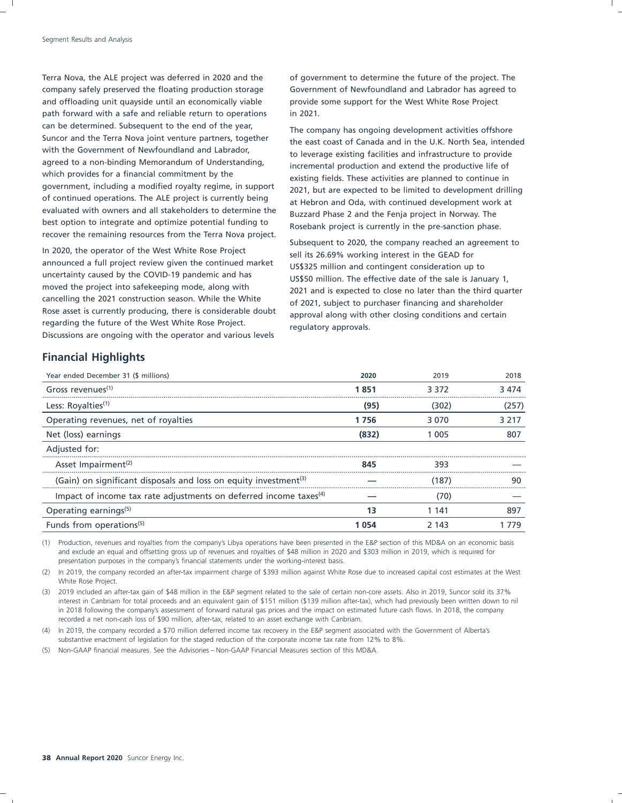Terra Nova, the ALE project was deferred in 2020 and the of government to determine the future of the project. The company safely preserved the floating production storage Government of Newfoundland and Labrador has agreed to and offloading unit quayside until an economically viable provide some support for the West White Rose Project path forward with a safe and reliable return to operations in 2021. can be determined. Subsequent to the end of the year,<br>Suncor and the Terra Nova joint venture partners, together<br>Also set seest as foreads and in the U.K. Namb See intend with the Government of Newfoundland and Labrador, to leverage existing facilities and infrastructure to provide<br>agreed to a non-binding Memorandum of Understanding, and presented are during and ortard the areductive life o agreed to a non-binding Memorandum of Understanding, incremental production and extend the productive life of<br>which provides for a financial commitment by the suiting fields. These estimities are planned to sentinue in which provides for a financial commitment by the existing fields. These activities are planned to continue in<br>government, including a modified royalty regime, in support and that are avancted to be limited to development d of continued operations. The ALE project is currently being at Hebron and Oda, with continued development work at evaluated with owners and all stakeholders to determine the processed phase 2 and the Femine project in Newt evaluated with owners and all stakeholders to determine the Buzzard Phase 2 and the Fenja project in Norway. The best option that best option that the Sanction phase recover the remaining resources from the Terra Nova project.

In 2020, the operator of the West White Rose Project sell its 26.69% working interest in the GEAD for announced a full project review given the continued market US\$325 million and contingent consideration up to uncertainty caused by the COVID-19 pandemic and has uncertainty caused by the COVID-19 pandemic and has US\$50 million. The effective date of the sale is January 1,<br>moved the project into safekeeping mode, along with 2001 and is avported to close no later than the third qual moved the project into safekeeping mode, along with 2021 and is expected to close no later than the third quarter<br>cancelling the 2021 construction season. While the White 6.1.2021 cubiest to purchase financing and charabol cancelling the 2021 construction season. While the White of 2021, subject to purchaser financing and shareholder<br>Rose asset is currently producing, there is considerable doubt approval along with other closing conditions a regarding the future of the West White Rose Project. regulatory approvals. Discussions are ongoing with the operator and various levels

Suncor and the Terra Nova Joint venture partners, together the east coast of Canada and in the U.K. North Sea, intended<br>With the Government of Newfoundland and Labrador, government, including a modified royalty regime, in support 2021, but are expected to be limited to development drilling<br>of continued operations. The ALE project is currently being at Hobron and Oda, with continued develop Rosebank project is currently in the pre-sanction phase.

> Subsequent to 2020, the company reached an agreement to approval along with other closing conditions and certain

### **Financial Highlights**

| Year ended December 31 (\$ millions)                                          | 2020  | 2019  | 2018  |
|-------------------------------------------------------------------------------|-------|-------|-------|
| Gross revenues <sup>(1)</sup>                                                 | 1851  | 3.372 | 3 474 |
| Less: Royalties <sup>(1)</sup>                                                | (95)  | (302) | (257) |
| Operating revenues, net of royalties                                          | 1756  | 3070  | 3 217 |
| Net (loss) earnings                                                           | (832) | 1 005 | 807   |
| Adjusted for:                                                                 |       |       |       |
| Asset Impairment <sup>(2)</sup>                                               | 845   | 393   |       |
| (Gain) on significant disposals and loss on equity investment <sup>(3)</sup>  |       | (187) |       |
| Impact of income tax rate adjustments on deferred income taxes <sup>(4)</sup> |       | (70)  |       |
| Operating earnings <sup>(5)</sup>                                             | 13    | 1 141 | 897   |
| Funds from operations <sup>(5)</sup>                                          | 054   | 2 143 | 79    |

(1) Production, revenues and royalties from the company's Libya operations have been presented in the E&P section of this MD&A on an economic basis and exclude an equal and offsetting gross up of revenues and royalties of \$48 million in 2020 and \$303 million in 2019, which is required for presentation purposes in the company's financial statements under the working-interest basis.

(2) In 2019, the company recorded an after-tax impairment charge of \$393 million against White Rose due to increased capital cost estimates at the West White Rose Project.

(3) 2019 included an after-tax gain of \$48 million in the E&P segment related to the sale of certain non-core assets. Also in 2019, Suncor sold its 37% interest in Canbriam for total proceeds and an equivalent gain of \$151 million (\$139 million after-tax), which had previously been written down to nil in 2018 following the company's assessment of forward natural gas prices and the impact on estimated future cash flows. In 2018, the company recorded a net non-cash loss of \$90 million, after-tax, related to an asset exchange with Canbriam.

(4) In 2019, the company recorded a \$70 million deferred income tax recovery in the E&P segment associated with the Government of Alberta's substantive enactment of legislation for the staged reduction of the corporate income tax rate from 12% to 8%.

(5) Non-GAAP financial measures. See the Advisories – Non-GAAP Financial Measures section of this MD&A.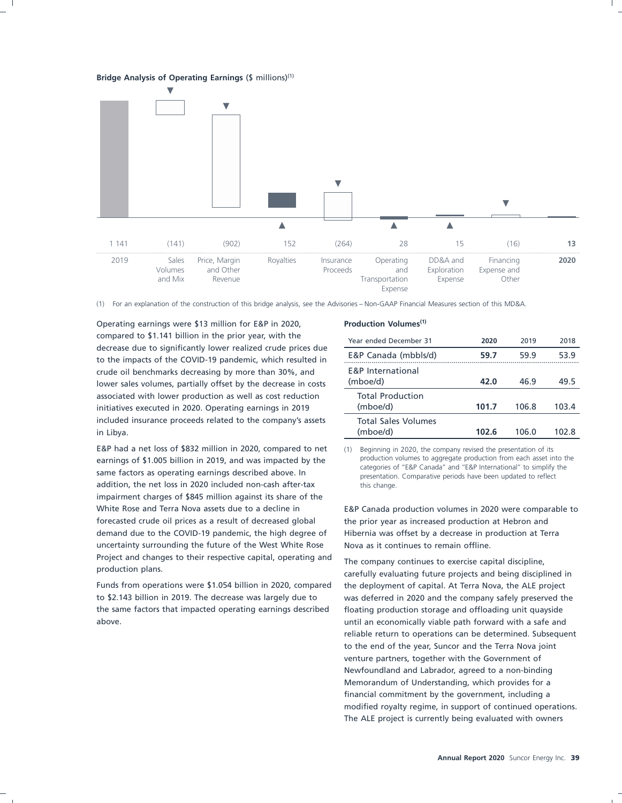**Bridge Analysis of Operating Earnings** (\$ millions)(1)



(1) For an explanation of the construction of this bridge analysis, see the Advisories – Non-GAAP Financial Measures section of this MD&A.

Operating earnings were \$13 million for E&P in 2020, **Production Volumes(1)** compared to \$1.141 billion in the prior year, with the decrease due to significantly lower realized crude prices due to the impacts of the COVID-19 pandemic, which resulted in crude oil benchmarks decreasing by more than 30%, and lower sales volumes, partially offset by the decrease in costs associated with lower production as well as cost reduction initiatives executed in 2020. Operating earnings in 2019 included insurance proceeds related to the company's assets in Libya. (mboe/d) **102.6** 106.0 102.8

E&P had a net loss of \$832 million in 2020, compared to net (1) Beginning in 2020, the company revised the presentation of its<br>
production volumes to aggregate production from each asset into the earnings of \$1.005 billion in 2019, and was impacted by the production volumes to aggregate production from each asset into the<br>same factors as operating earnings described above. In example presentation. Comparative perio addition, the net loss in 2020 included non-cash after-tax this change. impairment charges of \$845 million against its share of the White Rose and Terra Nova assets due to a decline in E&P Canada production volumes in 2020 were comparable to forecasted crude oil prices as a result of decreased global the prior year as increased production at Hebron and demand due to the COVID-19 pandemic, the high degree of Hibernia was offset by a decrease in production at Terra uncertainty surrounding the future of the West White Rose Nova as it continues to remain offline. Project and changes to their respective capital, operating and The company continues to exercise capital discipline,<br>production plans. carefully evaluating future projects and being disciplined in

to \$2.143 billion in 2019. The decrease was largely due to was deferred in 2020 and the company safely preserved the the same factors that impacted operating earnings described floating production storage and offloading unit quayside above. until an economically viable path forward with a safe and

| Year ended December 31                   | 2020  | 2019  | 2018  |
|------------------------------------------|-------|-------|-------|
|                                          |       |       |       |
| E&P Canada (mbbls/d)                     | 59.7  | 59.9  | 53.9  |
| <b>F&amp;P</b> International<br>(mboe/d) | 42.0  | 46.9  | 49.5  |
| <b>Total Production</b><br>(mboe/d)      | 101.7 | 106.8 | 103.4 |
| <b>Total Sales Volumes</b><br>(mboe/d)   | 102.6 | 106.0 | 102.8 |

Funds from operations were \$1.054 billion in 2020, compared the deployment of capital. At Terra Nova, the ALE project reliable return to operations can be determined. Subsequent to the end of the year, Suncor and the Terra Nova joint venture partners, together with the Government of Newfoundland and Labrador, agreed to a non-binding Memorandum of Understanding, which provides for a financial commitment by the government, including a modified royalty regime, in support of continued operations. The ALE project is currently being evaluated with owners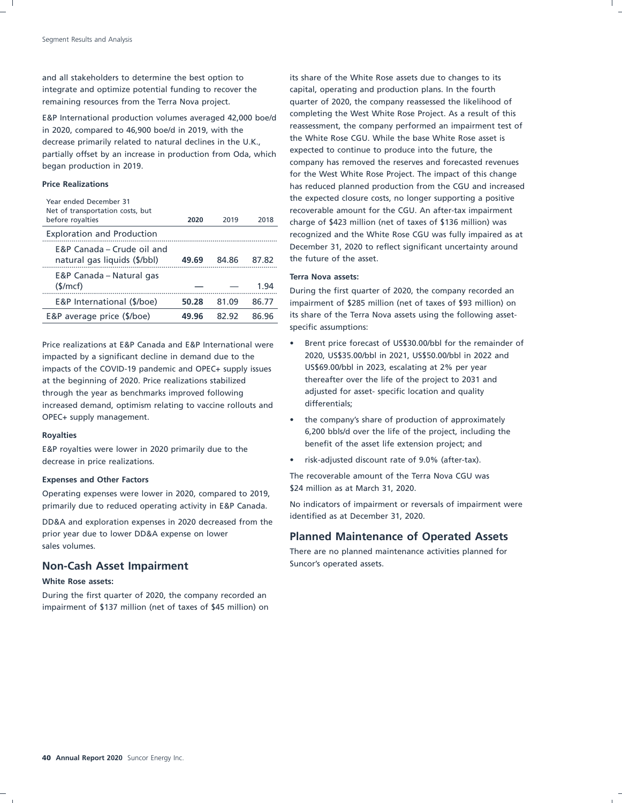integrate and optimize potential funding to recover the capital, operating and production plans. In the fourth

in 2020, compared to 46,900 boe/d in 2019, with the massessment, the company performed an impairment test of i<br>the White Rose CGU. While the base White Rose asset is decrease primarily related to natural declines in the U.K.,<br>expected to continue to produce into the future, the partially offset by an increase in production from Oda, which company has removed the reserves and forecasted revenues began production in 2019.

| Year ended December 31<br>Net of transportation costs, but<br>before royalties | 2020  | 2019  | 2018  |
|--------------------------------------------------------------------------------|-------|-------|-------|
| <b>Exploration and Production</b>                                              |       |       |       |
| E&P Canada – Crude oil and<br>natural gas liquids (\$/bbl)                     | 49.69 | 84.86 | 87.82 |
| E&P Canada – Natural gas<br>$(\frac{1}{2})$                                    |       |       | 1 94  |
| E&P International (\$/boe)                                                     | 50.28 | 81.09 | 86.77 |
| E&P average price (\$/boe)                                                     | 49.96 | 82.92 | 86.96 |

impacted by a significant decline in demand due to the 2020, US\$35.00/bbl in 2021, US\$50.00/bbl in 2022 and<br>impacts of the COVID-19 pandemic and OPEC+ supply issues US\$69.00/bbl in 2023, escalating at 2% per year impacts of the COVID-19 pandemic and OPEC+ supply issues at the beginning of 2020. Price realizations stabilized thereafter over the life of the project to 2031 and through the year as benchmarks improved following adjusted for asset- specific location and quality increased demand, optimism relating to vaccine rollouts and differentials; OPEC+ supply management.  $\bullet$  the company's share of production of approximately

E&P royalties were lower in 2020 primarily due to the decrease in price realizations. • **•** risk-adjusted discount rate of 9.0% (after-tax).

Operating expenses were lower in 2020, compared to 2019,

identified as at December 31, 2020. DD&A and exploration expenses in 2020 decreased from the prior year due to lower DD&A expense on lower **Planned Maintenance of Operated Assets**<br>sales volumes.

### **Non-Cash Asset Impairment** Suncor's operated assets.

### **White Rose assets:**

During the first quarter of 2020, the company recorded an impairment of \$137 million (net of taxes of \$45 million) on

and all stakeholders to determine the best option to its share of the White Rose assets due to changes to its remaining resources from the Terra Nova project. quarter of 2020, the company reassessed the likelihood of E&P International production volumes averaged 42,000 boe/d completing the West White Rose Project. As a result of this<br>Eassessment, the company performed an impairment test of for the West White Rose Project. The impact of this change **Price Realizations** has reduced planned production from the CGU and increased the expected closure costs, no longer supporting a positive recoverable amount for the CGU. An after-tax impairment charge of \$423 million (net of taxes of \$136 million) was recognized and the White Rose CGU was fully impaired as at December 31, 2020 to reflect significant uncertainty around the future of the asset.

### E&P Canada – Natural gas **Terra Nova assets:**

During the first quarter of 2020, the company recorded an impairment of \$285 million (net of taxes of \$93 million) on its share of the Terra Nova assets using the following assetspecific assumptions:

- Price realizations at E&P Canada and E&P International were Brent price forecast of US\$30.00/bbl for the remainder of
- Royalties<br>
Factor and the project, including the project, including the **Royalties**<br> **Royalties**<br> **Royalties**<br> **Royalties**<br> **Royalties**<br> **Royalties**<br> **Royalties**<br> **Royalties**<br> **Royalties**<br> **Royalties** 
	-

The recoverable amount of the Terra Nova CGU was **Expenses and Other Factors**

primarily due to reduced operating activity in E&P Canada. No indicators of impairment or reversals of impairment were

There are no planned maintenance activities planned for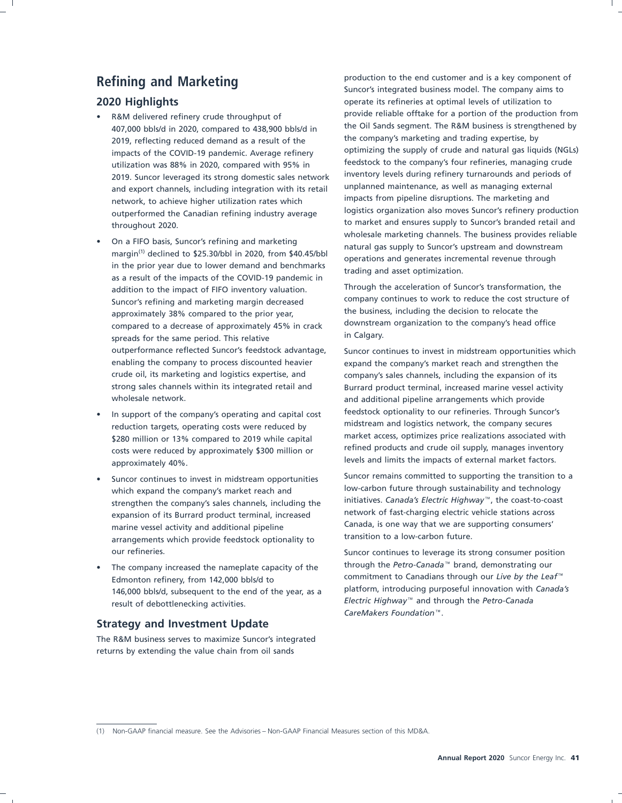- 407,000 bbls/d in 2020, compared to 438,900 bbls/d in the Oil Sands segment. The R&M business is strengthened to 438,900 bbls/d in the company's marketing and trading expertise, by  $\frac{1}{2019}$  reflecting reduced demand as 2019. Suncor leveraged its strong domestic sales network inventory levels during refinery turnarounds and perio<br>And export channels including integration with its retail unplanned maintenance, as well as managing external and export channels, including integration with its retail unplanned maintenance, as well as managing externa<br>network, to achieve higher utilization rates which impacts from pipeline disruptions. The marketing and outperformed the Canadian refining industry average
- On a FIFO basis, Suncor's refining and marketing<br>margin<sup>(1)</sup> declined to \$25.30/bbl in 2020, from \$40.45/bbl<br>in the prior year due to lower demand and benchmarks<br>as a result of the impacts of the COVID-19 pandemic in Suncor's refining and marketing margin decreased<br>annroximately 38% compared to the prior year and the business, including the decision to relocate the approximately 38% compared to the prior year,<br>compared to a decrease of approximately 45% in crack downstream organization to the company's head office compared to a decrease of approximately 45% in crack downstrea<br>spreads for the same period. This relative in Calgary. spreads for the same period. This relative enabling the company to process discounted heavier expand the company's market reach and strengthen the crude oil, its marketing and logistics expertise, and company's sales channels, including the expansion of its wholesale network. **and a support in the act of the and additional pipeline arrangements which provide**
- costs were reduced by approximately \$300 million or levels and limits the impacts of external market factors. approximately 40%.
- expansion of its Burrard product terminal, increased arrangements which provide feedstock optionality to
- 146,000 bbls/d, subsequent to the end of the year, as a result of debottlenecking activities. **Electric Highway™** and through the *Petro-Canada*

### **Strategy and Investment Update**

The R&M business serves to maximize Suncor's integrated returns by extending the value chain from oil sands

**Refining and Marketing Refining and Marketing Suncor's integrated business model.** The company aims to **2020 Highlights 1020 Highlights 1020 Highlights operate its refineries at optimal levels of utilization to** R&M delivered refinery crude throughput of provide reliable offtake for a portion of the production from<br>107,000 bble/d in 2020, compared to 438,900 bble/d in the Oil Sands segment. The R&M business is strengthened by 2019, reflecting reduced demand as a result of the the company's marketing and trading expertise, by<br>2019, reflecting reduced demand as a result of the company's marketing and trading expertise, by<br>2019, reflecting reduced impacts of the COVID-19 pandemic. Average refinery optimizing the supply of crude and natural gas liquids (NGL<br>
intilization was 88% in 2020, compared with 95% in feedstock to the company's four refineries, managing crude utilization was 88% in 2020, compared with 95% in a steedstock to the company's four refineries, managing crude<br>2019, Suncer leveraged its strong domestic sales network inventory levels during refinery turnarounds and peri network, to achieve higher utilization rates which methods in match impacts from pipeline disruptions. The marketing and network, to achieve higher utilization rates which also impacts from pipeline disruptions. The market to market and ensures supply to Suncor's branded retail and<br>wholesale marketing channels. The business provides reliable

addition to the impact of FIFO inventory valuation. Through the acceleration of Suncor's transformation, the acceleration to the impact of FIFO inventory valuation.

outperformance reflected Suncor's feedstock advantage, Suncor continues to invest in midstream opportunities which strong sales channels within its integrated retail and Burrard product terminal, increased marine vessel activity In support of the company's operating and capital cost<br>
reduction targets operating costs were reduced by midstream and logistics network, the company secures reduction targets, operating costs were reduced by midstream and logistics network, the company secures<br>\$280 million or 13% compared to 2019 while capital market access, optimizes price realizations associated with \$280 million or 13% compared to 2019 while capital and market access, optimizes price realizations associated with \$200 million or 19% context access, optimizes price realizations associated with  $\frac{1}{2}$  costs were reduc

Suncor continues to invest in midstream opportunities Suncor remains committed to supporting the transition to a<br>
low-carbon future through sustainability and technology which expand the company's market reach and low-carbon future through sustainability and technology<br>strongthen the company's cales channels, including the limitiatives. Canada's Electric Highway<sup>TM</sup>, the coast-to-coast strengthen the company's sales channels, including the and initiatives. Canada's Electric Highway'", the coast-to-coast<br>Announce of the Purrard product terminal increased and the metwork of fast-charging electric vehicle s marine vessel activity and additional pipeline Canada, is one way that we are supporting consumers'<br>
care are supporting consumers' transition to a low-carbon future.

our refineries. Suncor continues to leverage its strong consumer position The company increased the nameplate capacity of the brandgh the *Petro-Canada*™ brand, demonstrating our Edmonton refinery, from 142,000 bbls/d to commitment to Canadians through our *Live by the Leaf*<sup>™</sup><br>146,000 bbls/d subsequent to the end of the vear as a platform, introducing purposeful innovation with Canada's *CareMakers Foundation*.

<sup>(1)</sup> Non-GAAP financial measure. See the Advisories – Non-GAAP Financial Measures section of this MD&A.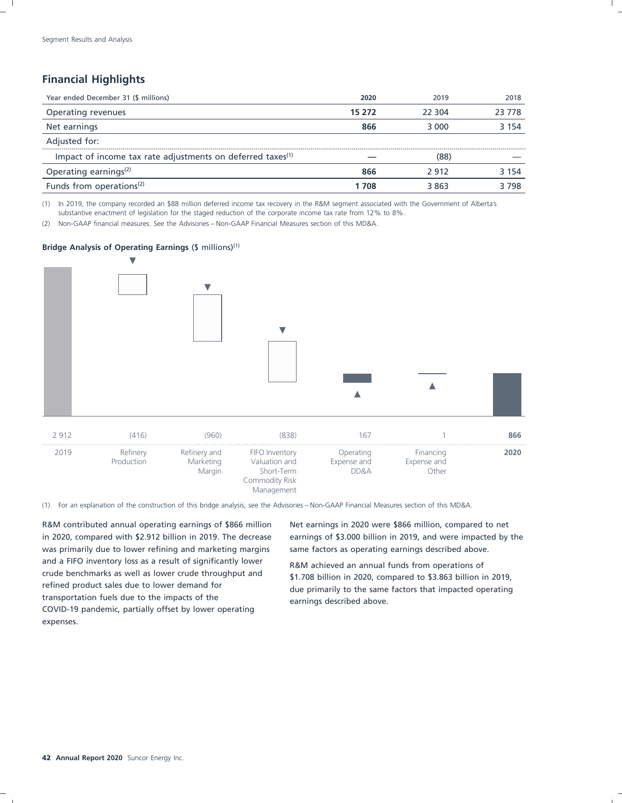### **Financial Highlights**

| Year ended December 31 (\$ millions)                                       | 2020   | 2019   | 2018    |
|----------------------------------------------------------------------------|--------|--------|---------|
| Operating revenues                                                         | 15 272 | 22.304 | 23 778  |
| Net earnings                                                               | 866    | 3 000  | 3 1 5 4 |
| Adjusted for:                                                              |        |        |         |
| <br>Impact of income tax rate adjustments on deferred taxes <sup>(1)</sup> |        | (88)   |         |
| Operating earnings <sup>(2)</sup>                                          | 866    | 2912   | 3 1 5 4 |
| Funds from operations <sup>(2)</sup>                                       | 1 708  | 3 863  | 3798    |

(1) In 2019, the company recorded an \$88 million deferred income tax recovery in the R&M segment associated with the Government of Alberta's substantive enactment of legislation for the staged reduction of the corporate income tax rate from 12% to 8%.

(2) Non-GAAP financial measures. See the Advisories – Non-GAAP Financial Measures section of this MD&A.

### **Bridge Analysis of Operating Earnings** (\$ millions)(1)



(1) For an explanation of the construction of this bridge analysis, see the Advisories – Non-GAAP Financial Measures section of this MD&A.

R&M contributed annual operating earnings of \$866 million Net earnings in 2020 were \$866 million, compared to net was primarily due to lower refining and marketing margins same factors as operating earnings described above. and a FIFO inventory loss as a result of significantly lower<br>crude benchmarks as well as lower crude throughput and<br> $\frac{41.709 \text{ billion}}{4.1.709 \text{ billion}}$  in 2020, compared to \$2.862 billion in crude benchmarks as well as lower crude throughput and \$1.708 billion in 2020, compared to \$3.863 billion in 2019, compared to \$3.863 billion in 2019, transportation fuels due to the impacts of the earnings described above. COVID-19 pandemic, partially offset by lower operating expenses.

in 2020, compared with \$2.912 billion in 2019. The decrease earnings of \$3.000 billion in 2019, and were impacted by the

due primarily to the same factors that impacted operating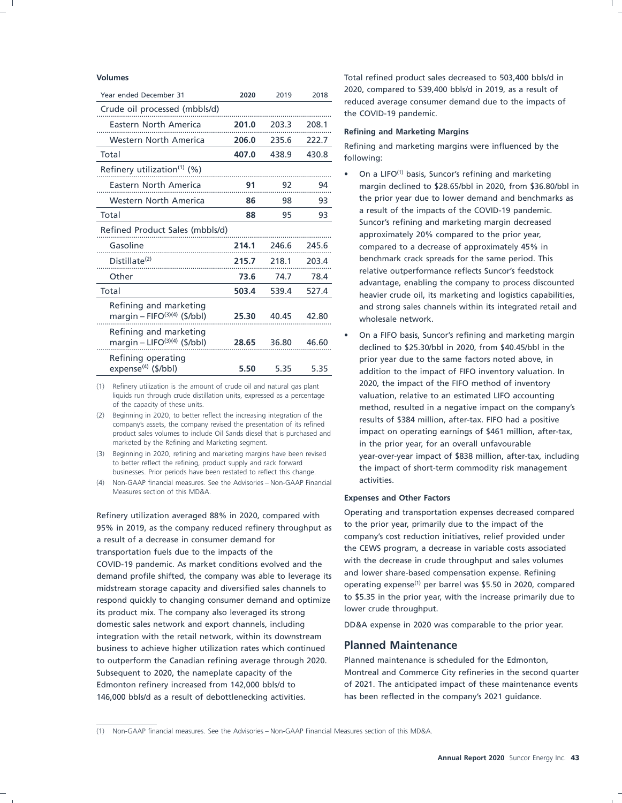| Year ended December 31                                    | 2020  | 2019  | 2018  | ZUZU, COIII            |
|-----------------------------------------------------------|-------|-------|-------|------------------------|
| Crude oil processed (mbbls/d)                             |       |       |       | reduced a<br>the COVID |
| Eastern North America                                     | 201.0 | 203.3 | 208.1 | Refining a             |
| Western North America                                     | 206.0 | 235.6 | 222.7 | Refining a             |
| Total                                                     | 407.0 | 438.9 | 430.8 | following:             |
| Refinery utilization <sup>(1)</sup> (%)                   |       |       |       | On a I                 |
| Eastern North America                                     | 91    | 92    | 94    | margi                  |
| Western North America                                     | 86    | 98    | 93    | the pr                 |
| Total                                                     | 88    | 95    | 93    | a resu                 |
| Refined Product Sales (mbbls/d)                           |       |       |       | Sunco<br>appro         |
| Gasoline                                                  | 214.1 | 246.6 | 245.6 | compa                  |
| Distillate <sup>(2)</sup>                                 | 215.7 | 218.1 | 203.4 | bench                  |
| Other                                                     | 73.6  | 74.7  | 78.4  | relativ<br>advan       |
| Total                                                     | 503.4 | 539.4 | 527.4 | heavie                 |
| Refining and marketing<br>margin – FIFO $(3)(4)$ (\$/bbl) | 25.30 | 40.45 | 42.80 | and st<br>whole        |
| Refining and marketing<br>margin - LIFO $(3)(4)$ (\$/bbl) | 28.65 | 36.80 | 46.60 | On a I<br>declin       |
| Refining operating<br>expense $(4)$ (\$/bbl)              | 5.50  | 5.35  | 5.35  | prior y<br>additi      |

liquids run through crude distillation units, expressed as a percentage valuation, relative to an estimated LIFO accounting of the capacity of these units.

product sales volumes to include Oil Sands diesel that is purchased and

(4) Non-GAAP financial measures. See the Advisories – Non-GAAP Financial activities. Measures section of this MD&A.

95% in 2019, as the company reduced refinery throughput as the prior year, primarily due to the impact of the<br>Company's cost reduction initiatives, relief provided under a result of a decrease in consumer demand for<br>the CEWS program, a decrease in variable costs associated<br>the CEWS program, a decrease in variable costs associated transportation fuels due to the impacts of the transportation fuels due to the impacts of the terms in the CEWS program, a decrease in variable costs associated to the impacts of the second and the second with the decrease COVID-19 pandemic. As market conditions evolved and the with the decrease in crude throughput and sales volume<br>demand prefile chifted, the company was able to lowered its and lower share-based compensation expense. Refinin demand profile shifted, the company was able to leverage its midstream storage capacity and diversified sales channels to operating expense." per parrel was \$5.50 in 2020, compared<br>respond quickly to changing consumer demand and optimize to \$5.35 in the prior year, with the increase to \$5.35 in the prior year, respond quickly to changing consumer demand and optimize<br>its product mix. The company also lower and its ctrong. its product mix. The company also leveraged its strong domestic sales network and export channels, including DD&A expense in 2020 was comparable to the prior year. integration with the retail network, within its downstream business to achieve higher utilization rates which continued **Planned Maintenance** to outperform the Canadian refining average through 2020. Planned maintenance is scheduled for the Edmonton, 146,000 bbls/d as a result of debottlenecking activities. has been reflected in the company's 2021 guidance.

**Volumes** Total refined product sales decreased to 503,400 bbls/d in 2020, compared to 539,400 bbls/d in 2019, as a result of reduced average consumer demand due to the impacts of the COVID-19 pandemic.

### **Refining and Marketing Margins**

Refining and marketing margins were influenced by the

- On a LIFO<sup>(1)</sup> basis, Suncor's refining and marketing margin declined to \$28.65/bbl in 2020, from \$36.80/bbl in the prior year due to lower demand and benchmarks as a result of the impacts of the COVID-19 pandemic. Suncor's refining and marketing margin decreased approximately 20% compared to the prior year, compared to a decrease of approximately 45% in<br>benchmark crack spreads for the same period. This relative outperformance reflects Suncor's feedstock<br>advantage, enabling the company to process discounted heavier crude oil, its marketing and logistics capabilities, and strong sales channels within its integrated retail and wholesale network.
- On a FIFO basis, Suncor's refining and marketing margin<br>declined to \$25.30/bbl in 2020, from \$40.45/bbl in the prior year due to the same factors noted above, in addition to the impact of FIFO inventory valuation. In (1) Refinery utilization is the amount of crude oil and natural gas plant **2020, the impact of the FIFO method of inventory**<br>liquids run through crude distillation units, expressed as a percentage **valuation, relative to a** of the capacity of these units.<br>(2) Beginning in 2020, to better reflect the increasing integration of the **the company's**<br>(2) Beginning in 2020, to better reflect the increasing integration of the **the secults of \$284 mil** beginning in 2020, to better reflect the increasing integration of the results of \$384 million, after-tax. FIFO had a positive company's assets, the company's assets, the company revised the presentation of its refined and marketed by the Refining and Marketing segment.<br>in the prior year, for an overall unfavourable<br>year-over-year impact of \$838 million after-t. Beginning in 2020, refining and marketing margins have been revised<br>to better reflect the refining, product supply and rack forward<br>businesses. Prior periods have been restated to reflect this change.<br>businesses. Prior per

### **Expenses and Other Factors**

Refinery utilization averaged 88% in 2020, compared with Operating and transportation expenses decreased compared<br>Refinery utilization averaged 88% in 2020, compared with Operating and transportation expenses decreased com operating expense<sup>(1)</sup> per barrel was \$5.50 in 2020, compared

Subsequent to 2020, the nameplate capacity of the Montreal and Commerce City refineries in the second quarter Edmonton refinery increased from 142,000 bbls/d to of 2021. The anticipated impact of these maintenance events

<sup>(1)</sup> Non-GAAP financial measures. See the Advisories – Non-GAAP Financial Measures section of this MD&A.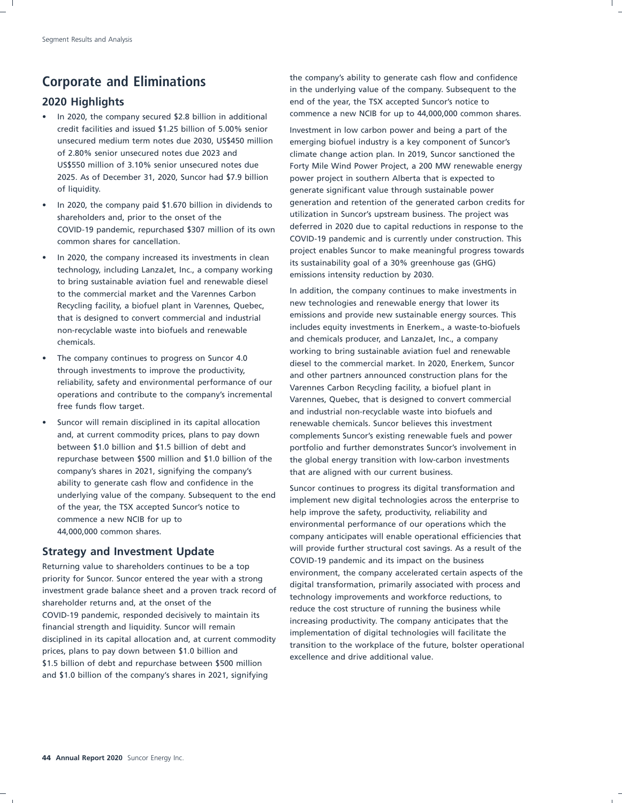- credit facilities and issued \$1.25 billion of 5.00% senior Investment in low carbon power and being a part of the 2025. As of December 31, 2020, Suncor had \$7.9 billion power project in southern Alberta that is expected to of liquidity. generate significant value through sustainable power
- COVID-19 pandemic, repurchased \$307 million of its own
- In 2020, the company increased its investments in clean<br>technology, including Lanzalet, Inc., a company working<br>to bring sustainable aviation fuel and renewable diesel<br>to the commercial market and the Varennes Carbon<br>the d In addition, the company continues to make investment<br>Recycling facility a biofuel plant in Varennes Quebec new technologies and renewable energy that lower its that is designed to convert commercial and industrial
- 
- Suncor will remain disciplined in its capital allocation renewable chemicals. Suncor believes this investment company's shares in 2021, signifying the company's that are aligned with our current business.

and \$1.0 billion of the company's shares in 2021, signifying

**Corporate and Eliminations Corporate and Eliminations in the company's ability to generate cash flow and confidence**<br>in the underlying value of the company. Subsequent to the **2020 Highlights EX Highlights** end of the year, the TSX accepted Suncor's notice to In 2020, the company secured \$2.8 billion in additional commence a new NCIB for up to 44,000,000 common shares.

unsecured medium term notes due 2030, US\$450 million emerging biofuel industry is a key component of Suncor's of 2.80% senior unsecured notes due 2023 and climate change action plan. In 2019, Suncor sanctioned the US\$550 million of 3.10% senior unsecured notes due Forty Mile Wind Power Project, a 200 MW renewable energy In 2020, the company paid \$1.670 billion in dividends to generation and retention of the generated carbon credits for shareholders and, prior to the onset of the shareholders utilization in Suncor's upstream business. The project was<br>COVID-19 pandemic repurchased \$307 million of its own deferred in 2020 due to capital reductions in respon COVID-19 pandemic and is currently under construction. This common shares for cancellation.

Recycling facility, a biofuel plant in Varennes, Quebec,<br>That is designed to convert commercial and industrial and penissions and provide new sustainable energy sources. This non-recyclable waste into biofuels and renewable **includes equity investments in Enerkem.**, a waste-to-biofuels and chemicals producer, and LanzaJet, Inc., a company chemicals. • The company continues to progress on Suncor 4.0<br>
through investments to improve the productivity,<br>
reliability, safety and environmental performance of our<br>
operations and contribute to the company's incremental<br>
free fu and, at current commodity prices, plans to pay down complements Suncor's existing renewable fuels and power between \$1.0 billion and \$1.5 billion of debt and portfolio and further demonstrates Suncor's involvement in repurchase between \$500 million and \$1.0 billion of the the global energy transition with low-carbon investments

ability to generate cash flow and confidence in the<br>
underlying value of the company. Subsequent to the end<br>
of the year, the TSX accepted Suncor's notice to<br>
commence a new NCIB for up to<br>
44,000,000 common shares.<br>
Help **Strategy and Investment Update**<br>
Returning value to shareholders continues to be a top<br>
priority for Suncor. Suncor entered the year with a strong<br>
investment grade balance sheet and a proven track record of<br>
shareholder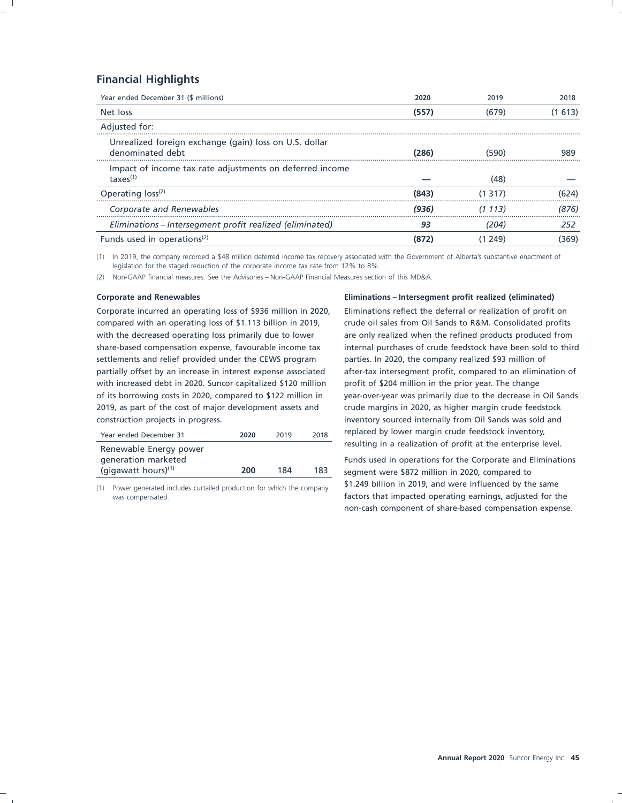### **Financial Highlights**

| Year ended December 31 (\$ millions)                                             | 2020  | 2019    | 2018    |
|----------------------------------------------------------------------------------|-------|---------|---------|
| Net loss                                                                         | (557) | (679)   | (1 613) |
| Adjusted for:                                                                    |       |         |         |
| Unrealized foreign exchange (gain) loss on U.S. dollar<br>denominated debt       | (286) | 1590    | 989     |
| Impact of income tax rate adjustments on deferred income<br>$\text{taxes}^{(1)}$ |       | (48)    |         |
| Operating loss <sup>(2)</sup>                                                    | (843  | -317    |         |
| Corporate and Renewables                                                         | (936) | (1 113) | (876)   |
| Eliminations – Intersegment profit realized (eliminated)                         | 93    | (204    | 252     |
| Funds used in operations <sup>(2)</sup>                                          |       | 249     | 369)    |

(1) In 2019, the company recorded a \$48 million deferred income tax recovery associated with the Government of Alberta's substantive enactment of legislation for the staged reduction of the corporate income tax rate from 12% to 8%.

(2) Non-GAAP financial measures. See the Advisories – Non-GAAP Financial Measures section of this MD&A.

Corporate incurred an operating loss of \$936 million in 2020, Eliminations reflect the deferral or realization of profit on compared with an operating loss of \$1.113 billion in 2019, crude oil sales from Oil Sands to R&M. Consolidated profits with the decreased operating loss primarily due to lower are only realized when the refined products produced from share-based compensation expense, favourable income tax internal purchases of crude feedstock have been sold to third settlements and relief provided under the CEWS program parties. In 2020, the company realized \$93 million of partially offset by an increase in interest expense associated after-tax intersegment profit, compared to an elimination of with increased debt in 2020. Suncor capitalized \$120 million profit of \$204 million in the prior year. The change of its borrowing costs in 2020, compared to \$122 million in year-over-year was primarily due to the decrease in Oil Sands 2019, as part of the cost of major development assets and crude margins in 2020, as higher margin crude feedstock construction projects in progress. inventory sourced internally from Oil Sands was sold and

| Year ended December 31                                                  | 2020 | 2019 | 2018 |
|-------------------------------------------------------------------------|------|------|------|
| Renewable Energy power<br>generation marketed<br>(gigawatt hours) $(1)$ | 200  | 184  | 183  |

### **Corporate and Renewables Eliminations – Intersegment profit realized (eliminated)**

replaced by lower margin crude feedstock inventory, resulting in a realization of profit at the enterprise level.

Funds used in operations for the Corporate and Eliminations segment were \$872 million in 2020, compared to \$1.249 billion in 2019, and were influenced by the same (1) Power generated includes curtailed production for which the company factors that impacted operating earnings, adjusted for the non-cash component of share-based compensation expense.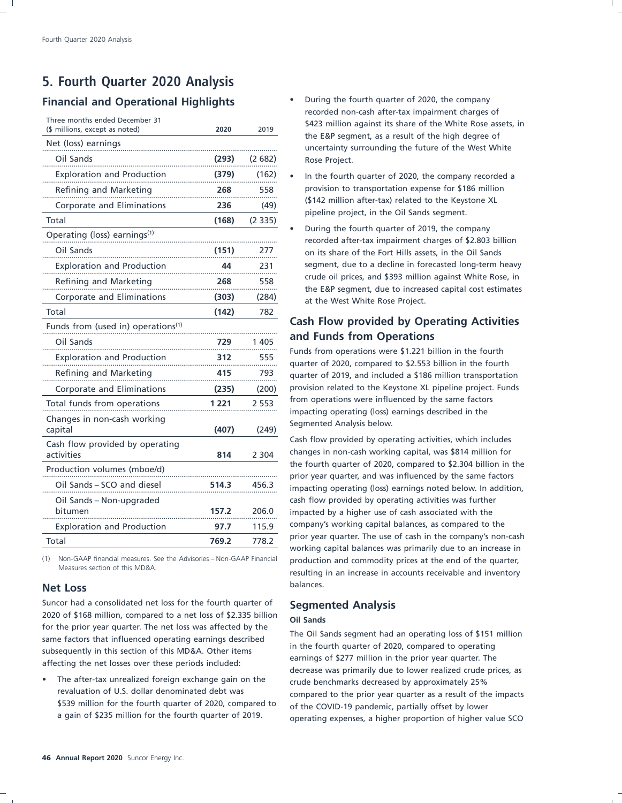### **5. Fourth Quarter 2020 Analysis Financial and Operational Highlights** • During the fourth quarter of 2020, the company

|  | Three months ended December 31 |  |
|--|--------------------------------|--|

| (\$ millions, except as noted)                 | 2020  | 2019    |
|------------------------------------------------|-------|---------|
| Net (loss) earnings                            |       |         |
| Oil Sands                                      | (293) | (2682)  |
| <b>Exploration and Production</b>              | (379) | (162)   |
| Refining and Marketing                         | 268   | 558     |
| Corporate and Eliminations                     | 236   | (49)    |
| Total                                          | (168) | (2335)  |
| Operating (loss) earnings <sup>(1)</sup>       |       |         |
| Oil Sands                                      | (151) | 277     |
| <b>Exploration and Production</b>              | 44    | 231     |
| Refining and Marketing                         | 268   | 558     |
| Corporate and Eliminations                     | (303) | (284)   |
| Total                                          | (142) | 782     |
| Funds from (used in) operations <sup>(1)</sup> |       |         |
| Oil Sands                                      | 729   | 1 4 0 5 |
| <b>Exploration and Production</b>              | 312   | 555     |
| Refining and Marketing                         | 415   | 793     |
| Corporate and Eliminations                     | (235) | (200)   |
| Total funds from operations                    | 1 221 | 2 553   |
| Changes in non-cash working<br>capital         | (407) | (249)   |
| Cash flow provided by operating<br>activities  | 814   | 2 3 0 4 |
| Production volumes (mboe/d)                    |       |         |
| Oil Sands - SCO and diesel                     | 514.3 | 456.3   |
| Oil Sands – Non-upgraded<br>bitumen            | 157.2 | 206.0   |
| <b>Exploration and Production</b>              | 97.7  | 115.9   |
| Total                                          | 769.2 | 778.2   |
|                                                |       |         |

### balances. **Net Loss**

Suncor had a consolidated net loss for the fourth quarter of **Segmented Analysis** 2020 of \$168 million, compared to a net loss of \$2.335 billion **Oil Sands**

• The after-tax unrealized foreign exchange gain on the crude benchmarks decreased by approximately 25% \$539 million for the fourth quarter of 2020, compared to of the COVID-19 pandemic, partially offset by lower<br>a gain of \$235 million for the fourth quarter of 2019. Congrating expenses a bigher proportion of higher y

- recorded non-cash after-tax impairment charges of \$423 million against its share of the White Rose assets, in the E&P segment, as a result of the high degree of uncertainty surrounding the future of the West White
- In the fourth quarter of 2020, the company recorded a provision to transportation expense for \$186 million (\$142 million after-tax) related to the Keystone XL<br>pipeline project, in the Oil Sands segment.
- During the fourth quarter of 2019, the company recorded after-tax impairment charges of \$2.803 billion on its share of the Fort Hills assets, in the Oil Sands<br>segment, due to a decline in forecasted long-term heavy crude oil prices, and \$393 million against White Rose, in<br>the E&P segment, due to increased capital cost estimates at the West White Rose Project.

# **Cash Flow provided by Operating Activities and Funds from Operations**

Funds from operations were \$1.221 billion in the fourth<br>quarter of 2020, compared to \$2.553 billion in the fourth quarter of 2019, and included a \$186 million transportation provision related to the Keystone XL pipeline project. Funds

Cash flow provided by operating activities, which includes changes in non-cash working capital, was \$814 million for the fourth quarter of 2020, compared to  $$2.304$  billion in the prior year quarter, and was influenced by the same factors impacting operating (loss) earnings noted below. In addition, cash flow provided by operating activities was further impacted by a higher use of cash associated with the company's working capital balances, as compared to the prior year quarter. The use of cash in the company's non-cash working capital balances was primarily due to an increase in (1) Non-GAAP financial measures. See the Advisories – Non-GAAP Financial production and commodity prices at the end of the quarter,<br>resulting in an increase in accounts receivable and inventory

for the prior year quarter. The net loss was affected by the<br>same factors that influenced operating earnings described<br>subsequently in this section of this MD&A. Other items<br>affecting the net losses over these periods incl revaluation of U.S. dollar denominated debt was compared to the prior year quarter as a result of the impacts<br>\$539 million for the fourth quarter of 2020, compared to of the COVID-19 pandemic partially offset by lower operating expenses, a higher proportion of higher value SCO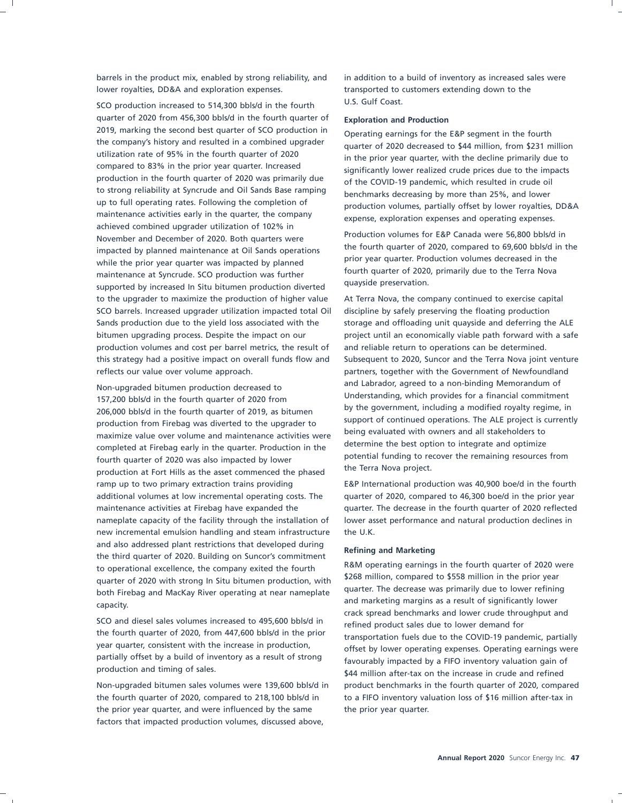barrels in the product mix, enabled by strong reliability, and in addition to a build of inventory as increased sales were lower royalties, DD&A and exploration expenses. The stransported to customers extending down to the

U.S. Gulf Coast. SCO production increased to 514,300 bbls/d in the fourth quarter of 2020 from 456,300 bbls/d in the fourth quarter of **Exploration and Production**<br>2019, marking the second best quarter of SCO production in **Conception comings for the** 2019, marking the second best quarter of SCO production in Operating earnings for the E&P segment in the fourth the company's history and resulted in a combined upgrader the company's history and resulted in a combined upgrader quarter of 2020 decreased to \$44 million, from \$231 million<br>utilization rate of 95% in the fourth quarter of 2020 utilization rate of 95% in the fourth quarter of 2020 in the prior year quarter, with the decline primarily due to<br>compared to 83% in the prior year quarter. Increased consistently lower realized crude prices due to the im compared to 83% in the prior year quarter. Increased significantly lower realized crude prices due to the impacts production in the fourth quarter of 2020 was primarily due production in the fourth quarter of 2020 was primarily due of the COVID-19 pandemic, which resulted in crude oil<br>to strong reliability at Syncrude and Oil Sands Base ramping benchmarks dessering by mess than 25% and lower to strong reliability at syncrude and Oil Sands Base ramping benchmarks decreasing by more than 25%, and lower<br>up to full operating rates. Following the completion of a production volumes partially offert by lower royaltio up to full operating rates. Following the completion of production volumes, partially offset by lower royalties, DD&A maintenance activities early in the quarter, the company achieved combined upgrader utilization of 102% in Production volumes for E&P Canada were 56,800 bbls/d in<br>
November and December of 2020 and Quarters were the fourth quarters were impacted by planned points and Dil Canda positions the fourth quarter of 2020, compared to 6 the fourth quarter of 2020, compared to 69,600 bbls/d in the increased in the indicated to 69,600 bbls/d in the in the in the in the in the in the in the in the in the in the in the in the in the in the in the in the in th while the prior year quarter was impacted by planned<br>fourth quarter of 2020, primarily due to the Terra Nova<br>maintenance at Syncrude SCO production was further fourth quarter of 2020, primarily due to the Terra Nova maintenance at Syncrude. SCO production was further The Terra Nova maintenance at Syncrude. SCO production was further and Terra Nova maintenance at Terra Nova maintenance at Syncrude. Second was further at the University supported by increased In Situ bitumen production diverted to the upgrader to maximize the production of higher value At Terra Nova, the company continued to exercise capital SCO barrels. Increased upgrader utilization impacted total Oil discipline by safely preserving the floating production Sands production due to the yield loss associated with the storage and offloading unit quayside and deferring the ALE production volumes and cost per barrel metrics, the result of and reliable return to operations can be determined. reflects our value over volume approach. partners, together with the Government of Newfoundland

Understanding, which provides for a financial commitment<br>157,200 bbls/d in the fourth quarter of 2010, as hit man by the government, including a modified royalty regime, in by the government, including a modified royalty regime, in 206,000 bbls/d in the fourth quarter of 2019, as bitumen<br>support of continued operations. The ALE project is currently production from Firebag was diverted to the upgrader to support of continued operations. The ALE project is c<br>maximize value over volume and maintenance activities were being evaluated with owners and all stakeholders to maximize value over volume and maintenance activities were<br>completed at Firebas early in the quarter Production in the determine the best option to integrate and optimize completed at Firebag early in the quarter. Production in the fourth quarter of 2020 was also impacted by lower<br>
potential funding to recover the remaining resources from<br>
the Terra Nova project. production at Fort Hills as the asset commenced the phased ramp up to two primary extraction trains providing E&P International production was 40,900 boe/d in the fourth additional volumes at low incremental operating costs. The quarter of 2020, compared to 46,300 boe/d in the prior year maintenance activities at Firebag have expanded the quarter. The decrease in the fourth quarter of 2020 reflected nameplate capacity of the facility through the installation of lower asset performance and natural production declines in new incremental emulsion handling and steam infrastructure the U.K. and also addressed plant restrictions that developed during<br>the third quarter of 2020. Building on Suncor's commitment<br>the special state of 2020 were the series with the fourth of R&M operating earnings in the fourth quart to operational excellence, the company exited the fourth the fourth state of 2020 were to 2020 were to 2020 were to a curricle of 2020 with the prior year quarter of 2020 with strong In Situ bitumen production, with and the prior compared to \$558 million in the prior year quarter. The decrease was primarily due to lower refining both Firebag and MacKay River operating at near nameplate and marketing margins as a result of significantly lower capacity.

SCO and diesel sales volumes increased to 495,600 bbls/d in refined product sales due to lower demand for the fourth quarter of 2020, from 447,600 bbls/d in the prior partially offset by a build of inventory as a result of strong favourably impacted by a FIFO inventory valuation gain of production and timing of sales.

the fourth quarter of 2020, compared to 218,100 bbls/d in to a FIFO inventory valuation loss of \$16 million after-tax in the prior year quarter, and were influenced by the same the prior year quarter. factors that impacted production volumes, discussed above,

expense, exploration expenses and operating expenses.

bitumen upgrading process. Despite the impact on our project until an economically viable path forward with a safe this strategy had a positive impact on overall funds flow and Subsequent to 2020, Suncor and the Terra Nova joint venture and Labrador, agreed to a non-binding Memorandum of Non-upgraded bitumen production decreased to

crack spread benchmarks and lower crude throughput and the fourth quarter of 2020, from 447,600 bbls/d in the prior transportation fuels due to the COVID-19 pandemic, partially year quarter, consistent with the increase in production, year quarter, consistent with the increase in production, offset by lower operating expenses. Operating earnings were<br>partially offset by a build of inventory as a result of strong \$44 million after-tax on the increase in crude and refined Non-upgraded bitumen sales volumes were 139,600 bbls/d in product benchmarks in the fourth quarter of 2020, compared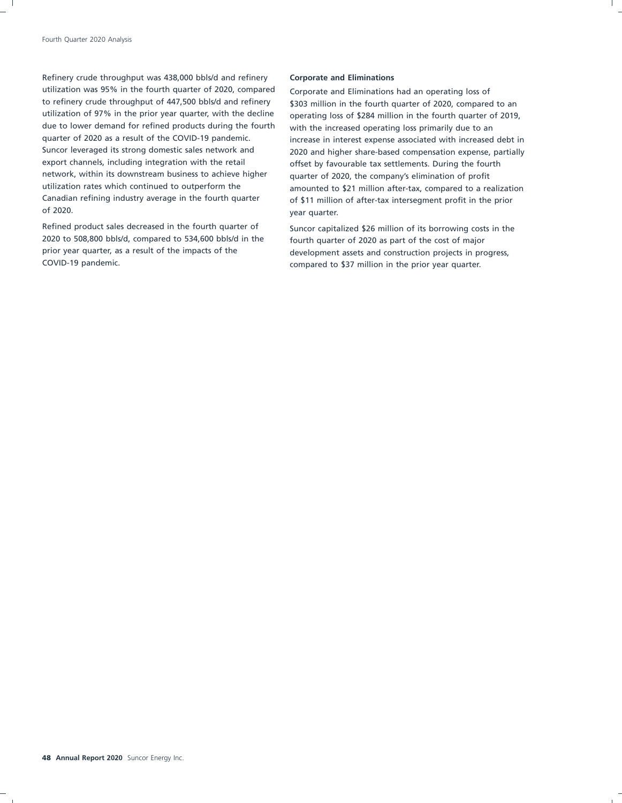Refinery crude throughput was 438,000 bbls/d and refinery **Corporate and Eliminations** utilization was 95% in the fourth quarter of 2020, compared Corporate and Eliminations had an operating loss of to refinery crude throughput of 447,500 bbls/d and refinery \$303 million in the fourth quarter of 2020, compared to an utilization of 97% in the prior year quarter, with the decline operating loss of \$284 million in the fourth quarter of 2019, due to lower demand for refined products during the fourth with the increased operating loss primarily due to an<br>quarter of 2020 as a result of the COVID-19 pandemic. The increase in interest expense associated with increa export channels, including integration with the retail offset by favourable tax settlements. During the fourth<br>
network, within its downstream business to achieve higher and retained of the company's elimination of profit of 2020. year quarter.

Refined product sales decreased in the fourth quarter of suncor capitalized \$26 million of its borrowing costs in the 2020 to 508,800 bbls/d, compared to 534,600 bbls/d in the fourth quarter of 2020 as part of the cost of major prior year quarter, as a result of the impacts of the development assets and construction projects in progress,<br>COVID-19 pandemic.<br>COVID-19 pandemic.

increase in interest expense associated with increased debt in Suncor leveraged its strong domestic sales network and 2020 and higher share-based compensation expense, partially quarter of 2020, the company's elimination of profit utilization rates which continued to outperform the amounted to \$21 million after-tax, compared to a realization<br>Canadian refining industry average in the fourth quarter of \$11 million of after-tax intersequent profit in t of \$11 million of after-tax intersegment profit in the prior

compared to \$37 million in the prior year quarter.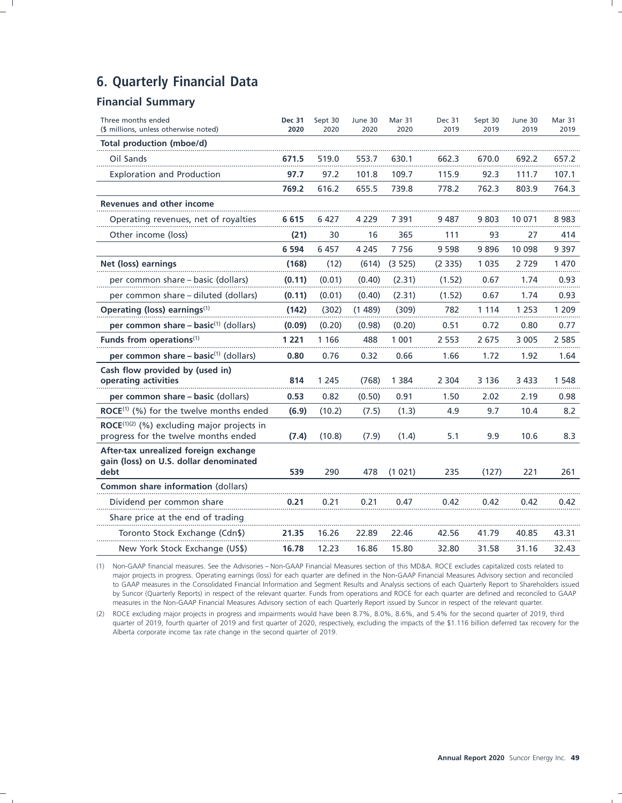### **6. Quarterly Financial Data**

### **Financial Summary**

| Three months ended<br>(\$ millions, unless otherwise noted)                                      | <b>Dec 31</b><br>2020 | Sept 30<br>2020 | June 30<br>2020 | Mar 31<br>2020 | <b>Dec 31</b><br>2019 | Sept 30<br>2019 | June 30<br>2019 | Mar 31<br>2019 |
|--------------------------------------------------------------------------------------------------|-----------------------|-----------------|-----------------|----------------|-----------------------|-----------------|-----------------|----------------|
| Total production (mboe/d)                                                                        |                       |                 |                 |                |                       |                 |                 |                |
| Oil Sands                                                                                        | 671.5                 | 519.0           | 553.7           | 630.1          | 662.3                 | 670.0           | 692.2           | 657.2          |
| <b>Exploration and Production</b>                                                                | 97.7                  | 97.2            | 101.8           | 109.7          | 115.9                 | 92.3            | 111.7           | 107.1          |
|                                                                                                  | 769.2                 | 616.2           | 655.5           | 739.8          | 778.2                 | 762.3           | 803.9           | 764.3          |
| <b>Revenues and other income</b>                                                                 |                       |                 |                 |                |                       |                 |                 |                |
| Operating revenues, net of royalties                                                             | 6 6 1 5               | 6427            | 4 2 2 9         | 7 391          | 9 487                 | 9 803           | 10 071          | 8983           |
| Other income (loss)                                                                              | (21)                  | 30              | 16              | 365            | 111                   | 93              | 27              | 414            |
|                                                                                                  | 6 5 9 4               | 6 4 5 7         | 4 2 4 5         | 7756           | 9 5 9 8               | 9896            | 10 098          | 9 3 9 7        |
| Net (loss) earnings                                                                              | (168)                 | (12)            | (614)           | (3525)         | (2335)                | 1 0 3 5         | 2729            | 1 470          |
| per common share – basic (dollars)                                                               | (0.11)                | (0.01)          | (0.40)          | (2.31)         | (1.52)                | 0.67            | 1.74            | 0.93           |
| per common share – diluted (dollars)                                                             | (0.11)                | (0.01)          | (0.40)          | (2.31)         | (1.52)                | 0.67            | 1.74            | 0.93           |
| Operating (loss) earnings <sup>(1)</sup>                                                         | (142)                 | (302)           | (1489)          | (309)          | 782                   | 1 1 1 4         | 1 2 5 3         | 1 209          |
| per common share $-$ basic <sup>(1)</sup> (dollars)                                              | (0.09)                | (0.20)          | (0.98)          | (0.20)         | 0.51                  | 0.72            | 0.80            | 0.77           |
| Funds from operations <sup>(1)</sup>                                                             | 1 2 2 1               | 1 1 6 6         | 488             | 1 0 0 1        | 2 5 5 3               | 2675            | 3 0 0 5         | 2 5 8 5        |
| per common share $-$ basic <sup>(1)</sup> (dollars)                                              | 0.80                  | 0.76            | 0.32            | 0.66           | 1.66                  | 1.72            | 1.92            | 1.64           |
| Cash flow provided by (used in)<br>operating activities                                          | 814                   | 1 2 4 5         | (768)           | 1 3 8 4        | 2 3 0 4               | 3 1 3 6         | 3 4 3 3         | 1 548          |
| per common share – basic (dollars)                                                               | 0.53                  | 0.82            | (0.50)          | 0.91           | 1.50                  | 2.02            | 2.19            | 0.98           |
| $\mathsf{ROCE}^{(1)}$ (%) for the twelve months ended                                            | (6.9)                 | (10.2)          | (7.5)           | (1.3)          | 4.9                   | 9.7             | 10.4            | 8.2            |
| $\mathsf{ROCE}^{(1)(2)}$ (%) excluding major projects in<br>progress for the twelve months ended | (7.4)                 | (10.8)          | (7.9)           | (1.4)          | 5.1                   | 9.9             | 10.6            | 8.3            |
| After-tax unrealized foreign exchange<br>gain (loss) on U.S. dollar denominated<br>debt          | 539                   | 290             | 478             | (1021)         | 235                   | (127)           | 221             | 261            |
| Common share information (dollars)                                                               |                       |                 |                 |                |                       |                 |                 |                |
| Dividend per common share                                                                        | 0.21                  | 0.21            | 0.21            | 0.47           | 0.42                  | 0.42            | 0.42            | 0.42           |
| Share price at the end of trading                                                                |                       |                 |                 |                |                       |                 |                 |                |
| Toronto Stock Exchange (Cdn\$)                                                                   | 21.35                 | 16.26           | 22.89           | 22.46          | 42.56                 | 41.79           | 40.85           | 43.31          |
| New York Stock Exchange (US\$)                                                                   | 16.78                 | 12.23           | 16.86           | 15.80          | 32.80                 | 31.58           | 31.16           | 32.43          |

(1) Non-GAAP financial measures. See the Advisories – Non-GAAP Financial Measures section of this MD&A. ROCE excludes capitalized costs related to major projects in progress. Operating earnings (loss) for each quarter are defined in the Non-GAAP Financial Measures Advisory section and reconciled to GAAP measures in the Consolidated Financial Information and Segment Results and Analysis sections of each Quarterly Report to Shareholders issued by Suncor (Quarterly Reports) in respect of the relevant quarter. Funds from operations and ROCE for each quarter are defined and reconciled to GAAP measures in the Non-GAAP Financial Measures Advisory section of each Quarterly Report issued by Suncor in respect of the relevant quarter.

(2) ROCE excluding major projects in progress and impairments would have been 8.7%, 8.0%, 8.6%, and 5.4% for the second quarter of 2019, third quarter of 2019, fourth quarter of 2019 and first quarter of 2020, respectively, excluding the impacts of the \$1.116 billion deferred tax recovery for the Alberta corporate income tax rate change in the second quarter of 2019.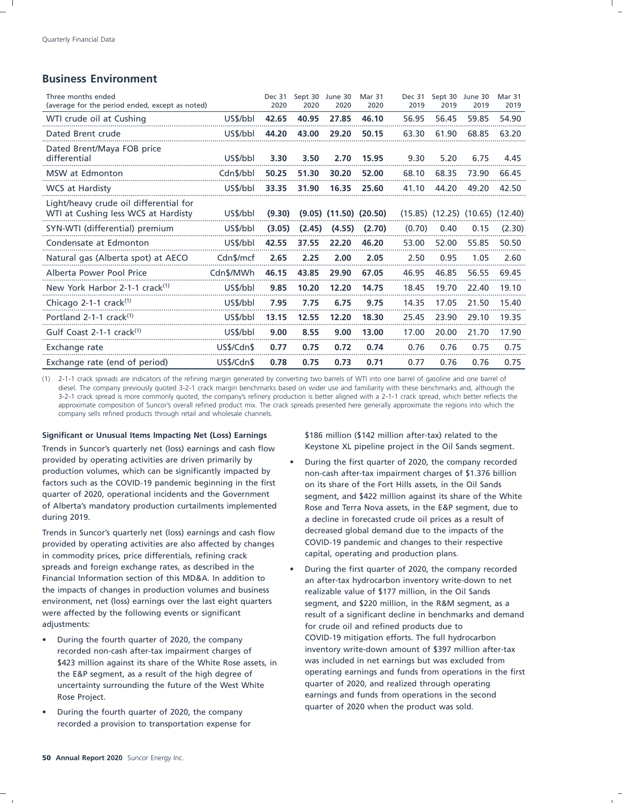### **Business Environment**

| Three months ended<br>(average for the period ended, except as noted)         |            | Dec 31<br>2020 | Sept 30<br>2020 | June 30<br>2020              | Mar 31<br>2020 | <b>Dec 31</b><br>2019 | Sept 30<br>2019 | June 30<br>2019                         | Mar 31<br>2019 |
|-------------------------------------------------------------------------------|------------|----------------|-----------------|------------------------------|----------------|-----------------------|-----------------|-----------------------------------------|----------------|
| WTI crude oil at Cushing                                                      | US\$/bbl   | 42.65          | 40.95           | 27.85                        | 46.10          | 56.95                 | 56.45           | 59.85                                   | 54.90          |
| Dated Brent crude                                                             | US\$/bbl   | 44.20          | 43.00           | 29.20                        | 50.15          | 63.30                 | 61.90           | 68.85                                   | 63.20          |
| Dated Brent/Maya FOB price<br>differential                                    | US\$/bbl   | 3.30           | 3.50            | 2.70                         | 15.95          | 9.30                  | 5.20            | 6.75                                    | 4.45           |
| MSW at Edmonton                                                               | Cdn\$/bbl  | 50.25          | 51.30           | 30.20                        | 52.00          | 68.10                 | 68.35           | 73.90                                   | 66.45          |
| <b>WCS</b> at Hardisty                                                        | US\$/bbl   | 33.35          | 31.90           | 16.35                        | 25.60          | 41.10                 | 44.20           | 49.20                                   | 42.50          |
| Light/heavy crude oil differential for<br>WTI at Cushing less WCS at Hardisty | US\$/bbl   | (9.30)         |                 | $(9.05)$ $(11.50)$ $(20.50)$ |                |                       |                 | $(15.85)$ $(12.25)$ $(10.65)$ $(12.40)$ |                |
| SYN-WTI (differential) premium                                                | US\$/bbl   | (3.05)         | (2.45)          | (4.55)                       | (2.70)         | (0.70)                | 0.40            | 0.15                                    | (2.30)         |
| Condensate at Edmonton                                                        | US\$/bbl   | 42.55          | 37.55           | 22.20                        | 46.20          | 53.00                 | 52.00           | 55.85                                   | 50.50          |
| Natural gas (Alberta spot) at AECO                                            | Cdn\$/mcf  | 2.65           | 2.25            | 2.00                         | 2.05           | 2.50                  | 0.95            | 1.05                                    | 2.60           |
| Alberta Power Pool Price                                                      | Cdn\$/MWh  | 46.15          | 43.85           | 29.90                        | 67.05          | 46.95                 | 46.85           | 56.55                                   | 69.45          |
| New York Harbor 2-1-1 crack <sup>(1)</sup>                                    | US\$/bbl   | 9.85           | 10.20           | 12.20                        | 14.75          | 18.45                 | 19.70           | 22.40                                   | 19.10          |
| Chicago 2-1-1 crack <sup>(1)</sup>                                            | US\$/bbl   | 7.95           | 7.75            | 6.75                         | 9.75           | 14.35                 | 17.05           | 21.50                                   | 15.40          |
| Portland $2-1-1$ crack $(1)$                                                  | US\$/bbl   | 13.15          | 12.55           | 12.20                        | 18.30          | 25.45                 | 23.90           | 29.10                                   | 19.35          |
| Gulf Coast 2-1-1 $crack(1)$                                                   | US\$/bbl   | 9.00           | 8.55            | 9.00                         | 13.00          | 17.00                 | 20.00           | 21.70                                   | 17.90          |
| Exchange rate                                                                 | US\$/Cdn\$ | 0.77           | 0.75            | 0.72                         | 0.74           | 0.76                  | 0.76            | 0.75                                    | 0.75           |
| Exchange rate (end of period)                                                 | US\$/Cdn\$ | 0.78           | 0.75            | 0.73                         | 0.71           | 0.77                  | 0.76            | 0.76                                    | 0.75           |

(1) 2-1-1 crack spreads are indicators of the refining margin generated by converting two barrels of WTI into one barrel of gasoline and one barrel of diesel. The company previously quoted 3-2-1 crack margin benchmarks based on wider use and familiarity with these benchmarks and, although the 3-2-1 crack spread is more commonly quoted, the company's refinery production is better aligned with a 2-1-1 crack spread, which better reflects the approximate composition of Suncor's overall refined product mix. The crack spreads presented here generally approximate the regions into which the company sells refined products through retail and wholesale channels.

### **Significant or Unusual Items Impacting Net (Loss) Earnings** \$186 million (\$142 million after-tax) related to the

Trends in Suncor's quarterly net (loss) earnings and cash flow Keystone XL pipeline project in the Oil Sands segment. provided by operating activities are driven primarily by **•** During the first quarter of 2020, the company recorded production volumes, which can be significantly impacted by **•** non-cash after-tax impairment charges of \$1 production volumes, which can be significantly impacted by non-cash after-tax impairment charges of \$1.376 billion<br>factors such as the COVID-19 pandemic beginning in the first on its share of the Fort Hills assets in the O quarter of 2020, operational incidents and the Government segment, and \$422 million against its share of the White of Alberta's mandatory production curtailments implemented Rose and Terra Nova assets, in the E&P segment, due to during 2019. a decline in forecasted crude oil prices as a result of

provided by operating activities are also affected by changes COVID-19 pandemic and changes to their respective<br>in commodity prices, price differentials, refining crack capital, operating and production plans. in commodity prices, price differentials, refining crack spreads and foreign exchange rates, as described in the • During the first quarter of 2020, the company recorded<br>Financial Information section of this MD&A. In addition to • an after-tax hydrocarbon inventory write-down to the impacts of changes in production volumes and business realizable value of \$177 million, in the Oil Sands environment, net (loss) earnings over the last eight quarters segment, and \$220 million, in the R&M segment, as a were affected by the following events or significant result of a significant decline in benchmarks and demand

- \$423 million against its share of the White Rose assets, in was included in net earnings but was excluded from uncertainty surrounding the future of the West White quarter of 2020, and realized through operating Rose Project. **Earnings and funds from operations in the second** earnings and funds from operations in the second
- During the fourth quarter of 2020, the company equarter of 2020 when the product was sold. recorded a provision to transportation expense for

- on its share of the Fort Hills assets, in the Oil Sands Trends in Suncor's quarterly net (loss) earnings and cash flow decreased global demand due to the impacts of the
- an after-tax hydrocarbon inventory write-down to net adjustments: for crude oil and refined products due to • During the fourth quarter of 2020, the company COVID-19 mitigation efforts. The full hydrocarbon recorded non-cash after-tax impairment charges of inventory write-down amount of \$397 million after-tax the E&P segment, as a result of the high degree of operating earnings and funds from operations in the first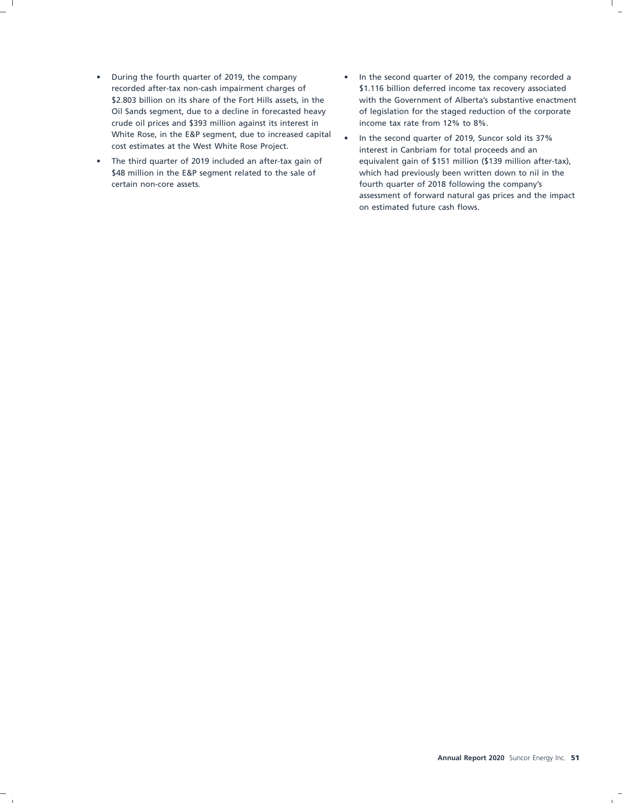- During the fourth quarter of 2019, the company In the second quarter of 2019, the company recorded a crude oil prices and \$393 million against its interest in income tax rate from 12% to 8%. White Rose, in the E&P segment, due to increased capital <br>cost estimates at the West White Rose Project.<br>interest in Canbriam for total proceeds and an
- certain non-core assets. fourth quarter of 2018 following the company's
- recorded after-tax non-cash impairment charges of \$1.116 billion deferred income tax recovery associated \$2.803 billion on its share of the Fort Hills assets, in the with the Government of Alberta's substantive enactment Oil Sands segment, due to a decline in forecasted heavy of legislation for the staged reduction of the corporate
- The third quarter of 2019 included an after-tax gain of equivalent gain of \$151 million (\$139 million after-tax), \$48 million in the E&P segment related to the sale of which had previously been written down to nil in the assessment of forward natural gas prices and the impact on estimated future cash flows.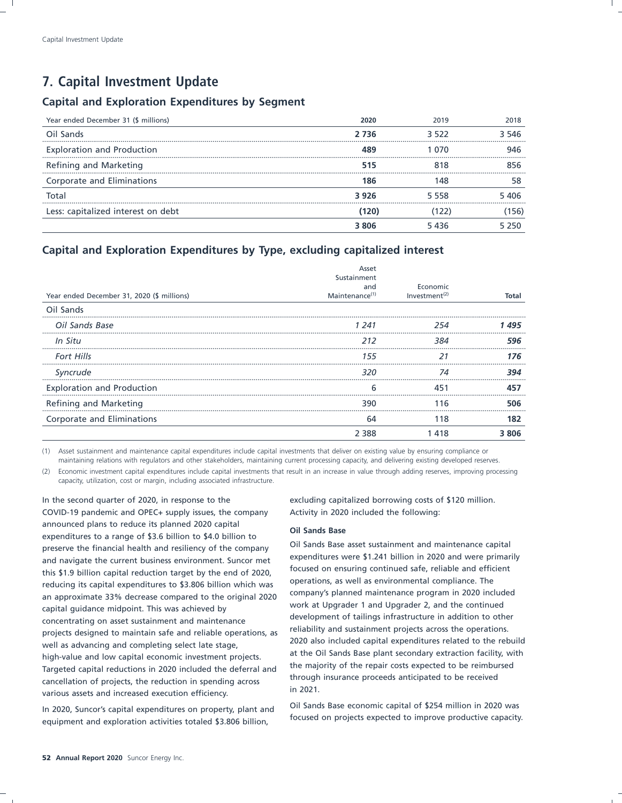### **7. Capital Investment Update**

### **Capital and Exploration Expenditures by Segment**

| Year ended December 31 (\$ millions) | 2020  | 2019  | 2018  |
|--------------------------------------|-------|-------|-------|
| Oil Sands                            | 2 736 | 3.522 | 3.546 |
| <b>Exploration and Production</b>    |       |       | 146   |
| Refining and Marketing               | 515   |       | 356   |
| Corporate and Eliminations           | 186   | 48    | 58    |
| Total                                | 3926  | 5 558 | 5 406 |
| Less: capitalized interest on debt   |       |       | 56    |
|                                      | 3.806 | 5 436 | 5 250 |

### **Capital and Exploration Expenditures by Type, excluding capitalized interest**

| Year ended December 31, 2020 (\$ millions) | Asset<br>Sustainment<br>and<br>Maintenance <sup>(1)</sup> | Economic<br>Investment <sup><math>(2)</math></sup> | Total |
|--------------------------------------------|-----------------------------------------------------------|----------------------------------------------------|-------|
| Oil Sands                                  |                                                           |                                                    |       |
| Oil Sands Base                             | 1 241                                                     |                                                    |       |
| In Situ                                    |                                                           | 384                                                | 596   |
| <b>Fort Hills</b>                          | 155                                                       |                                                    | 176   |
| Syncrude                                   | 320                                                       |                                                    | 394   |
| <b>Exploration and Production</b>          | h                                                         |                                                    |       |
| Refining and Marketing                     | 390                                                       | -16                                                | 506   |
| Corporate and Eliminations                 | 64                                                        | 118                                                | 182   |
|                                            |                                                           |                                                    | 3 ጸበ6 |

(1) Asset sustainment and maintenance capital expenditures include capital investments that deliver on existing value by ensuring compliance or maintaining relations with regulators and other stakeholders, maintaining current processing capacity, and delivering existing developed reserves.

(2) Economic investment capital expenditures include capital investments that result in an increase in value through adding reserves, improving processing capacity, utilization, cost or margin, including associated infrastructure.

In the second quarter of 2020, in response to the excluding capitalized borrowing costs of \$120 million. COVID-19 pandemic and OPEC+ supply issues, the company Activity in 2020 included the following: announced plans to reduce its planned 2020 capital<br> **Oil Sands Base**<br> **Oil Sands Base** asset sustainment and maintenance capital<br> **Oil Sands Base asset sustainment and maintenance capital** preserve the financial health and resiliency of the company<br>
expenditures were \$1.241 billion in 2020 and were primarily<br>
expenditures were \$1.241 billion in 2020 and were primarily and navigate the current business environment. Suncor met<br>this \$1.9 billion capital reduction target by the end of 2020 focused on ensuring continued safe, reliable and efficient this \$1.9 billion capital reduction target by the end of 2020,<br>reducing its conital supenditures to \$2,806 billion which was operations, as well as environmental compliance. The reducing its capital expenditures to \$3.806 billion which was operations, as well as environmental compliance. The<br>An approximate 22% decrease compared to the original 2020 company's planned maintenance program in 2020 inc an approximate 33% decrease compared to the original 2020 work at Upgrader 1 and Upgrader 2, and the continued<br>
capcontrating an except surfainment and maintenance development of tailings infrastructure in addition to other concentrating on asset sustainment and maintenance<br>
reliability and sustainment projects across the operations. high-value and low capital economic investment projects.<br>Taxzeted epital reductions in 2020 included the deferred and the majority of the repair costs expected to be reimbursed Targeted capital reductions in 2020 included the deferral and<br>through insurance proceeds anticipated to be received<br>through insurance proceeds anticipated to be received through insurance projects, the reduction in spending across through the reduction of projects, the reduction of projects, the reduction of projects, the reduction of projects, the reduction of the reduction of the reducti various assets and increased execution efficiency.

equipment and exploration activities totaled \$3.806 billion,

projects designed to maintain safe and reliable operations, as a reliability and sustainment projects across the operations.<br>2020 also included capital expenditures related to the rebuild well as advancing and completing select late stage,<br>at the Oil Sands Base plant secondary extraction facility, with birk unlue and law constant as a secondary extraction facility, with

In 2020, Suncor's capital expenditures on property, plant and Cil Sands Base economic capital of \$254 million in 2020 was<br>In 2020, Suncor's capital expenditures on property, plant and focused on projects expected to improv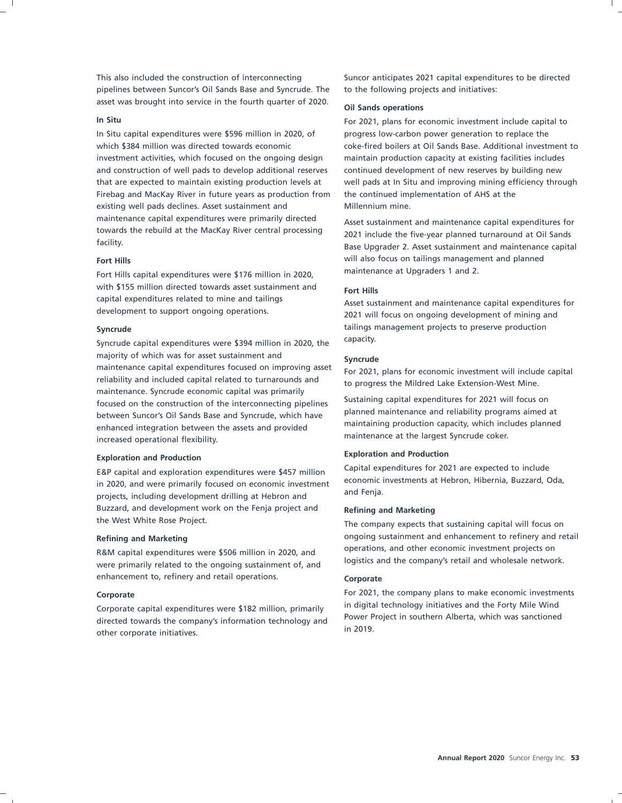pipelines between Suncor's Oil Sands Base and Syncrude. The to the following projects and initiatives: asset was brought into service in the fourth quarter of 2020. **Oil Sands operations**

In Situ capital expenditures were \$596 million in 2020, of progress low-carbon power generation to replace the investment activities, which focused on the ongoing design maintain production capacity at existing facilities includes and construction of well pads to develop additional reserves continued development of new reserves by building new Firebag and MacKay River in future years as production from the continued implementation of AHS at the existing well pads declines. Asset sustainment and Millennium mine. maintenance capital expenditures were primarily directed<br>
Asset sustainment and maintenance capital expenditures for<br>
Asset sustainment and maintenance capital expenditures for<br>
Asset sustainment and maintenance capital ex towards the rebuild at the MacKay River central processing 2021 include the five-year planned turnaround at Oil Sands<br>facility.

Fort Hills capital expenditures were \$176 million in 2020, with \$155 million directed towards asset sustainment and **Fort Hills**<br>capital expenditures related to mine and tailings **Accept** such capital expenditures related to mine and tailings Asset sustainment and maintenance capital expenditures for development to support ongoing operations.

Syncrude capital expenditures were \$394 million in 2020, the capacity. majority of which was for asset sustainment and **Syncrude**<br>maintenance capital expenditures focused on improving asset  $\frac{2021}{2000}$ maintenance capital expenditures focused on improving asset For 2021, plans for economic investment will include capital<br>reliability and included capital related to turnarounds and the progress the Mildred Lake Extension W maintenance. Syncrude economic capital was primarily Sustaining capital expenditures for 2021 will focus on<br>hatusen Superformed Dil Sanda Pesa and Superude which beysen and planned maintenance and reliability programs aimed at between Suncor's Oil Sands Base and Syncrude, which have planned maintenance and reliability programs aimed at <br>maintaining production capacity, which includes planned enhanced integration between the assets and provided maintenance at the largest Syncrude coker. increased operational flexibility.

in 2020, and were primarily focused on economic investment explorement projects including development drilling at Hebron and and Fenja. projects, including development drilling at Hebron and Buzzard, and development work on the Fenja project and **Refining and Marketing** the West White Rose Project. The company expects that sustaining capital will focus on

were primarily related to the ongoing sustainment of, and enhancement to, refinery and retail operations. **Corporate** 

Power Projected towards the company's information technology and<br>in 2019. other corporate initiatives.

This also included the construction of interconnecting Suncor anticipates 2021 capital expenditures to be directed

**In Situ** For 2021, plans for economic investment include capital to which \$384 million was directed towards economic coke-fired boilers at Oil Sands Base. Additional investment to that are expected to maintain existing production levels at well pads at In Situ and improving mining efficiency through

Base Upgrader 2. Asset sustainment and maintenance capital **Fort Hills**<br>
Fort Hills capital expenditures were \$176 million in 2020 maintenance at Upgraders 1 and 2.

2021 will focus on ongoing development of mining and **Syncrude** tailings management projects to preserve production

to progress the Mildred Lake Extension-West Mine.

### **Exploration and Production Exploration and Production**

E&P capital and exploration expenditures were \$457 million Capital expenditures for 2021 are expected to include<br>in 2020, and were primarily focused on economic investment economic investments at Hebron, Hibernia, Buzzard,

Refining and Marketing **ong and Marketing** ongoing sustainment and enhancement to refinery and retail R&M capital expenditures were \$506 million in 2020, and operations, and other economic investment projects on <br>uses a rimarily related to the engeing surfainment of end logistics and the company's retail and wholesale netw

**Corporate** For 2021, the company plans to make economic investments Corporate capital expenditures were \$182 million, primarily and digital technology initiatives and the Forty Mile Wind Corporation technology in digital technology initiatives and the Forty Mile Wind directed to company's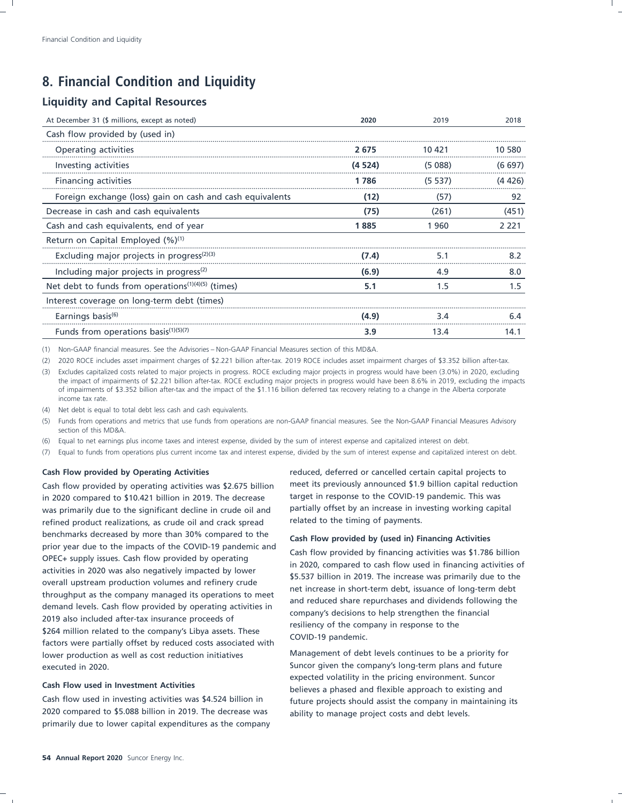### **8. Financial Condition and Liquidity**

### **Liquidity and Capital Resources**

| At December 31 (\$ millions, except as noted)                               | 2020   | 2019   | 2018    |
|-----------------------------------------------------------------------------|--------|--------|---------|
| Cash flow provided by (used in)                                             |        |        |         |
| Operating activities                                                        | 2675   | 10 421 | 10.580  |
| Investing activities                                                        | (4524) | (5088) | (6697)  |
| Financing activities                                                        | 1 786  | (5537) | (4426)  |
| Foreign exchange (loss) gain on cash and cash equivalents                   | (12)   | (57)   | 92      |
| Decrease in cash and cash equivalents                                       | (75)   | (261)  | (451)   |
| Cash and cash equivalents, end of year                                      | 1885   | 1960   | 2 2 2 1 |
| Return on Capital Employed $(\%)^{(1)}$                                     |        |        |         |
| Excluding major projects in progress <sup>(2)(3)</sup>                      | (7.4)  | 5.1    | 8.2     |
| Including major projects in progress <sup>(2)</sup>                         | (6.9)  | 4.9    | 8.0     |
| Net debt to funds from operations <sup><math>(1)(4)(5)</math></sup> (times) | 5.1    | 1.5    | 1.5     |
| Interest coverage on long-term debt (times)                                 |        |        |         |
| Earnings basis <sup>(6)</sup>                                               | (4.9)  | 34     | 64      |
| Funds from operations basis $(1)(5)(7)$                                     | 3.9    | 13.4   | 14.1    |

(1) Non-GAAP financial measures. See the Advisories – Non-GAAP Financial Measures section of this MD&A.

(2) 2020 ROCE includes asset impairment charges of \$2.221 billion after-tax. 2019 ROCE includes asset impairment charges of \$3.352 billion after-tax.

(3) Excludes capitalized costs related to major projects in progress. ROCE excluding major projects in progress would have been (3.0%) in 2020, excluding the impact of impairments of \$2.221 billion after-tax. ROCE excluding major projects in progress would have been 8.6% in 2019, excluding the impacts of impairments of \$3.352 billion after-tax and the impact of the \$1.116 billion deferred tax recovery relating to a change in the Alberta corporate income tax rate.

(4) Net debt is equal to total debt less cash and cash equivalents.

(5) Funds from operations and metrics that use funds from operations are non-GAAP financial measures. See the Non-GAAP Financial Measures Advisory section of this MD&A.

(6) Equal to net earnings plus income taxes and interest expense, divided by the sum of interest expense and capitalized interest on debt.

(7) Equal to funds from operations plus current income tax and interest expense, divided by the sum of interest expense and capitalized interest on debt.

in 2020 compared to \$10.421 billion in 2019. The decrease target in response to the COVID-19 pandemic. This was was primarily due to the significant decline in crude oil and partially offset by an increase in investing working capital refined product realizations, as crude oil and crack spread related to the timing of payments. benchmarks decreased by more than 30% compared to the **Cash Flow provided by (used in) Financing Activities** prior year due to the impacts of the COVID-19 pandemic and<br>OPEC+ supply issues. Cash flow provided by operating<br>activities in 2020 was also negatively impacted by lower<br>overall upstream production volumes and refinery crud lower production as well as cost reduction initiatives **Management of debt levels continues to be a** priority for executed in 2020. Suncor given the company's long-term plans and future

2020 compared to \$5.088 billion in 2019. The decrease was ability to manage project costs and debt levels. primarily due to lower capital expenditures as the company

**Cash Flow provided by Operating Activities** reduced, deferred or cancelled certain capital projects to Cash flow provided by operating activities was \$2.675 billion meet its previously announced \$1.9 billion capital reduction

expected volatility in the pricing environment. Suncor **Cash Flow used in Investment Activities** believes a phased and flexible approach to existing and Cash flow used in investing activities was \$4.524 billion in future projects should assist the company in maintaining its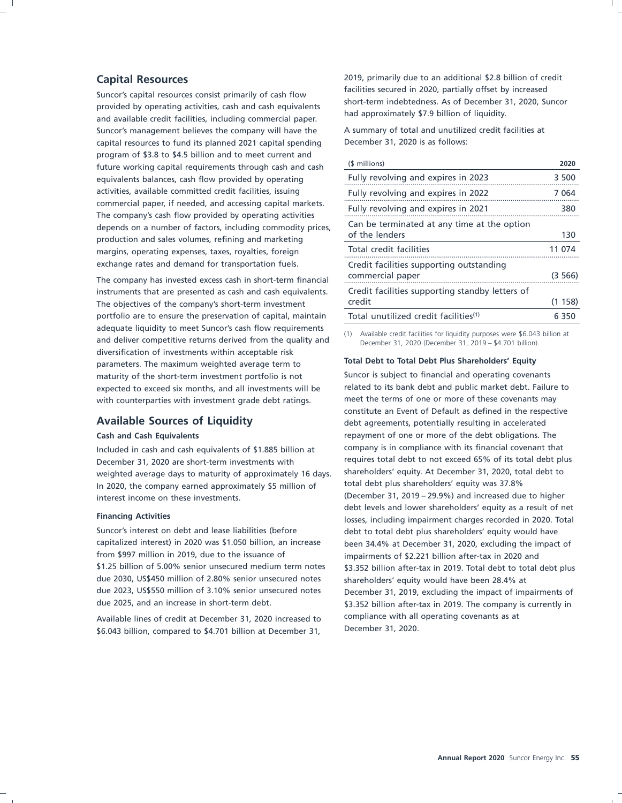Suncor's capital resources consist primarily of cash flow<br>provided by operating activities, cash and cash equivalents<br>and approximately \$7.9 billion of liquidity.<br>and available credit facilities, including commercial paper Suncor's management believes the company will have the A summary of total and unutilized credit facilities at capital resources to fund its planned 2021 capital spending December 31, 2020 is as follows: program of \$3.8 to \$4.5 billion and to meet current and future working capital requirements through cash and cash equivalents balances, cash flow provided by operating activities, available committed credit facilities, issuing commercial paper, if needed, and accessing capital markets.<br>The company's cash flow provided by operating activities depends on a number of factors, including commodity prices, production and sales volumes, refining and marketing margins, operating expenses, taxes, royalties, foreign exchange rates and demand for transportation fuels.

The company has invested excess cash in short-term financial instruments that are presented as cash and cash equivalents. The objectives of the company's short-term investment portfolio are to ensure the preservation of capital, maintain adequate liquidity to meet Suncor's cash flow requirements<br>and deliver competitive returns derived from the quality and<br>December 31, 2020 (December 31, 2019 – \$4.701 billion). diversification of investments within acceptable risk **Total Debt to Total Debt Plus Shareholders' Equity** parameters. The maximum weighted average term to maturity of the short-term investment portfolio is not Suncor is subject to financial and operating covenants expected to exceed six months, and all investments will be related to its bank debt and public market debt. Failure to with counterparties with investment grade debt ratings. meet the terms of one or more of these covenants may

December 31, 2020 are short-term investments with requires total debt to not exceed 65% of its total debt plus<br>weighted average days to maturity of approximately 16 days shareholders' equity. At December 31, 2020, total de weighted average days to maturity of approximately 16 days. Shareholders' equity. At December 31, 2020, total<br>In 2020, the company earned approximately \$5 million of total debt plus shareholders' equity was 37.8% In 2020, the company earned approximately \$5 million of (December 31, 2019 – 29.9%) and increased due to higher interest income on these investments.

from \$997 million in 2019, due to the issuance of impairments of \$2.221 billion after-tax in 2020 and due 2030, US\$450 million of 2.80% senior unsecured notes shareholders' equity would have been 28.4% at

Available lines of credit at December 31, 2020 increased to compliance with all operating covenants as at <br>\$6.043 billion compared to \$4.701 billion at December 31, 2000. \$6.043 billion, compared to \$4.701 billion at December 31,

**Capital Resources** 2019, primarily due to an additional \$2.8 billion of credit<br>
facilities secured in 2020, partially offset by increased

| (\$ millions)                                                 | 2020    |
|---------------------------------------------------------------|---------|
| Fully revolving and expires in 2023                           | 3 500   |
| Fully revolving and expires in 2022                           | 7064    |
| Fully revolving and expires in 2021                           | 380     |
| Can be terminated at any time at the option<br>of the lenders | 130     |
| Total credit facilities                                       | 11 074  |
| Credit facilities supporting outstanding<br>commercial paper  | (3566)  |
| Credit facilities supporting standby letters of<br>credit     | (1158)  |
| Total unutilized credit facilities <sup>(1)</sup>             | 6 3 5 0 |

constitute an Event of Default as defined in the respective **Available Sources of Liquidity** debt agreements, potentially resulting in accelerated **Cash and Cash Equivalents** repayment of one or more of the debt obligations. The Included in cash and cash equivalents of \$1.885 billion at company is in compliance with its financial covenant that<br>Included in cash and cash equivalents of \$1.885 billion at requires total debt to not exceed 65% of its t debt levels and lower shareholders' equity as a result of net **Financing Activities and Struth Einancing Activities** losses, including impairment charges recorded in 2020. Total Suncor's interest on debt and lease liabilities (before debt to total debt plus shareholders' equity would have capitalized interest) in 2020 was \$1.050 billion, an increase been 34.4% at December 31, 2020, excluding the impact of \$1.25 billion of 5.00% senior unsecured medium term notes \$3.352 billion after-tax in 2019. Total debt to total debt plus due 2023, US\$550 million of 3.10% senior unsecured notes December 31, 2019, excluding the impact of impairments of due 2025, and an increase in short-term debt. \$3.352 billion after-tax in 2019. The company is currently in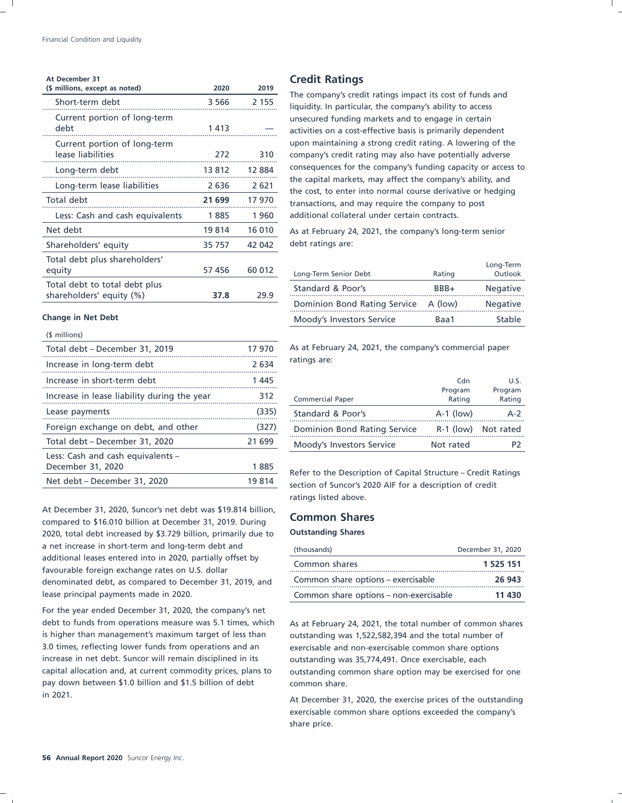| At December 31                                            |         |         | <b>Credit Ratings</b>                                                                                                     |                               |                      |
|-----------------------------------------------------------|---------|---------|---------------------------------------------------------------------------------------------------------------------------|-------------------------------|----------------------|
| (\$ millions, except as noted)                            | 2020    | 2019    | The company's credit ratings impact its cost of funds and                                                                 |                               |                      |
| Short-term debt                                           | 3 5 6 6 | 2 1 5 5 | liquidity. In particular, the company's ability to access                                                                 |                               |                      |
| Current portion of long-term<br>debt                      | 1413    |         | unsecured funding markets and to engage in certain<br>activities on a cost-effective basis is primarily dependent         |                               |                      |
| Current portion of long-term<br>lease liabilities         | 272     | 310     | upon maintaining a strong credit rating. A lowering of the<br>company's credit rating may also have potentially adverse   |                               |                      |
| Long-term debt                                            | 13 812  | 12 8 84 | consequences for the company's funding capacity or access to                                                              |                               |                      |
| Long-term lease liabilities                               | 2 6 3 6 | 2621    | the capital markets, may affect the company's ability, and<br>the cost, to enter into normal course derivative or hedging |                               |                      |
| Total debt                                                | 21 699  | 17 970  | transactions, and may require the company to post                                                                         |                               |                      |
| Less: Cash and cash equivalents                           | 1885    | 1960    | additional collateral under certain contracts.                                                                            |                               |                      |
| Net debt                                                  | 19814   | 16 010  | As at February 24, 2021, the company's long-term senior                                                                   |                               |                      |
| Shareholders' equity                                      | 35 757  | 42 042  | debt ratings are:                                                                                                         |                               |                      |
| Total debt plus shareholders'<br>equity                   | 57 456  | 60 012  | Long-Term Senior Debt                                                                                                     | Rating                        | Long-Term<br>Outlook |
| Total debt to total debt plus<br>shareholders' equity (%) | 37.8    | 29.9    | Standard & Poor's                                                                                                         | BBB+                          | Negative             |
|                                                           |         |         | Dominion Bond Rating Service                                                                                              | A (low)                       | Negative             |
| <b>Change in Net Debt</b>                                 |         |         | Moody's Investors Service                                                                                                 | R <sub>2</sub> <sub>2</sub> 1 | Stable               |

### (\$ millions)

| Total debt - December 31, 2019                         | 17 970 | As at February 24, 2021, the company's commercial paper        |                   |                   |
|--------------------------------------------------------|--------|----------------------------------------------------------------|-------------------|-------------------|
| Increase in long-term debt                             | 2634   | ratings are:                                                   |                   |                   |
| Increase in short-term debt                            | 1 445  |                                                                | Cdn               | U.S.              |
| Increase in lease liability during the year            | 312    | <b>Commercial Paper</b>                                        | Program<br>Rating | Program<br>Ratinc |
| Lease payments                                         | (335)  | Standard & Poor's                                              | $A-1$ (low)       | $A-2$             |
| Foreign exchange on debt, and other                    | (327)  | Dominion Bond Rating Service                                   | $R-1$ (low)       | Not rated         |
| Total debt - December 31, 2020                         | 21 699 | Moody's Investors Service                                      | Not rated         | P <sub>2</sub>    |
| Less: Cash and cash equivalents -<br>December 31, 2020 | 1885   | Refer to the Description of Capital Structure – Credit Ratings |                   |                   |
| Net debt – December 31, 2020                           | 19 814 | section of Suncor's 2020 AIF for a description of credit       |                   |                   |

At December 31, 2020, Suncor's net debt was \$19.814 billion, **Common Shares** compared to \$16.010 billion at December 31, 2019. During 2020, total debt increased by \$3.729 billion, primarily due to **Outstanding Shares** a net increase in short-term and long-term debt and additional leases entered into in 2020, partially offset by<br>favourable foreign exchange rates on U.S. dollar denominated debt, as compared to December 31, 2019, and lease principal payments made in 2020.

For the year ended December 31, 2020, the company's net debt to funds from operations measure was 5.1 times, which As at February 24, 2021, the total number of common shares is higher than management's maximum target of less than outstanding was 1,522,582,394 and the total number of 3.0 times, reflecting lower funds from operations and an exercisable and non-exercisable common share options increase in net debt. Suncor will remain disciplined in its outstanding was 35,774,491. Once exercisable, each pay down between \$1.0 billion and \$1.5 billion of debt common share. in 2021. At December 31, 2020, the exercise prices of the outstanding

| Total dept plus shareholders<br>equity                    | 57 456 | 60 012 | Long-Term Senior Debt        | Rating  | Long-Term<br>Outlook |
|-----------------------------------------------------------|--------|--------|------------------------------|---------|----------------------|
| Total debt to total debt plus<br>shareholders' equity (%) | 37.8   | 29.9   | Standard & Poor's            | BBB+    | Negative             |
|                                                           |        |        | Dominion Bond Rating Service | A (low) | Negative             |
| hange in Net Debt                                         |        |        | Moody's Investors Service    | Baa1    | Stable               |

| Increase in short-term debt                 | 445    |                              | Cdn               |                   |
|---------------------------------------------|--------|------------------------------|-------------------|-------------------|
| Increase in lease liability during the year | 312    | <b>Commercial Paper</b>      | Program<br>Rating | Program<br>Rating |
| Lease payments                              | (335)  | Standard & Poor's            | $A-1$ (low)       |                   |
| Foreign exchange on debt, and other         | (327)  | Dominion Bond Rating Service | $R-1$ (low)       | Not rated         |
| Total debt - December 31, 2020              | 21 699 | Moody's Investors Service    | Not rated         |                   |

Refer to the Description of Capital Structure – Credit Ratings section of Suncor's 2020 AIF for a description of credit ratings listed above.

| (thousands)                            | December 31, 2020 |
|----------------------------------------|-------------------|
| Common shares                          | 1 525 151         |
| Common share options - exercisable     | 26 943            |
| Common share options - non-exercisable | 11 430            |

capital allocation and, at current commodity prices, plans to outstanding common share option may be exercised for one

exercisable common share options exceeded the company's share price.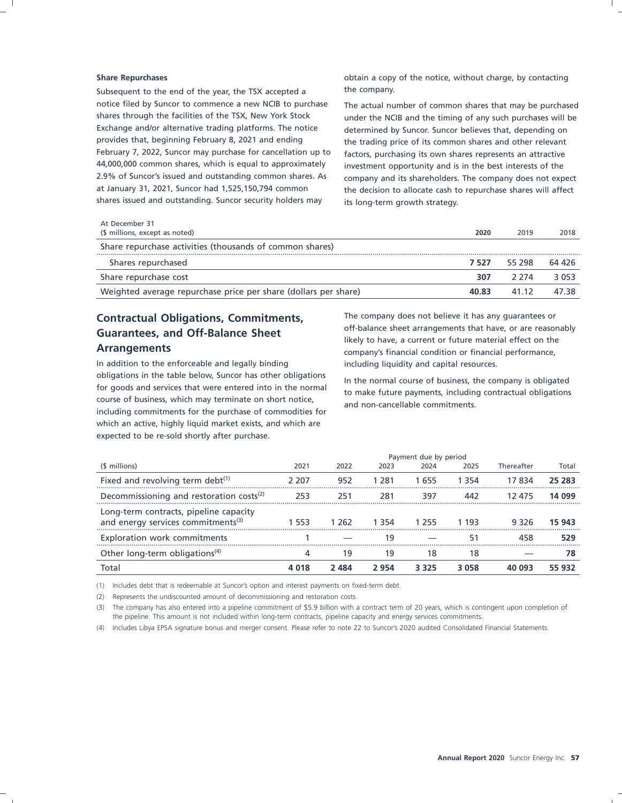Subsequent to the end of the year, the TSX accepted a the company. notice filed by Suncor to commence a new NCIB to purchase The actual number of common shares that may be purchased shares through the facilities of the TSX, New York Stock under the NCIB and the timing of any such purchases will be Exchange and/or alternative trading platforms. The notice determined by Suncor. Suncor believes that, depending on provides that, beginning February 8, 2021 and ending the trading price of its common shares and other relevant February 7, 2022, Suncor may purchase for cancellation up to factors, purchasing its own shares represents an attractive 44,000,000 common shares, which is equal to approximately investment opportunity and is in the best interests of the 2.9% of Suncor's issued and outstanding common shares. As company and its shareholders. The company does not expect at January 31, 2021, Suncor had 1,525,150,794 common the decision to allocate cash to repurchase shares will affect shares issued and outstanding. Suncor security holders may its long-term growth strategy.

**Share Repurchases Share Repurchases obtain a copy of the notice, without charge, by contacting** 

| At December 31<br>(\$ millions, except as noted)                | 2020  | 2019    | 2018    |
|-----------------------------------------------------------------|-------|---------|---------|
| Share repurchase activities (thousands of common shares)        |       |         |         |
| Shares repurchased                                              | 7 527 | 55 298  | 64 426  |
| Share repurchase cost                                           | 307   | 2 2 7 4 | 3 0 5 3 |
| Weighted average repurchase price per share (dollars per share) | 40.83 | 41 12   | 47 38   |

obligations in the table below, Suncor has other obligations<br>for goods and services that were entered into in the normal<br>course of business, which may terminate on short notice,<br>and non-cancellable commitments. including commitments for the purchase of commodities for which an active, highly liquid market exists, and which are expected to be re-sold shortly after purchase.

**Contractual Obligations, Commitments,** The company does not believe it has any guarantees or<br> **Cuarantees** and Off Palance Shaat off-balance sheet arrangements that have, or are reasonably **Guarantees, and Off-Balance Sheet**<br>likely to have, a current or future material effect on the<br>company's financial condition or financial performance company's financial condition or financial performance, In addition to the enforceable and legally binding including liquidity and capital resources.

|                                                                                          | Payment due by period |       |       |       |       |            |        |
|------------------------------------------------------------------------------------------|-----------------------|-------|-------|-------|-------|------------|--------|
| (\$ millions)                                                                            | 2021                  | 2022  | 2023  | 2024  | 2025  | Thereafter | Total  |
| Fixed and revolving term debt <sup>(1)</sup>                                             | 2 207                 | 952   | 1 281 | -655  | । २५४ | 17 834     | 25 283 |
| Decommissioning and restoration costs <sup>(2)</sup>                                     | 253                   |       |       | 397   |       | 12 475     | 14 099 |
| Long-term contracts, pipeline capacity<br>and energy services commitments <sup>(3)</sup> |                       | -262  | 1 354 | 1755  | 1 193 | 9326       | 15 943 |
| Exploration work commitments                                                             |                       |       |       |       |       |            |        |
| Other long-term obligations <sup>(4)</sup>                                               |                       |       | 19    | 8     | 18    |            |        |
| lota                                                                                     |                       | ' 484 | 2 954 | 3 325 | 3 058 |            | 55 932 |

(1) Includes debt that is redeemable at Suncor's option and interest payments on fixed-term debt.

(2) Represents the undiscounted amount of decommissioning and restoration costs.

(3) The company has also entered into a pipeline commitment of \$5.9 billion with a contract term of 20 years, which is contingent upon completion of the pipeline. This amount is not included within long-term contracts, pipeline capacity and energy services commitments.

(4) Includes Libya EPSA signature bonus and merger consent. Please refer to note 22 to Suncor's 2020 audited Consolidated Financial Statements.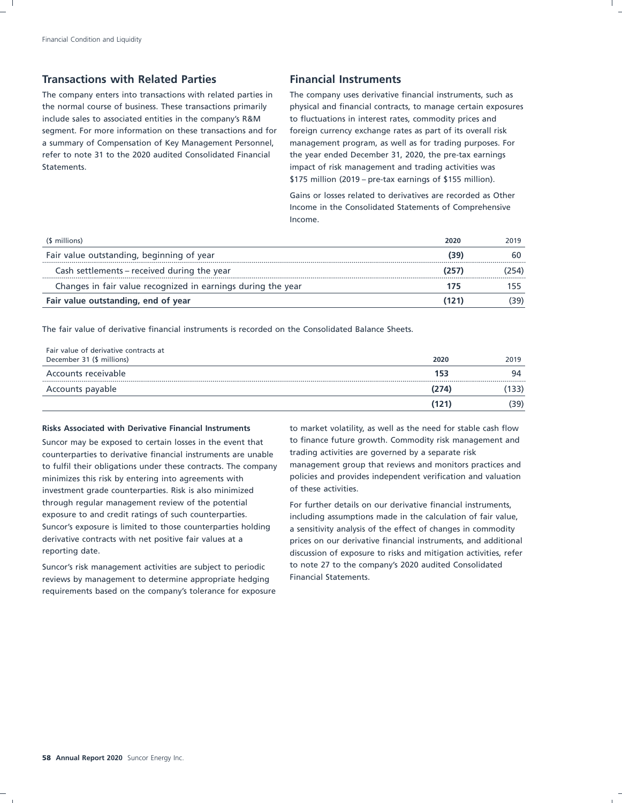### **Transactions with Related Parties Transactions With Related Parties Action** Financial Instruments

The company enters into transactions with related parties in The company uses derivative financial instruments, such as the normal course of business. These transactions primarily physical and financial contracts, to manage certain exposures include sales to associated entities in the company's R&M to fluctuations in interest rates, commodity prices and segment. For more information on these transactions and for foreign currency exchange rates as part of its overall risk a summary of Compensation of Key Management Personnel, management program, as well as for trading purposes. For refer to note 31 to the 2020 audited Consolidated Financial the year ended December 31, 2020, the pre-tax earnings Statements. **impact of risk management and trading activities was** impact of risk management and trading activities was

\$175 million (2019 – pre-tax earnings of \$155 million).

Gains or losses related to derivatives are recorded as Other Income in the Consolidated Statements of Comprehensive Income.

| (\$ millions)                                                | 2020 | 2019 |
|--------------------------------------------------------------|------|------|
| Fair value outstanding, beginning of year                    | (39) |      |
| Cash settlements – received during the year                  | 257  |      |
| Changes in fair value recognized in earnings during the year |      |      |
| Fair value outstanding, end of year                          | 121  | 39)  |

The fair value of derivative financial instruments is recorded on the Consolidated Balance Sheets.

| Fair value of derivative contracts at |       |      |
|---------------------------------------|-------|------|
| December 31 (\$ millions)             | 2020  | 2019 |
| Accounts receivable                   | 153   | 94   |
| Accounts payable                      | (274) | 133) |
|                                       | (121) | 39)  |

### **Risks Associated with Derivative Financial Instruments** to market volatility, as well as the need for stable cash flow

counterparties to derivative financial instruments are unable to fulfil their obligations under these contracts. The company management group that reviews and monitors practices and<br>minimizes this risk by entering into agreements with policies and provides independent verification an minimizes this risk by entering into agreements with investment grade counterparties. Risk is also minimized of these activities. through regular management review of the potential For further details on our derivative financial instruments, exposure to and credit ratings of such counterparties. including assumptions made in the calculation of fair value, Suncor's exposure is limited to those counterparties holding a sensitivity analysis of the effect of changes in commodity derivative contracts with net positive fair values at a prices on our derivative financial instruments, and additional

reviews by management to determine appropriate hedging Financial Statements. requirements based on the company's tolerance for exposure

Suncor may be exposed to certain losses in the event that to finance future growth. Commodity risk management and<br>counternarties to derivative financial instruments are unable trading activities are governed by a separate

reporting date. discussion of exposure to risks and mitigation activities, refer Suncor's risk management activities are subject to periodic to note 27 to the company's 2020 audited Consolidated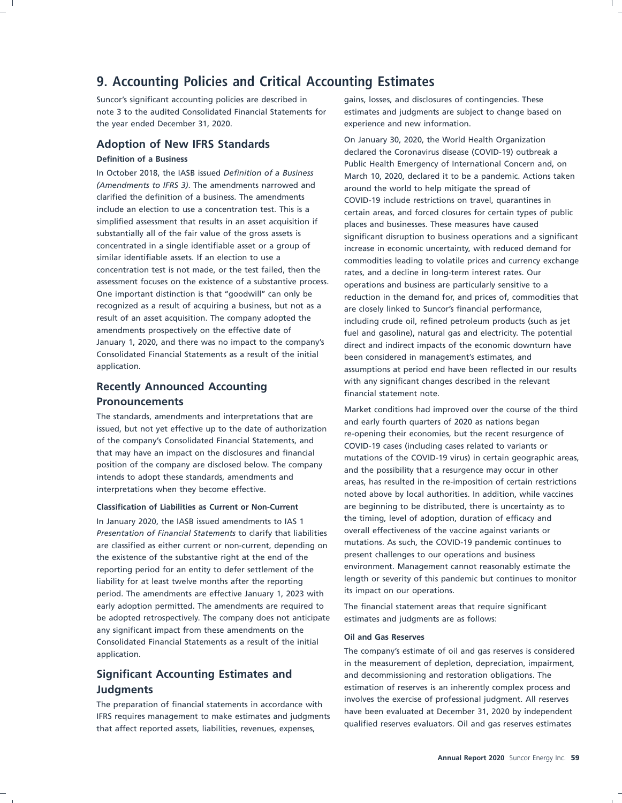### **9. Accounting Policies and Critical Accounting Estimates**

Suncor's significant accounting policies are described in gains, losses, and disclosures of contingencies. These note 3 to the audited Consolidated Financial Statements for estimates and judgments are subject to change based on the year ended December 31, 2020. The subsection of the vear end new information.

*(Amendments to IFRS 3)*. The amendments narrowed and around the world to help mitigate the spread of clarified the definition of a business. The amendments clarified the definition of a business. The amendments COVID-19 include restrictions on travel, quarantines in<br>include an election to use a concentration test. This is a contain areas, and forced closures for certain types simplified assessment that results in an asset acquisition if places and businesses. These measures have caused<br>substantially all of the fair value of the gross assets is equilibrium dependence operations and a concentrated in a single identifiable asset or a group of increase in economic uncertainty, with reduced demand for<br>similar identifiable assets. If an election to use a subsequently commodities loading to vehatile prices a concentration test is not made, or the test failed, then the rates, and a decline in long-term interest rates. Our assessment focuses on the existence of a substantive process. assessment focuses on the existence of a substantive process.<br>One important distinction is that "goodwill" can only be entitled and process are particularly sensitive to a recognized as a result of acquiring a business, but not as a are closely linked to Suncor's financial performance,<br>
result of an asset acquisition. The company adopted the and including crude oil refined petroleum products result of an asset acquisition. The company adopted the including crude oil, refined petroleum products (such as jet<br>including crude oil, refined petroleum products (such as jet<br>fuel and gasoline), patural gas and electric amendments prospectively on the effective date of fuel and gasoline), natural gas and electricity. The potential<br>January 1, 2020, and there was no impact to the company's direct and indirect impacts of the economic downtur January 1, 2020, and there was no impact to the company's direct and indirect impacts of the economic downturn have<br>Consolidated Financial Statements as a result of the initial been considered in management's estimates, an Consolidated Financial Statements as a result of the initial been considered in management's estimates, and

# **Pronouncements**

In January 2020, the IASB issued amendments to IAS 1 the timing, level of adoption, duration of efficacy and In January 2020, the IN January 10 clarify that liabilities overall effectiveness of the vaccine against variants overall effectiveness of the vaccine against variants or *Presentation of Financial Statements* to clarify that liabilities are classified as either current or non-current, depending on mutations. As such, the COVID-19 pandemic contin<br>the ovictories of the substantive right at the end of the present challenges to our operations and business the existence of the substantive right at the end of the present challenges to our operations and business the substantive right at the end of the substantive right at the substantive right at the substantive right at the reporting period for an entity to defer settlement of the reporting period for an entity to defer settlement of the<br>length or severity of this pandemic but continues to monitor liability for at least twelve months after the reporting length or severity of this pan<br>noriod. The amondments are effective lanuary 1, 2022 with its impact on our operations. period. The amendments are effective January 1, 2023 with early adoption permitted. The amendments are required to The financial statement areas that require significant be adopted retrospectively. The company does not anticipate estimates and judgments are as follows: any significant impact from these amendments on the **Oil and Gas Reserves** Consolidated Financial Statements as a result of the initial The company's estimate of oil and gas reserves is considered application.

The preparation of financial statements in accordance with<br>IFRS requires management to make estimates and judgments<br>that affect reported assets, liabilities, revenues, expenses,<br>that affect reported assets, liabilities, re

**Adoption of New IFRS Standards** On January 30, 2020, the World Health Organization<br>
Definition of a Business<br>
In October 2018, the IASB issued *Definition of a Business*<br>
In October 2018, the IASB issued *Definition of a* In October 2018, the IASB issued *Definition of a Business* March 10, 2020, declared it to be a pandemic. Actions taken certain areas, and forced closures for certain types of public substantially all of the fair value of the gross assets is significant disruption to business operations and a significant<br>concentrated in a single identifiable asset or a group of sincrease in economic uncertainty with re similar identifiable assets. If an election to use a commodities leading to volatile prices and currency exchange<br>concentration test is not made, or the test failed, then the rates and a decline in long-term interest rates One important distinction is that "goodwill" can only be reduction in the demand for, and prices of, commodities that recognized as a result of acquiring a business, but not as a assumptions at period end have been reflected in our results **Recently Announced Accounting Recently Announced Accounting Recently Announced Accounting** *n i financial statement note.* 

The standards, amendments and interpretations that are<br>
issued, but not yet effective up to the date of authorization<br>
of the company's Consolidated Financial Statements, and<br>
that may have an impact on the disclosures and **Classification of Liabilities as Current or Non-Current** are beginning to be distributed, there is uncertainty as to

in the measurement of depletion, depreciation, impairment, **Significant Accounting Estimates and** and decommissioning and restoration obligations. The **udgments**<br> **Example 2018**<br> **Example 2019**<br> **Example 2019**<br> **Example 2019**<br> **Example 2019**<br> **Example 2019**<br> **Example 2019**<br> **Example 2019**<br> **Example 2019**<br> **Example 2019**<br> **Example 2019**<br> **Example 2019**<br> **Example 2019**<br> **E**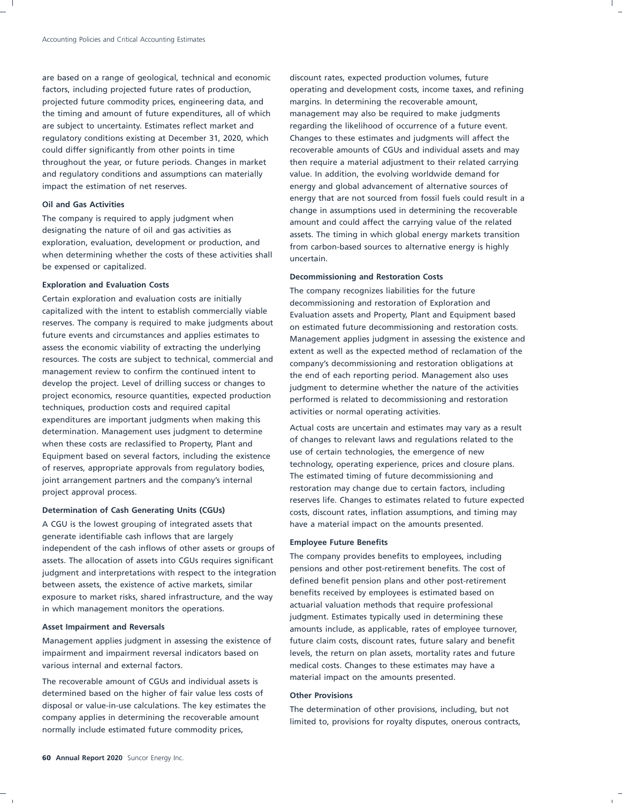are based on a range of geological, technical and economic discount rates, expected production volumes, future projected future commodity prices, engineering data, and margins. In determining the recoverable amount, the timing and amount of future expenditures, all of which management may also be required to make judgments are subject to uncertainty. Estimates reflect market and regarding the likelihood of occurrence of a future event. regulatory conditions existing at December 31, 2020, which Changes to these estimates and judgments will affect the and regulatory conditions and assumptions can materially value. In addition, the evolving worldwide demand for impact the estimation of net reserves. energy and global advancement of alternative sources of

The company is required to apply judgment when amount and could affect the carrying value of the related designating the nature of oil and gas activities as when determining whether the costs of these activities shall uncertain. be expensed or capitalized.

Certain exploration and evaluation costs are initially viable decommissioning and restoration of Exploration and<br>Capitalized with the intent to establish commercially viable exploration accets and Property. Plant and Equip capitalized with the intent to establish commercially viable exaluation assets and Property, Plant and Equipment based<br>
reserves. The company is required to make judgments about an estimated future decommissioning and rest reserves. The company is required to make judgments about on estimated future decommissioning and restoration costs.<br>future events and circumstances and applies estimates to a consequence applies iudement in accessing the resources. The costs are subject to technical, commercial and company's decommissioning and restoration obligations at management review to confirm the continued intent to management review to confirm the continued intent to the end of each reporting period. Management also uses<br>develop the project. Level of drilling success or changes to the subment to determine whether the pattern of the a develop the project. Level of drilling success or changes to fundament to determine whether the nature of the activities<br>project economics, resource quantities, expected production performed is related to decommissioning a techniques, production costs and required capital activities or normal operating activities. expenditures are important judgments when making this determination. Management uses judgment to determine<br>  $\frac{1}{2}$  Actual costs are uncertain and estimates may vary as a result when these costs are reclassified to Property, Plant and<br>Equipment besed an equatal factors, including the ovirtence and the Cortain technologies, the emergence of new Equipment based on several factors, including the existence and the of certain technologies, the emergence of new Equipment based on several factors, including the existence and the emergence of new plans. of reserves, appropriate approvals from regulatory bodies,<br>initially experience, prices and the company's internal and the estimated timing of future decommissioning and joint arrangement partners and the company's internal restoration may change due to certain factors, including project approval process.

generate identifiable cash inflows that are largely<br>
independent of the cash inflows of other assets or groups of<br>
The company provides benefits to employees, including<br> **Employee Future Benefits** to employees, including assets. The allocation of assets into CGUs requires significant<br>independence benefits to employees, including using the allocation of the integration of pensions and other post-retirement benefits. The cost of judgment and interpretations with respect to the integration pensions and other post-retirement benefits. The cost of judgment and interpretations with respect to the integration defined benefit pension plans and other pos between assets, the existence of active markets, similar and process are post-retirement benefits received by employees is estimated based on a process of the way. exposure to market risks, shared infrastructure, and the way actuarial valuation methods that require professional in which management monitors the operations.

impairment and impairment reversal indicators based on levels, the return on plan assets, mortality rates and future various internal and external factors. The medical costs. Changes to these estimates may have a

determined based on the higher of fair value less costs of **Other Provisions** disposal or value-in-use calculations. The key estimates the The determination of other provisions, including, but not<br>
company applies in determining the recoverable amount<br>
imited to provisions for revolty disputes, oper normally include estimated future commodity prices,

factors, including projected future rates of production, operating and development costs, income taxes, and refining could differ significantly from other points in time recoverable amounts of CGUs and individual assets and may throughout the year, or future periods. Changes in market then require a material adjustment to their related carrying **Example 19 oil and Gas Activities**<br> **Oil and Gas Activities** could result in a change in assumptions used in determining the recoverable<br>
The company is required to apply judgment when a smount and could affect the carrin designating the nature of oil and gas activities as assets. The timing in which global energy markets transition<br>exploration, evaluation, development or production, and the same carbon based sources to alternative operay i from carbon-based sources to alternative energy is highly

### **Decommissioning and Restoration Costs**

**Exploration and Evaluation Costs**<br> **Exploration and Evaluation costs are initially**<br> **Exploration and evaluation costs are initially**<br> **Exploration and evaluation costs are initially** future events and circumstances and applies estimates to Management applies judgment in assessing the existence and<br>assess the economic viability of extracting the underlying extent as well as the expected method of reclam assess the economic viability of extracting the underlying extent as well as the expected method of reclamation of the resources. The costs are subject to technical, commercial and expensive decommissioning and restoration performed is related to decommissioning and restoration

reserves life. Changes to estimates related to future expected **Determination of Cash Generating Units (CGUs)** costs, discount rates, inflation assumptions, and timing may A CGU is the lowest grouping of integrated assets that have a material impact on the amounts presented.

judgment. Estimates typically used in determining these Asset Impairment and Reversals **and Sexual Asset Impairment and Reversals** and the state of employee turnover, Management applies judgment in assessing the existence of future claim costs, discount rates, future salary and benefit The recoverable amount of CGUs and individual assets is material impact on the amounts presented.

limited to, provisions for royalty disputes, onerous contracts,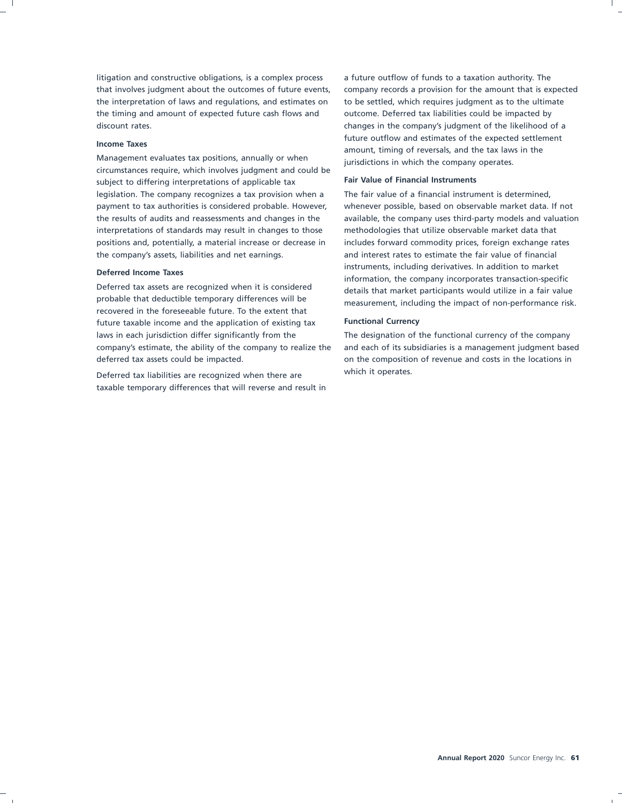litigation and constructive obligations, is a complex process a future outflow of funds to a taxation authority. The the interpretation of laws and regulations, and estimates on to be settled, which requires judgment as to the ultimate the timing and amount of expected future cash flows and outcome. Deferred tax liabilities could be impacted by discount rates. changes in the company's judgment of the likelihood of a

Management evaluates tax positions, annually or when jurisdictions in which the company operates. circumstances require, which involves judgment and could be **Fair Value of Financial Instruments** subject to differing interpretations of applicable tax legislation. The company recognizes a tax provision when a The fair value of a financial instrument is determined, payment to tax authorities is considered probable. However, whenever possible, based on observable market data. If not interpretations of standards may result in changes to those methodologies that utilize observable market data that positions and, potentially, a material increase or decrease in includes forward commodity prices, foreign exchange rates the company's assets, liabilities and net earnings. and interest rates to estimate the fair value of financial

Deferred tax assets are recognized when it is considered details that market participants would utilize in a fair value<br>probable that deductible temporary differences will be recovered in the foreseeable future. To the extent that future taxable income and the application of existing tax **Functional Currency** laws in each jurisdiction differ significantly from the The designation of the functional currency of the company deferred tax assets could be impacted.  $\qquad \qquad \qquad$  on the composition of revenue and costs in the locations in

Deferred tax liabilities are recognized when there are **manuform** which it operates. taxable temporary differences that will reverse and result in

that involves judgment about the outcomes of future events, company records a provision for the amount that is expected **Income Taxes Income Taxes Income Taxes Income Taxes** and **Income Taxes** and the tax laws in the the the tax laws in the the the tax laws in the

the results of audits and reassessments and changes in the available, the company uses third-party models and valuation **Deferred Income Taxes**<br>Deferred **Income Taxes** information, the company incorporates transaction-specific<br>Deferred tax assets are recognized when it is considered<br>details that market participants usual utilize in a fair v measurement, including the impact of non-performance risk.

company's estimate, the ability of the company to realize the and each of its subsidiaries is a management judgment based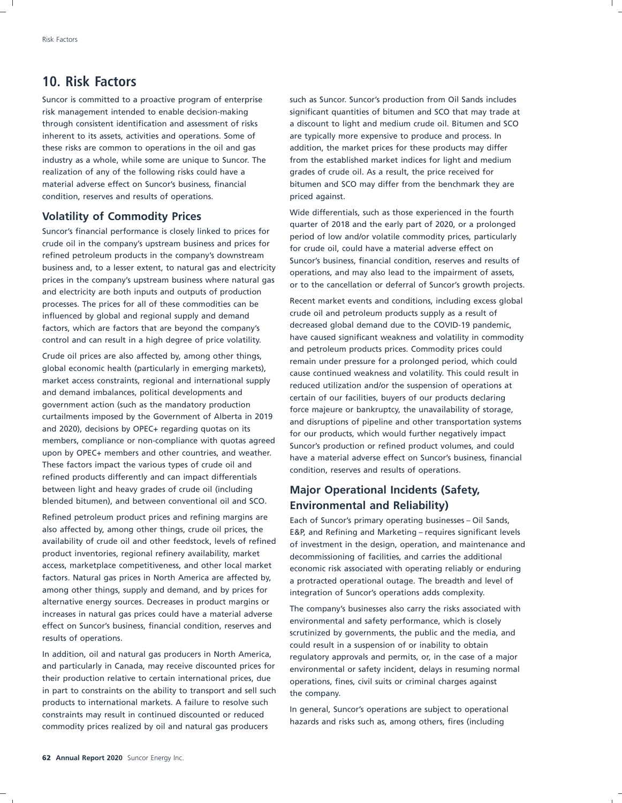### **10. Risk Factors**

Suncor is committed to a proactive program of enterprise such as Suncor. Suncor's production from Oil Sands includes inherent to its assets, activities and operations. Some of are typically more expensive to produce and process. In these risks are common to operations in the oil and gas addition, the market prices for these products may differ industry as a whole, while some are unique to Suncor. The from the established market indices for light and medium realization of any of the following risks could have a grades of crude oil. As a result, the price received for material adverse effect on Suncor's business, financial bitumen and SCO may differ from the benchmark they are condition, reserves and results of operations. The priced against.

processes. The prices for all of these commodities can be an absolut market events and conditions, including excess global influenced by global and regional supply and demand influenced by global and regional supply and demand<br>factors which are factors that are boyond the company's decreased global demand due to the COVID-19 pandemic,

Crude oil prices are also affected by, among other things,<br>
global economic health (particularly in emerging markets),<br>
market access constraints, regional and international supply<br>
market access constraints, regional and between light and heavy grades of crude oil (including **Major Operational Incidents (Safety,** blended bitumen), and between conventional oil and SCO. **Environmental and Reliability)**

Refined petroleum product prices and refining margins are  $\frac{1}{5}$  Each of Suncor's primary operating businesses – Oil Sands, also affected by, among other things, crude oil prices, the  $\frac{1}{5}$  ERP and Refining and Mar also affected by, among other things, crude oil prices, the E&P, and Refining and Marketing – requires significant levels<br>availability of crude oil and other feedstock, levels of refined of investment in the design operati product inventories, regional refinery availability, market decommissioning of facilities, and carries the additional<br>access, marketplace competitiveness, and other local market economic risk associated with operating reli access, marketplace competitiveness, and other local market economic risk associated with operating reliably or enduring<br>factors. Natural gas prices in North America are affected by, a protracted operational outage. The br among other things, supply and demand, and by prices for integration of Suncor's operations adds complexity.<br>alternative energy sources. Decreases in product margins or

In addition, oil and natural gas producers in North America, regulatory approvals and permits, or, in the case of a major<br>and particularly in Canada, may receive discounted prices for a purronmental or safety incident, del and particularly in Canada, may receive discounted prices for environmental or safety incident, delays in resuming normal<br>their production relative to certain international prices, due environmental or safety inits or crim in part to constraints on the ability to transport and sell such the company.<br>products to international markets. A failure to resolve such constraints may result in continued discounted or reduced<br>commodity prices realized by oil and natural gas producers<br>hazards and risks such as, among others, fires (including<br>modity prices realized by oil and natural gas p

risk management intended to enable decision-making significant quantities of bitumen and SCO that may trade at through consistent identification and assessment of risks a discount to light and medium crude oil. Bitumen and SCO

**Volatility of Commodity Prices**<br>
Suncor's financial performance is closely linked to prices for<br>
crude oil in the company's upstream business and prices for<br>
eriod of low and/or volatile commodity prices, particularly<br>
fo

factors, which are factors that are beyond the company's decreased global demand due to the COVID-19 pandemic,<br>control and can result in a high degree of price volatility have caused significant weakness and volatility in have caused significant weakness and volatility in commodity control and can result in a high degree of price volatility.

availability of crude oil and other feedstock, levels of refined of investment in the design, operation, and maintenance and<br>product inventories, regional refinery availability, market decommissioning of facilities, and ca a protracted operational outage. The breadth and level of

alternative energy sources. Decreases in product margins or<br>increases in natural gas prices could have a material adverse<br>effect on Suncor's business, financial condition, reserves and<br>results of operations.<br>results of ope operations, fines, civil suits or criminal charges against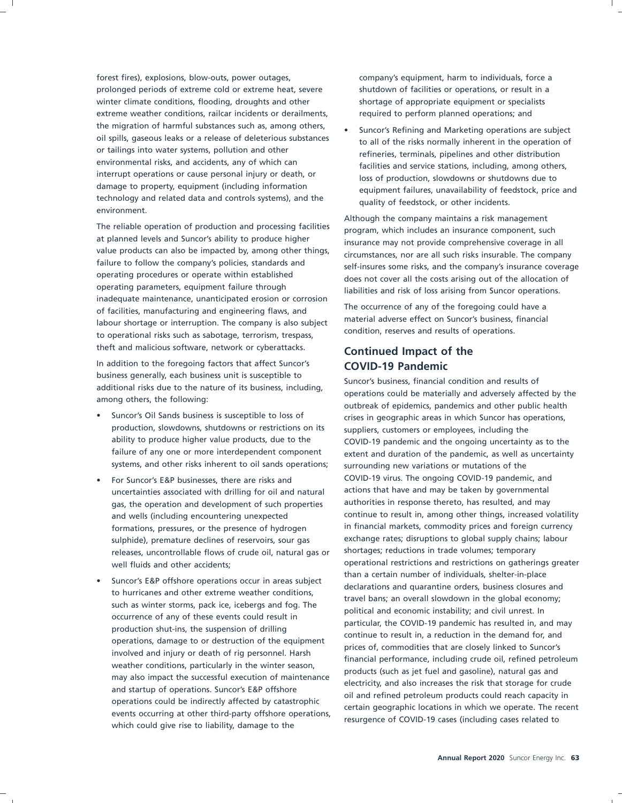forest fires), explosions, blow-outs, power outages, company's equipment, harm to individuals, force a prolonged periods of extreme cold or extreme heat, severe shutdown of facilities or operations, or result in a winter climate conditions, flooding, droughts and other shortage of appropriate equipment or specialists extreme weather conditions, railcar incidents or derailments, exercised to perform planned operations; and the migration of harmful substances such as, among others,<br>oil spills, gaseous leaks or a release of deleterious substances<br>the slight has risks permelly inherent in the energyism of of spills, gaseous leaks or a release of deleterious substances to all of the risks normally inherent in the operation of or tailings into water systems, pollution and other or tailings into water systems, pollution and other<br>environmental risks, and accidents, any of which can<br>environmental risks, and accidents, any of which can environmental risks, and accidents, any or which can<br>interrupt operations or cause personal injury or death, or and the set are duration aloudouse as chutdouse due to Interrupt operations or cause personal injury or death, or loss of production, slowdowns or shutdowns due to damage to property, equipment (including information technology and related data and controls systems), and the quality of feedstock, or other incidents. environment.

The reliable operation of production and processing facilities program, which includes an insurance component, such at planned levels and Suncor's ability to produce higher at planned levels and Suncor's ability to produce higher insurance may not provide comprehensive coverage in all<br>value products can also be impacted by, among other things, all cancers not are all such ricks insurable. The value products can also be impacted by, among other things, circumstances, nor are all such risks insurable. The company<br>failure to follow the company's policies, standards and self-insures some risks, and the sompany's in operating procedures or operate within established does not cover all the costs arising out of the allocation of operating parameters, equipment failure through inadequate maintenance, unanticipated erosion or corrosion of facilities, manufacturing and engineering flaws, and The occurrence of any of the foregoing could have a<br>labour charters are intervaling. The company is also subject material adverse effect on Suncor's business, financi labour shortage or interruption. The company is also subject<br>the approximate or interruption such as solutions treasures treasures and results of operations. to operational risks such as sabotage, terrorism, trespass, theft and malicious software, network or cyberattacks. **Continued Impact of the**

In addition to the foregoing factors that affect Suncor's **COVID-19 Pandemic**<br>business generally, each business unit is susceptible to

- production, slowdowns, shutdowns or restrictions on its suppliers, customers or employees, including the systems, and other risks inherent to oil sands operations; surrounding new variations or mutations of the
- uncertainties associated with drilling for oil and natural actions that have and may be taken by governmental gas, the operation and development of such properties authorities in response thereto, has resulted, and may formations, pressures, or the presence of hydrogen releases, uncontrollable flows of crude oil, natural gas or shortages; reductions in trade volumes; temporary
- Suncor's E&P offshore operations occur in areas subject<br>than a certain number of individuals, shelter-in-place<br>to hurricanes and other extreme weather conditions,<br>such as winter storms, pack ice, icebergs and fog. The<br>oc

equipment failures, unavailability of feedstock, price and

Although the company maintains a risk management Failure to follow the company's policies, standards and self-insures some risks, and the company's insurance coverage<br>operating procedures or operate within established liabilities and risk of loss arising from Suncor operations.

business generally, each business unit is susceptible to<br>additional risks due to the nature of its business, including,<br>among others, the following:<br>outbreak of epidemics, pandemics and other public health Suncor's Oil Sands business is susceptible to loss of crises in geographic areas in which Suncor has operations, ability to produce higher value products, due to the COVID-19 pandemic and the ongoing uncertainty as to the failure of any one or more interdependent component extent and duration of the pandemic, as well as uncertainty • For Suncor's E&P businesses, there are risks and COVID-19 virus. The ongoing COVID-19 pandemic, and and wells (including encountering unexpected continue to result in, among other things, increased volatility<br>
formations, pressures, or the presence of hydrogen in financial markets, commodity prices and foreign currency sulphide), premature declines of reservoirs, sour gas exchange rates; disruptions to global supply chains; labour well fluids and other accidents; operational restrictions and restrictions on gatherings greater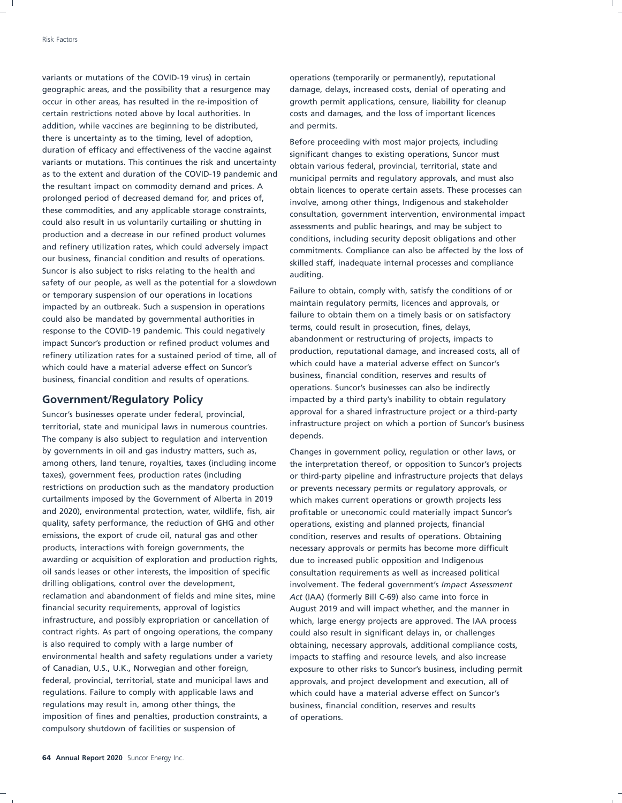variants or mutations of the COVID-19 virus) in certain operations (temporarily or permanently), reputational geographic areas, and the possibility that a resurgence may damage, delays, increased costs, denial of operating and occur in other areas, has resulted in the re-imposition of growth permit applications, censure, liability for cleanup certain restrictions noted above by local authorities. In costs and damages, and the loss of important licences addition, while vaccines are beginning to be distributed, and permits. there is uncertainty as to the timing, level of adoption,<br>duration of efficacy and effectiveness of the vaccine against<br>significant changes to ovisting approximation of the vaccine duration of efficacy and effectiveness of the vaccine against significant changes to existing operations, Suncor must<br>variants or mutations. This continues the risk and uncertainty a htsin unrisus foderal provincial territ variants or mutations. This continues the risk and uncertainty obtain various federal, provincial, territorial, state and<br>as to the extent and duration of the COVID-19 pandemic and servational permits and regulatory propos as to the extent and duration of the COVID-19 pandemic and municipal permits and regulatory approvals, and must also<br>the resultant impact on commodity demand and prices. A the resultant impact on commodity demand and prices. A obtain licences to operate certain assets. These processes can<br>prolonged period of decreased demand for, and prices of, involve among other things, Indigenous and stak prolonged period of decreased demand for, and prices of, involve, among other things, Indigenous and stakeholder<br>these commodities, and any applicable storage constraints, involve, anonymetristic environmental in these commodities, and any applicable storage constraints, consultation, government intervention, environmental impact<br>could also result in us voluntarily curtailing or shutting in could also result in us voluntarily curtailing or shutting in assessments and public hearings, and may be subject to production and a decrease in our refined product volumes production and a decrease in our refined product volumes conditions, including security deposit obligations and other<br>and refinery utilization rates, which could adversely impact commitments. Compliance can also be effecte and refinery utilization rates, which could adversely impact commitments. Compliance can also be affected by the loss of our business, financial condition and results of operations. Suncor is also subject to risks relating to the health and auditing. safety of our people, as well as the potential for a slowdown or temporary suspension of our operations in locations Failure to obtain, comply with, satisfy the conditions of or<br>imported by an outbreak Sush a suspension in operations maintain regulatory permits, licences and approval impacted by an outbreak. Such a suspension in operations in all maintain regulatory permits, licences and approvals, or impacted by a suspension in operations is a substantial failure to obtain them on a timely basis or on failure to obtain them on a timely basis or on s<br>recense to the COVD 10 pendemic This could penetically terms, could result in prosecution, fines, delays, terms, could result in prosecution, fines, delays,<br>impact Supervice production or refined product volumes and abandonment or restructuring of projects, impacts to impact Suncor's production or refined product volumes and<br>refinent utilization rates for a sustained period of time all of production, reputational damage, and increased costs, all of production, reputational damage, and increased costs, and increased costs, and increased costs, and increased costs, and increased costs, and increased costs, and increased costs, and the matrice period of time, all of the which could have a material adverse effect on Suncor's which could have a material adverse effect on Suncort which could have a material adverse effect on Suncortines business, financial condition and results of operations.

territorial, state and municipal laws in numerous countries. Intrastructure provide a portion of Suncor's terminal in the company is also subject to require and intervention. The company is also subject to regulation and intervention by governments in oil and gas industry matters, such as, Changes in government policy, regulation or other laws, or among others, land tenure, royalties, taxes (including income the interpretation thereof, or opposition to Suncor's projects taxes), government fees, production rates (including or third-party pipeline and infrastructure projects that delays restrictions on production such as the mandatory production or prevents necessary permits or regulatory approvals, or curtailments imposed by the Government of Alberta in 2019 which makes current operations or growth projects less and 2020), environmental protection, water, wildlife, fish, air profitable or uneconomic could materially impact Suncor's quality, safety performance, the reduction of GHG and other operations, existing and planned projects, financial emissions, the export of crude oil, natural gas and other condition, reserves and results of operations. Obtaining products, interactions with foreign governments, the necessary approvals or permits has become more difficult awarding or acquisition of exploration and production rights, due to increased public opposition and Indigenous oil sands leases or other interests, the imposition of specific consultation requirements as well as increased political drilling obligations, control over the development, involvement. The federal government's *Impact Assessment* reclamation and abandonment of fields and mine sites, mine *Act* (IAA) (formerly Bill C-69) also came into force in financial security requirements, approval of logistics August 2019 and will impact whether, and the manner in infrastructure, and possibly expropriation or cancellation of which, large energy projects are approved. The IAA process contract rights. As part of ongoing operations, the company could also result in significant delays in, or challenges is also required to comply with a large number of obtaining, necessary approvals, additional compliance costs, environmental health and safety regulations under a variety impacts to staffing and resource levels, and also increase of Canadian, U.S., U.K., Norwegian and other foreign, exposure to other risks to Suncor's business, including permit federal, provincial, territorial, state and municipal laws and approvals, and project development and execution, all of regulations. Failure to comply with applicable laws and which could have a material adverse effect on Suncor's regulations may result in, among other things, the business, financial condition, reserves and results imposition of fines and penalties, production constraints, a of operations. compulsory shutdown of facilities or suspension of

skilled staff, inadequate internal processes and compliance

operations. Suncor's businesses can also be indirectly **Government/Regulatory Policy** impacted by a third party's inability to obtain regulatory Suncor's businesses operate under federal, provincial, approval for a shared infrastructure project or a third-party<br>Suncor's businesses operate under the numerous countries infrastructure project on which a portion of Sun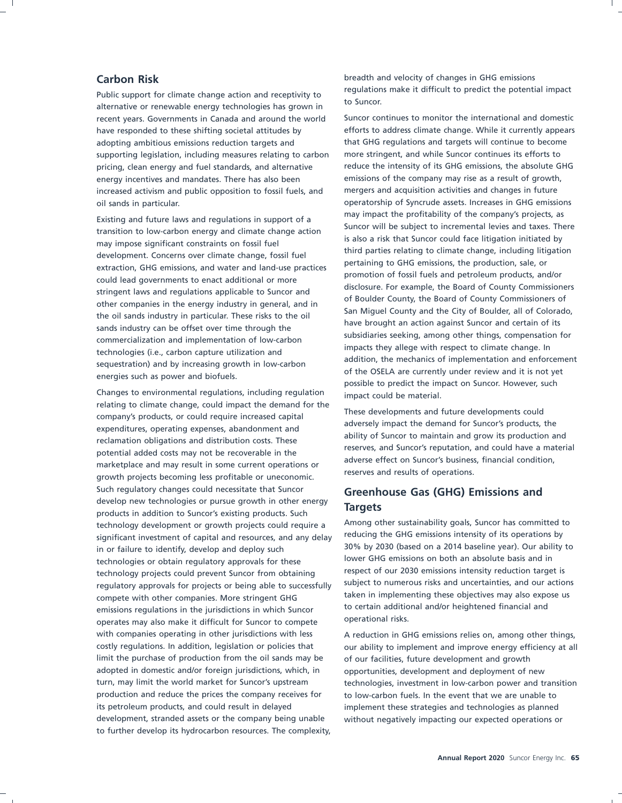Public support for climate change action and receptivity to<br>alternative or renewable energy technologies has grown in to Suncor. recent years. Governments in Canada and around the world Suncor continues to monitor the international and domestic adopting ambitious emissions reduction targets and that GHG regulations and targets will continue to become supporting legislation, including measures relating to carbon more stringent, and while Suncor continues its efforts to pricing, clean energy and fuel standards, and alternative reduce the intensity of its GHG emissions, the absolute GHG energy incentives and mandates. There has also been emissions of the company may rise as a result of growth, increased activism and public opposition to fossil fuels, and mergers and acquisition activities and changes in future oil sands in particular. operatorship of Syncrude assets. Increases in GHG emissions

Changes to environmental regulations, including regulation impact could be material.<br>relating to climate change, could impact the demand for the Fresh diamation of the company's products, or could require increased capital<br>expenditures, operating expenses, abandonment and<br>reclamation obligations and distribution costs. These<br>potential added costs may not be recover Such regulatory changes could necessitate that Suncor **Greenhouse Gas (GHG) Emissions and** develop new technologies or pursue growth in other energy **Fourage CHS** develop new technologies or pursue growth in other energy **Targets**<br>products in addition to Suncor's existing products. Such an approximate a sustainability goals, Suncor has committed to technology development or growth projects could require a<br>significant investment of capital and resources and any delay reducing the GHG emissions intensity of its operations by reducing the GHG emissions intensity of its operations by significant investment of capital and resources, and any delay<br>in or failure to identify develop and deploy such significantly by 2030 (based on a 2014 baseline yea in or failure to identify, develop and deploy such a 2014 based on a 2014 baseline year). Our ability to include the such that in the set of the set of the set of the set of the set of the set of the set of the set of the technologies or obtain regulatory approvals for these these these of our SHG emissions on both an absolute basis and in<br>technology projects could prevent Supcor from obtaining respect of our 2030 emissions intensity reduct technology projects could prevent Suncor from obtaining respect of our 2030 emissions intensity reduction target is<br>technology projects could prevent Suncor from obtaining subject to numerous risks and uncertainties, and o regulatory approvals for projects or being able to successfully taken in implementing these objectives may also expose us<br>emissions requilations in the jurisdictions in which Suncor to certain additional and/or heightened financial and emissions regulations in the jurisdictions in which Suncor and the certain additions regulations in the jurisdictions in which Suncor to compate operational risks. operates may also make it difficult for Suncor to compete with companies operating in other jurisdictions with less A reduction in GHG emissions relies on, among other things, costly regulations. In addition, legislation or policies that our ability to implement and improve energy efficiency at all limit the purchase of production from the oil sands may be of our facilities, future development and growth adopted in domestic and/or foreign jurisdictions, which, in opportunities, development and deployment of new turn, may limit the world market for Suncor's upstream technologies, investment in low-carbon power and transition production and reduce the prices the company receives for to low-carbon fuels. In the event that we are unable to its petroleum products, and could result in delayed implement these strategies and technologies as planned development, stranded assets or the company being unable without negatively impacting our expected operations or to further develop its hydrocarbon resources. The complexity,

**Carbon Risk** breadth and velocity of changes in GHG emissions<br> **Carbon Risk** breadships the potential impact

have responded to these shifting societal attitudes by efforts to address climate change. While it currently appears Existing and future laws and regulations in support of a<br>
transition to low-carbon energy and climate change action<br>
is also a risk that Suncor could face litigation initiated by<br>
may impose significant constraints on foss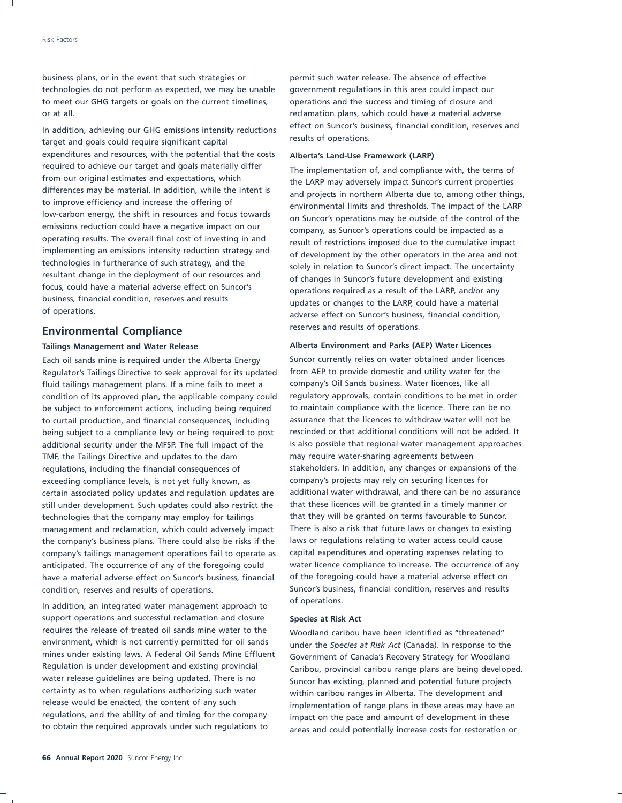business plans, or in the event that such strategies or permit such water release. The absence of effective technologies do not perform as expected, we may be unable government regulations in this area could impact our to meet our GHG targets or goals on the current timelines, operations and the success and timing of closure and or at all. reclamation plans, which could have a material adverse

target and goals could require significant capital expenditures and resources, with the potential that the costs **Alberta's Land-Use Framework (LARP)** required to achieve our target and goals materially differ The implementation of, and compliance with, the terms of from our original estimates and expectations, which from our original estimates and expectations, which the LARP may adversely impact Suncor's current properties<br>differences may be material. In addition, while the intent is differences may be material. In addition, while the intent is and projects in northern Alberta due to, among other things, to improve efficiency and increase the offering of to improve efficiency and increase the offering of the environmental limits and thresholds. The impact of the LARP<br>low-carbon energy, the shift in resources and focus towards and surror's energings may be outside of the se low-carbon energy, the shift in resources and focus towards on Suncor's operations may be outside of the control of the control of the control of the control of the control of the control of the control of the emissions re emissions reduction could have a negative impact on our company, as Suncor's operations could be impacted as a<br>contraction operation in the overall final cost of investing in and operating results. The overall final cost of investing in and result of restrictions imposed due to the cumulative impact<br>implementing an emissions intensity reduction strategy and reduced and post-onerators in the area an implementing an emissions intensity reduction strategy and of development by the other operators in the area and not<br>technologies in furtherance of such strategy, and the cololy in relation to Super is direct impact. The u technologies in furtherance of such strategy, and the solely in relation to Suncor's direct impact. The uncertainty<br>resultant change in the deployment of our resources and express in Suncer's future development and existin resultant change in the deployment of our resources and of changes in Suncor's future development and existing<br>focus, could have a material adverse effect on Suncor's and approximate as a small of the LAPD and factory and focus, could have a material adverse effect on Suncor's operations required as a result of the LARP, and/or any<br>business, financial condition, reserves and results business, financial condition, reserves and results updates or changes to the LARP, could have a material of operations.

### reserves and results of operations. **Environmental Compliance**

Regulator's Tailings Directive to seek approval for its updated from AEP to provide domestic and utility water for the fluid tailings management plans. If a mine fails to meet a company's Oil Sands business. Water licences, like all condition of its approved plan, the applicable company could regulatory approvals, contain conditions to be met in order be subject to enforcement actions, including being required to maintain compliance with the licence. There can be no to curtail production, and financial consequences, including assurance that the licences to withdraw water will not be being subject to a compliance levy or being required to post rescinded or that additional conditions will not be added. It additional security under the MFSP. The full impact of the is also possible that regional water management approaches TMF, the Tailings Directive and updates to the dam may require water-sharing agreements between regulations, including the financial consequences of stakeholders. In addition, any changes or expansions of the exceeding compliance levels, is not yet fully known, as company's projects may rely on securing licences for certain associated policy updates and regulation updates are additional water withdrawal, and there can be no assurance still under development. Such updates could also restrict the that these licences will be granted in a timely manner or technologies that the company may employ for tailings that they will be granted on terms favourable to Suncor. management and reclamation, which could adversely impact There is also a risk that future laws or changes to existing the company's business plans. There could also be risks if the laws or regulations relating to water access could cause company's tailings management operations fail to operate as capital expenditures and operating expenses relating to anticipated. The occurrence of any of the foregoing could water licence compliance to increase. The occurrence of any have a material adverse effect on Suncor's business, financial of the foregoing could have a material adverse effect on condition, reserves and results of operations. Suncor's business, financial condition, reserves and results

of operations. In addition, an integrated water management approach to support operations and successful reclamation and closure **Species at Risk Act** requires the release of treated oil sands mine water to the Woodland caribou have been identified as "threatened"<br>environment, which is not currently permitted for oil sands and a reader the Species at Pick Act (Canada). I environment, which is not currently permitted for oil sands under the *Species at Risk Act* (Canada). In response to the mines under existing laws. A Federal Oil Sands Mine Effluent Government of Canada's Recovery Strategy for Woodland<br>Regulation is under development and existing provincial Caribou provincial caribou range plans are being do Regulation is under development and existing provincial Caribou, provincial caribou range plans are being developed.<br>Water release guidelines are being updated. There is no support has existing planned and potential future water release guidelines are being updated. There is no Suncor has existing, planned and potential future projects<br>Suncor has existing, planned and potential future projects of the care of the settle is a settle that the d certainty as to when regulations authorizing such water within caribou ranges in Alberta. The development and<br>
release would be enacted, the content of any such implementation of range plans in these areas may have release would be enacted, the content of any such implementation of range plans in these areas may have an<br>regulations, and the ability of and timing for the company impact on the pass and amount of development in these regulations, and the ability of and timing for the company impact on the pace and amount of development in these<br>to obtain the required approvals under such requlations to are and could potentially increase certs for recto

In addition, achieving our GHG emissions intensity reductions effect on Suncor's business, financial condition, reserves and In addition, reserves and In addition, reserves and In additions in the United States of examples

adverse effect on Suncor's business, financial condition,

### **Tailings Management and Water Release Alberta Environment and Parks (AEP) Water Licences**

Each oil sands mine is required under the Alberta Energy Suncor currently relies on water obtained under licences

areas and could potentially increase costs for restoration or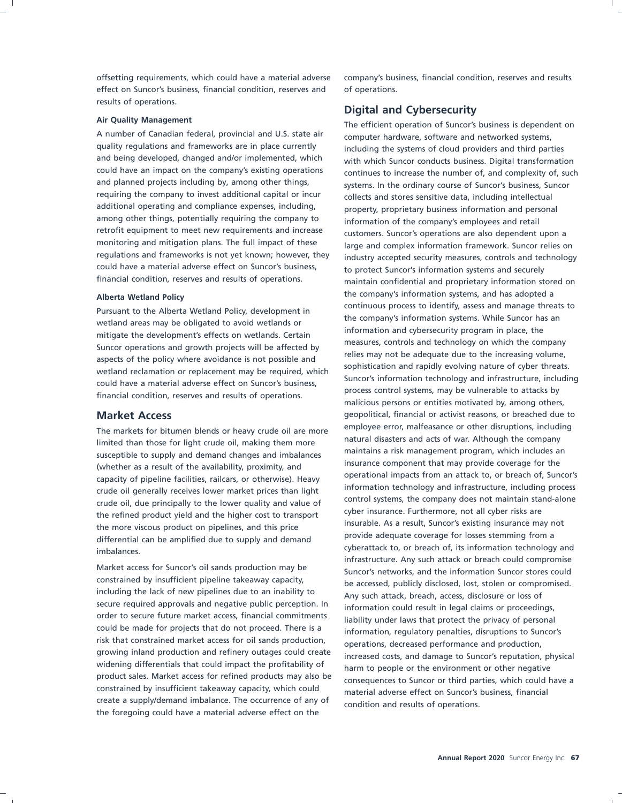effect on Suncor's business, financial condition, reserves and of operations. results of operations.

A number of Canadian federal, provincial and U.S. state air computer hardware, software and networked systems,<br>quality regulations and frameworks are in place currently including the systems of cloud providers and third pa quality regulations and frameworks are in place currently including the systems of cloud providers and third parties<br>and being developed, changed and/or implemented, which which suppor conducts business. Digital transforma and being developed, changed and/or implemented, which with which Suncor conducts business. Digital transformation<br>could have an impact on the company's existing operations continues to increase the number of and complexit and planned projects including by, among other things, systems. In the ordinary course of Suncor's business, Suncor<br>requiring the company to invest additional capital or incuration collects and stores sensitive data includ additional operating and compliance expenses, including, property, proprietary business information and personal<br>among other things, potentially requiring the company to information of the company's employees and retail among other things, potentially requiring the company to information of the company's employees and retail<br>
retrofit equipment to meet new requirements and increase retrofit equipment to meet new requirements and increase customers. Suncor's operations are also dependent upon a<br>monitoring and mitigation plans. The full impact of these large and complex information framework. Sunces re monitoring and mitigation plans. The full impact of these large and complex information framework. Suncor relies on<br>regulations and frameworks is not yet known; however, they industry accepted security measures, controls a regulations and frameworks is not yet known; however, they industry accepted security measures, controls and technology<br>could have a material adverse effect on Suncor's business, the protect Suncor's information systems an could have a material adverse effect on Suncor's business, to protect Suncor's information systems and securely<br>
financial condition, reserves and results of operations.<br>
maintain confidential and proprietary information s

The markets for bitumen blends or heavy crude oil are more<br>Insited then these for light crude oil making them more all natural disasters and acts of war. Although the company limited than those for light crude oil, making them more<br>susceptible to supply and domand changes and imbalances and intialins a risk management program, which includes an susceptible to supply and demand changes and imbalances and imaintains a risk management program, which includes an succeptible to supply and demand changes and imbalances and insurance component that may provide coverage control systems, the company does not maintain stand-<br>the refined product viold and the bigher cost to transport of the lower insurance. Furthermore, not all cyber risks are the refined product yield and the higher cost to transport cyber insurance. Furthermore, not all cyber risks are<br>the magnetic and the principle and this price insurable. As a result, Suncor's existing insurance may not the more viscous product on pipelines, and this price<br>alifferential see he emplified due to supply and demand<br>provide adequate coverage for losses stemming from a differential can be amplified due to supply and demand

including the lack of new pipelines due to an inability to Any such attack, breach, access, disclosure or loss of secure required approvals and negative public perception. In and information could recult in local claims or secure required approvals and negative public perception. In information could result in legal claims or proceedings,<br>order to secure future market access, financial commitments order to secure future market access, financial commitments liability under laws that protect the privacy of personal could be made for projects that do not proceed. There is a could be made for projects that do not proceed. There is a information, regulatory penalties, disruptions to Suncor's risk that constrained market access for oil sands production, approximation dereased performance and pro risk that constrained market access for oil sands production, operations, decreased performance and production,<br>growing inland production and refinery outages could create increased certs and damage to Sunser's reputation, widening differentials that could impact the profitability of<br>product sales. Market access for refined products may also be<br>consequences to Supper or third parties, which could be constrained by insufficient takeaway capacity, which could material adverse effect on Suncor's business, financial create a supply/demand imbalance. The occurrence of any of condition and results of operations. the foregoing could have a material adverse effect on the

offsetting requirements, which could have a material adverse company's business, financial condition, reserves and results

### **Digital and Cybersecurity**

**Air Quality Management**<br>A number of Canadian federal, provincial and U.S. state air<br>A number of Canadian federal, provincial and U.S. state air<br>A number of Canadian federal, provincial and U.S. state air<br>A number of Canad could have an impact on the company's existing operations continues to increase the number of, and complexity of, such<br>and planned projects including by, among other things, such and the ordinary course of Suncor's busines collects and stores sensitive data, including intellectual maintain confidential and proprietary information stored on Alberta Wetland Policy<br> **Alberta Wetland Policy**<br> **Alberta Wetland Policy**<br> **Alberta Wetland Policy**<br> **Alberta Wetland Policy**<br> **Alberta Wetland Policy**<br> **Alberta Wetland Policy**<br> **Alberta Wetland Policy**<br> **Alberta Wetland** Pursuant to the Alberta Wetland Policy, development in<br>
wetland areas may be obligated to avoid wetlands or<br>
mitigate the development's effects on wetlands or<br>
mitigate the development's effects on wetlands. Certain<br>
Sunco **Market Access**<br>The market fact hit was blands as began stude all are more employee error, malfeasance or other disruptions, including insurance component that may provide coverage for the (whether as a result of the availability, proximity, and capacity of pipeline facilities, railcars, or otherwise). Heavy operational impacts from an attack to, or breach of, Suncor's capacity of pipeline facilities, railcars, or otherwise). Heavy operational impacts from an atta information technology and infrastructure, including process crude oil generally receives lower market prices than light cyberattack to, or breach of, its information technology and imbalances. infrastructure. Any such attack or breach could compromise Market access for Suncor's oil sands production may be Suncor's networks, and the information Suncor stores could<br>
constrained by insufficient pipeline takeaway capacity, be accessed published disclosed lest stelen or comp be accessed, publicly disclosed, lost, stolen or compromised. increased costs, and damage to Suncor's reputation, physical consequences to Suncor or third parties, which could have a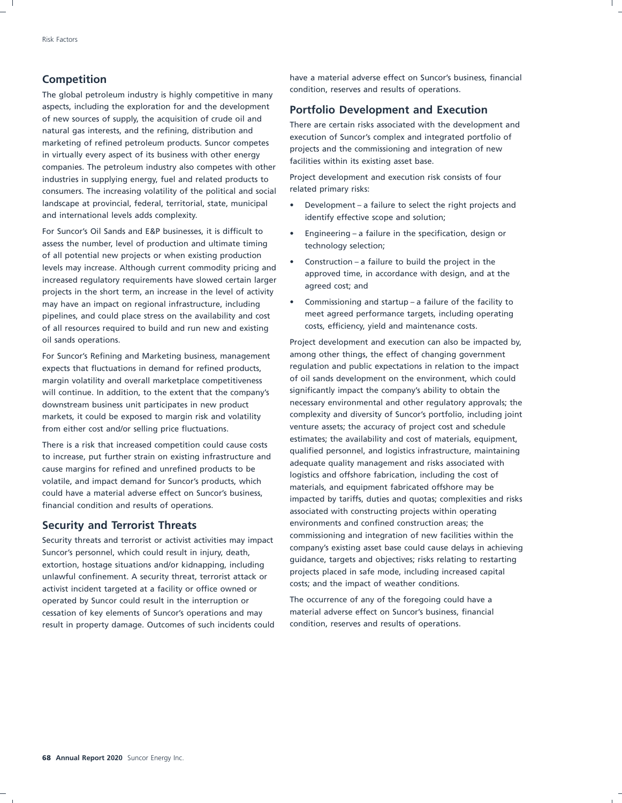The global petroleum industry is highly competitive in many aspects, including the exploration for and the development<br>of new sources of supply, the acquisition of crude oil and<br>natural gas interests, and the refining, distribution and<br>marketing of refined petroleum products. Sunco industries in supplying energy, fuel and related products to Project development and execution risk consists of four consumers. The increasing volatility of the political and social related primary risks: landscape at provincial, federal, territorial, state, municipal • Development – a failure to select the right projects and and international levels adds complexity. in the state of the identify effective scope and solution;

For Suncor's Oil Sands and E&P businesses, it is difficult to **•** Engineering – a failure in the specification, design or assess the number, level of production and ultimate timing technology selection; of all potential new projects or when existing production<br>
levels may increase. Although current commodity pricing and<br>
increased regulatory requirements have slowed certain larger<br>
projects in the short term, an increase may have an impact on regional infrastructure, including • Commissioning and startup – a failure of the facility to pipelines, and could place stress on the availability and cost meet agreed performance targets, including operating of all resources required to build and run new and existing costs, efficiency, yield and maintenance costs.

expects that fluctuations in demand for refined products, regulation and public expectations in relation to the impact margin volatility and overall marketplace competitiveness of oil sands development on the environment, which could<br>will continue. In addition, to the extent that the company's significantly impact the company's ability to will continue. In addition, to the extent that the company's from either cost and/or selling price fluctuations. venture assets; the accuracy of project cost and schedule

Security threats and terrorist or activist activities may impact<br>
Suncor's personnel, which could result in injury, death,<br>
extortion, hostage situations and/or kidnapping, including<br>
unlawful confinement. A security threa operated by Suncor could result in the interruption or The occurrence of any of the foregoing could have a cessation of key elements of Suncor's operations and may material adverse effect on Suncor's business, financial result in property damage. Outcomes of such incidents could condition, reserves and results of operations.

**Competition**<br> **Competition**<br> **Condition, reserves and results of operations.** 

- 
- 
- 
- 

oil sands operations. Project development and execution can also be impacted by, For Suncor's Refining and Marketing business, management among other things, the effect of changing government downstream business unit participates in new product necessary environmental and other regulatory approvals; the markets, it could be exposed to margin risk and volatility complexity and diversity of Suncor's portfolio, including joint There is a risk that increased competition could cause costs<br>to increase, put further strain on existing infrastructure and<br>cause margins for refined and unrefined products to be<br>volatile, and impact demand for Suncor's pr **Security and Terrorist Threats** environments and confined construction areas; the environments and integration of new facilities within the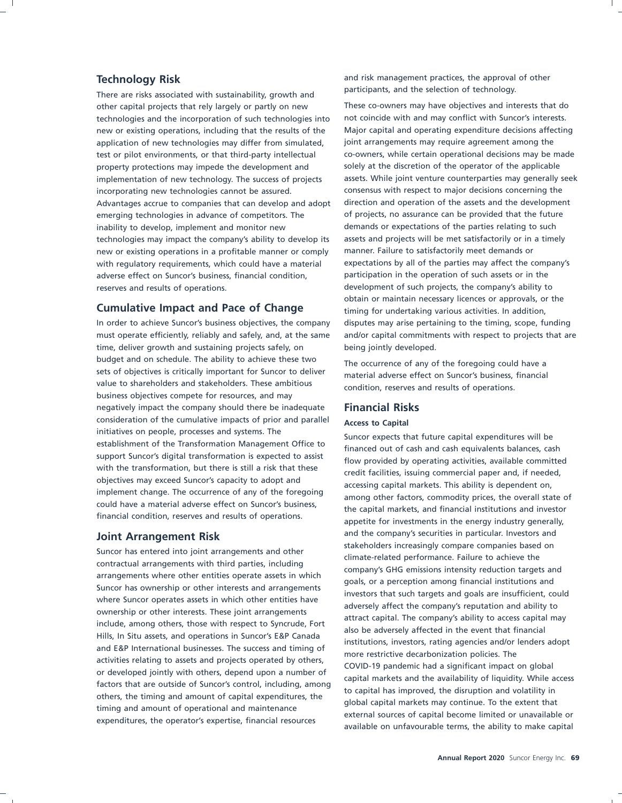There are risks associated with sustainability, growth and other capital projects that rely largely or partly on new These co-owners may have objectives and interests that do technologies and the incorporation of such technologies into not coincide with and may conflict with Suncor's interests. new or existing operations, including that the results of the Major capital and operating expenditure decisions affecting application of new technologies may differ from simulated, joint arrangements may require agreement among the test or pilot environments, or that third-party intellectual co-owners, while certain operational decisions may be made property protections may impede the development and solely at the discretion of the operator of the applicable incorporating new technologies cannot be assured. consensus with respect to major decisions concerning the Advantages accrue to companies that can develop and adopt direction and operation of the assets and the development emerging technologies in advance of competitors. The of projects, no assurance can be provided that the future inability to develop, implement and monitor new demands or expectations of the parties relating to such technologies may impact the company's ability to develop its assets and projects will be met satisfactorily or in a timely new or existing operations in a profitable manner or comply manner. Failure to satisfactorily meet demands or with regulatory requirements, which could have a material expectations by all of the parties may affect the company's adverse effect on Suncor's business, financial condition, participation in the operation of such assets or in the reserves and results of operations. The such as the company's ability to development of such projects, the company's ability to

In order to achieve Suncor's business objectives, the company disputes may arise pertaining to the timing, scope, funding time, deliver growth and sustaining projects safely, on being jointly developed. budget and on schedule. The ability to achieve these two<br>sets of objectives is critically important for Suncor to deliver and paterial advance offect on Suncor's business financial value to shareholders and stakeholders. These ambitious condition, reserves and results of operations. business objectives compete for resources, and may negatively impact the company should there be inadequate **Financial Risks** consideration of the cumulative impacts of prior and parallel **Access to Capital**<br>initiatives on people, processes and systems. The initiatives on people, processes and systems. The<br>
establishment of the Transformation Management Office to<br>
support Suncor expects that future capital expenditures will be<br>
support Suncor's digital transformation is expec

**Technology Risk** and risk management practices, the approval of other<br> **The and risk management practices**, the approval of other<br> **Participants**, and the selection of technology.

implementation of new technology. The success of projects assets. While joint venture counterparties may generally seek obtain or maintain necessary licences or approvals, or the **Cumulative Impact and Pace of Change** timing for undertaking various activities. In addition, must operate efficiently, reliably and safely, and, at the same and/or capital commitments with respect to projects that are

material adverse effect on Suncor's business, financial

**Joint Arrangement Risk** and the company's securities in particular. Investors and<br>
Suncor has entered into joint arrangements and other<br>
contractual arrangements with thin parties, including<br>
correction arrangements with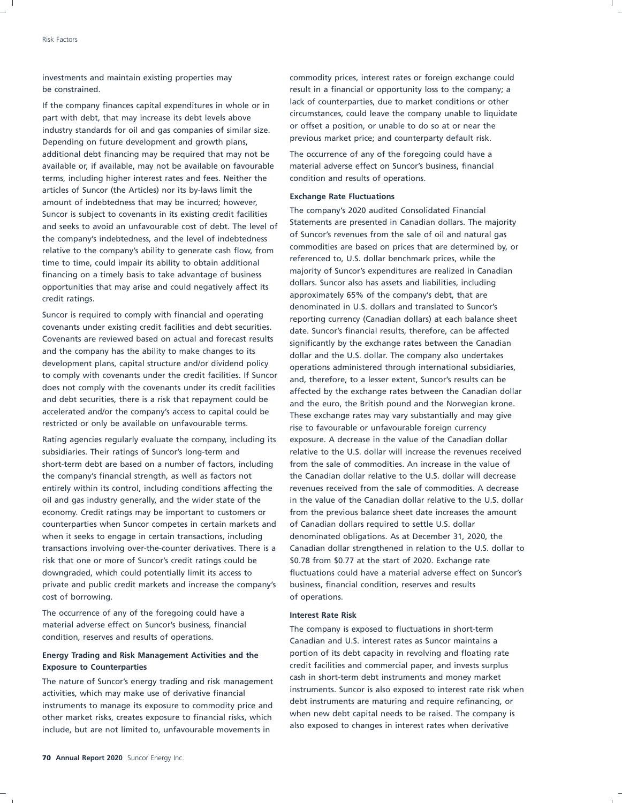part with debt, that may increase its debt levels above expressions of circumstances, could leave the company unable to liquidate part with debt, that may increase its debt levels above or offset a position, or unable to d industry standards for oil and gas companies of similar size. The industry of unable to do so at or near the i<br>Depending an future development and gravith plane. Previous market price; and counterparty default risk. Depending on future development and growth plans, additional debt financing may be required that may not be The occurrence of any of the foregoing could have a available or, if available, may not be available on favourable material adverse effect on Suncor's business, financial terms, including higher interest rates and fees. Neither the condition and results of operations. articles of Suncor (the Articles) nor its by-laws limit the<br>amount of indebtedness that may be incurred; however,<br>**Exchange Rate Fluctuations** and indebtedness that may be incurred; however,<br>The company's 2020 audited Cons Suncor is subject to covenants in its existing credit facilities<br>and sooks to avoid an unfavourable cost of dobt. The level of Statements are presented in Canadian dollars. The majority and seeks to avoid an unfavourable cost of debt. The level of and statements are presented in Canadian dollars. The majority and statements are presented in Canadian dollars. The majority and the level of indebted as a set the company's indebtedness, and the level of indebtedness of oil surforts reverties from the sale of oil and natural gas the company's indebtedness, and the level of indebtedness of indebtedness of the company's ability to relative to the company's ability to generate cash flow, from commodities are based on prices that are determined<br>time to time could impair its ability to abtain additional referenced to, U.S. dollar benchmark prices, whil time to time, could impair its ability to obtain additional<br>Financing an a timely besis to take advantage of business majority of Suncor's expenditures are realized in Canadian financing on a timely basis to take advantage of business and inductive or Suncor's expenditures are realized in Canadian financing on a timely basis to take advantage of business and localizes. Suncor also has assets and opportunities that may arise and could negatively affect its approximately 65% of the company's debt, that are credit ratings.

Suncor is required to comply with financial and operating reporting currency (Canadian dollars) at each balance sheet<br>covenants under existing credit facilities and debt securities. covenants under existing credit facilities and debt securities. date. Suncor's financial results, therefore, can be affected Covenants are reviewed based on actual and forecast results significantly by the exchange rates between the Canadian<br>and the company has the ability to make changes to its allow and the U.S. dellar. The company also undert and the company has the ability to make changes to its dollar and the U.S. dollar. The company also undertakes<br>development plans, capital structure and/or dividend policy development plans, capital structure and/or dividend policy operations administered through international subsidiaries,<br>to comply with covenants under the credit facilities. If Suncor and therefore to a lesser extent. Sunc to comply with covenants under the credit facilities. If Suncor and, therefore, to a lesser extent, Suncor's results can be does not comply with the covenants under its credit facilities does not comply with the covenants under its credit facilities affected by the exchange rates between the Canadian dollar<br>and debt securities, there is a risk that repayment could be and the sure, the British nound and the and debt securities, there is a risk that repayment could be and the euro, the British pound and the Norwegian krone.<br>accelerated and/or the company's access to capital could be the representation and starting the new give accelerated and/or the company's access to capital could be These exchange rates may vary substantially and may give<br>restricted or only be available on unfavourable terms.

subsidiaries. Their ratings of Suncor's long-term and relative to the U.S. dollar will increase the revenues received short-term debt are based on a number of factors, including from the sale of commodities. An increase in the value of the company's financial strength, as well as factors not the Canadian dollar relative to the U.S. dollar will decrease entirely within its control, including conditions affecting the revenues received from the sale of commodities. A decrease oil and gas industry generally, and the wider state of the in the value of the Canadian dollar relative to the U.S. dollar economy. Credit ratings may be important to customers or from the previous balance sheet date increases the amount counterparties when Suncor competes in certain markets and of Canadian dollars required to settle U.S. dollar when it seeks to engage in certain transactions, including denominated obligations. As at December 31, 2020, the transactions involving over-the-counter derivatives. There is a Canadian dollar strengthened in relation to the U.S. dollar to risk that one or more of Suncor's credit ratings could be \$0.78 from \$0.77 at the start of 2020. Exchange rate downgraded, which could potentially limit its access to fluctuations could have a material adverse effect on Suncor's private and public credit markets and increase the company's business, financial condition, reserves and results cost of borrowing. The cost of operations.

The occurrence of any of the foregoing could have a **Interest Rate Risk** material adverse effect on Suncor's business, financial The company is exposed to fluctuations in short-term<br>condition, reserves and results of operations.

activities, which may make use of derivative financial<br>instruments. Suncor is also exposed to linear rate instruments are maturing and require refinancing, or instruments to manage its exposure to commodity price and<br>other market risks exposure to financial risks which when new debt capital needs to be raised. The company is other market risks, creates exposure to financial risks, which when hew debt capital needs to be raised. The company is other market risks, creates exposure to financial risks, which also exposed to changes in interest rat include, but are not limited to, unfavourable movements in

investments and maintain existing properties may commodity prices, interest rates or foreign exchange could be constrained. The constrained. The constrained of  $\alpha$  is a financial or opportunity loss to the company; a If the company finances capital expenditures in whole or in lack of counterparties, due to market conditions or other If the company unable to liquidate

denominated in U.S. dollars and translated to Suncor's rise to favourable or unfavourable foreign currency Rating agencies regularly evaluate the company, including its exposure. A decrease in the value of the Canadian dollar

Canadian and U.S. interest rates as Suncor maintains a **Energy Trading and Risk Management Activities and the** portion of its debt capacity in revolving and floating rate **Exposure to Counterparties** credit facilities and commercial paper, and invests surplus The nature of Suncor's energy trading and risk management cash in short-term debt instruments and money market<br>
instruments. Suncor is also exposed to interest rate risk when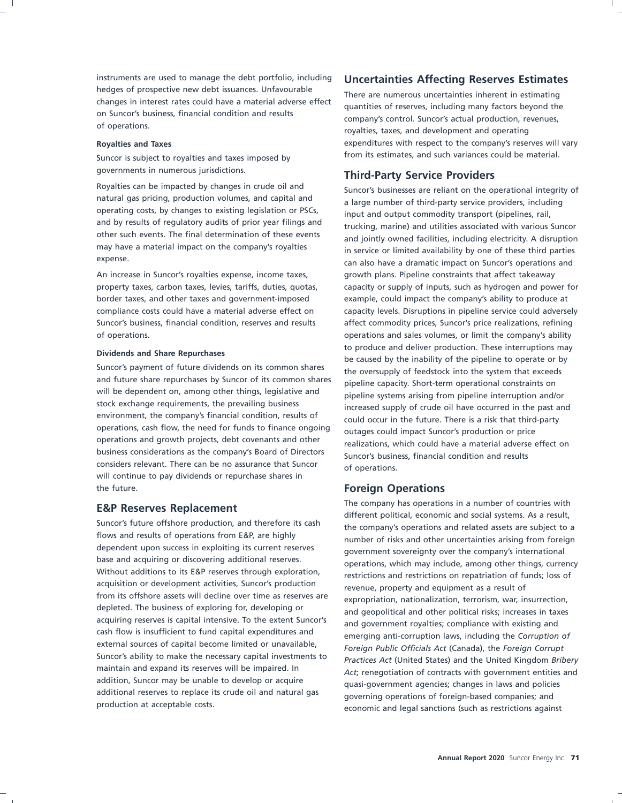instruments are used to manage the debt portfolio, including **Uncertainties Affecting Reserves Estimates** hedges of prospective new debt issuances. Unfavourable<br>
changes in interest rates could have a material adverse effect<br>
on Suncor's business, financial condition and results<br>
of operations.<br>
of operations.<br>
There are numer

governments in numerous jurisdictions.<br>**Third-Party Service Providers**<br>**Royalties can be impacted by changes in crude oil and** 

natural gas pricing, production volumes, and capital and a large number of third-party service providers, including<br>operating costs, by changes to existing legislation or PSCs, a service and output semporalisy transport (p operating costs, by changes to existing legislation or PSCs, input and output commodity transport (pipelines, rail, and by results of requlatory audits of prior year filings and  $\frac{1}{2}$ ,  $\frac{1}{2}$ ,  $\frac{1}{2}$ ,  $\frac{1}{2}$ ,

Suncor's payment of future dividends on its common shares the oversupply of feedstock into the system that exceeds<br>and future share repurchases by Suncor of its common shares aincline cancelly. Short term aparational const and future share repurchases by Suncor of its common shares pipeline capacity. Short-term operational constraints on will be dependent on, among other things, legislative and will be dependent on, among other things, legislative and pipeline systems arising from pipeline interruption and/or<br>stock exchange requirements, the prevailing business strategy increased supply of stude ail have assumed stock exchange requirements, the prevailing business increased supply of crude oil have occurred in the past and<br>environment, the company's financial condition, results of and accurate the future. There is a rick that thir environment, the company's financial condition, results of could occur in the future. There is a risk that third-party<br>operations, cash flow, the need for funds to finance ongoing authors sould impact funger's production o operations, cash flow, the need for funds to finance ongoing outages could impact Suncor's production or price<br>operations and growth projects, debt covenants and other and solitations which sould have a material odycare i operations and growth projects, debt covenants and other realizations, which could have a material adverse effect on<br>business considerations as the company's Board of Directors surface financial condition and results considers relevant. There can be no assurance that Suncor of operations. will continue to pay dividends or repurchase shares in the future. **Foreign Operations**

dependent upon success in exploiting its current reserves government sovereignty over the company's international<br>base and acquiring or discovering additional reserves. Without additions to its E&P reserves through exploration, restrictions and restrictions on repatriation of funds; loss of acquisition or development activities, Suncor's production acquisition or development activities, Suncor's production<br>from its offshore assets will decline over time as reserves are appropriation actionalization terrarian uses in from its offshore assets will decline over time as reserves are expropriation, nationalization, terrorism, war, insurrection, depleted. The business of exploring for, developing or and secondition and other political sides depleted. The business of exploring for, developing or and geopolitical and other political risks; increases in taxes<br>acquiring reserves is capital intensive. To the extent Suncor's and geograment revelties compliance with acquiring reserves is capital intensive. To the extent Suncor's and government royalties; compliance with existing and<br>cash flow is insufficient to fund capital expenditures and approximate anti-extention law including the cash flow is insufficient to fund capital expenditures and emerging anti-corruption laws, including the *Corruption of* external sources of capital become limited or unavailable, *Foreign Public Officials Act* (Canada), the *Foreign Corrupt* addition, suncor may be unable to develop or acquire quasi-government agencies; changes in laws and policies additional reserves to replace its crude oil and natural gas additional reserves to replace its crude oil and natural gas governing operations of foreign-based companies; and production at acceptable costs.

**Royalties and Taxes** expenditures with respect to the company's reserves will vary Suncor is subject to royalties and taxes imposed by from its estimates, and such variances could be material.

Royalties can be impacted by changes in crude oil and Suncor's businesses are reliant on the operational integrity of natural gas pricing, production volumes, and capital and and by results of regulatory audits of prior year filings and trucking, marine) and utilities associated with various Suncor other such events. The final determination of these events other such events. The final determination of these events and jointly owned facilities, including electricity. A disruption may have a material impact on the company's royalties may have a material impact on the company's royalties in service or limited availability by one of these third parties<br>expense. can also have a dramatic impact on Suncor's operations and An increase in Suncor's royalties expense, income taxes, growth plans. Pipeline constraints that affect takeaway property taxes, carbon taxes, levies, tariffs, duties, quotas, capacity or supply of inputs, such as hydrogen and power for border taxes, and other taxes and government-imposed example, could impact the company's ability to produce at compliance costs could have a material adverse effect on capacity levels. Disruptions in pipeline service could adversely Suncor's business, financial condition, reserves and results affect commodity prices, Suncor's price realizations, refining of operations. operations and sales volumes, or limit the company's ability **Dividends and Share Repurchases** be to produce and deliver production. These interruptions may<br>be caused by the inability of the pipeline to operate or by<br>Suncor's payment of future dividends on its common shares Suncor's business, financial condition and results

The company has operations in a number of countries with<br> **E&P Reserves Replacement**<br>
Suncor's future offshore production, and therefore its cash<br>
the company's energing and social systems. As a result, Suncor's future offshore production, and therefore its cash the company's operations and related assets are subject to a<br>flows and results of operations from E&P, are highly flows and results of operations from E&P, are highly number of risks and other uncertainties arising from foreign<br>dependent upon success in exploiting its current reserves approximant coverignty over the company's internat base and acquiring or discovering additional reserves.<br>Without additions to its E&P reserves through exploration, and restrictions and restrictions on reportinging of funds less of Suncor's ability to make the necessary capital investments to *Practices Act* (United States) and the United Kingdom *Bribery* maintain and expand its reserves will be impaired. In *Act*; renegotiation of contracts with government entities and addition, Suncor may be unable to develop or acquire economic and legal sanctions (such as restrictions against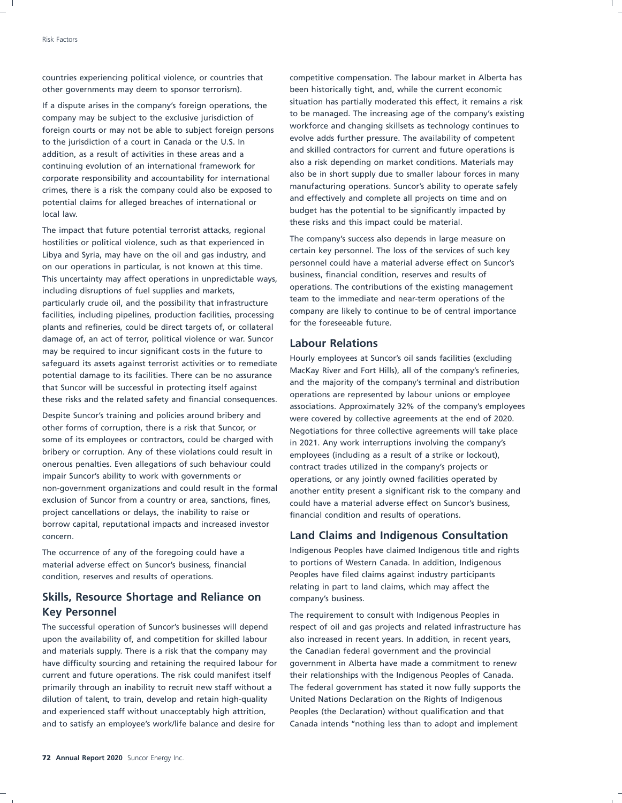countries experiencing political violence, or countries that competitive compensation. The labour market in Alberta has other governments may deem to sponsor terrorism). been historically tight, and, while the current economic

to be managed. The increasing age of the company's existing<br>farging courts as may not be able to subject farging parsons workforce and changing skillsets as technology continues to foreign courts or may not be able to subject foreign persons workforce and changing skillsets as technology continues to foreign persons evolve adds further pressure. The availability of competent to the jurisdiction of a court in Canada or the U.S. In evolve adds further pressure. The availability of competent<br>and skilled contractors for current and future operations is addition, as a result of activities in these areas and a<br>continuing qualition of an international framework for also a risk depending on market conditions. Materials may continuing evolution of an international framework for a risk depending on market conditions. Materials may<br>connect connectivity and accountability for international also be in short supply due to smaller labour forces in corporate responsibility and accountability for international and the in short supply due to smaller labour forces in many corporate supply due to smaller labour forces in many corporate supply to a supply due to smaller t crimes, there is a risk the company could also be exposed to ability of perations. Suncor's ability to operate safely crimes, there is a risk the company could also be exposed to and effectively and complete all projects o potential claims for alleged breaches of international or **budget has the potential to be significantly impacted by** local law.

The impact that future potential terrorist attacks, regional The company's success also depends in large measure on<br>Hibya and Syria, may have an the eil and ass industry, and ertain key personnel. The loss of the services of such key Libya and Syria, may have on the oil and gas industry, and<br>Concurs on the services of such key Liberal and the service of the services of the services of such key on our operations in particular, is not known at this time.<br>This uncortainty may affect operations in unprodictable ways business, financial condition, reserves and results of This uncertainty may affect operations in unpredictable ways,<br>including digruptions of the two cupplies and markets of the contributions of the existing management including disruptions of fuel supplies and markets,<br>narticularly crude oil, and the possibility that infractructure team to the immediate and near-term operations of the particularly crude oil, and the possibility that infrastructure<br>facilities including pipelines, production facilities processing company are likely to continue to be of central importance facilities, including pipelines, production facilities, processing company are likely to continue. plants and refineries, could be direct targets of, or collateral damage of, an act of terror, political violence or war. Suncor **Labour Relations** may be required to incur significant costs in the future to may be required to incur significant costs in the future to<br>safeguard its assets against terrorist activities or to remediate<br>potential damage to its facilities. There can be no assurance<br>that Suncor will be successful in

Despite Suncor's training and policies around bribery and<br>
other forms of corruption, there is a risk that Suncor, or a supportiations for three collective agreements will take place other forms of corruption, there is a risk that Suncor, or Negotiations for three collective agreements will take place<br>Some of its employees or contractors, could be charged with  $\frac{1}{12}$  and the verteinterruptions invo some of its employees or contractors, could be charged with in 2021. Any work interruptions involving the company's<br>bribery or corruption. Any of these violations could result in amployees (including as a result of a strik bribery or corruption. Any of these violations could result in employees (including as a result of a strike or lockout),<br>onerous penalties. Even allegations of such behaviour could contract trades utilized in the company's onerous penalties. Even allegations of such behaviour could contract trades utilized in the company's projects or impair Suncor's ability to work with governments or operations, or any jointly owned facilities operated by<br>non-government organizations and could result in the formal apother entity present a significant risk to the compa non-government organizations and could result in the formal another entity present a significant risk to the company and<br>exclusion of Suncor from a country or area, sanctions, fines, and have a material adverse offect on S exclusion of Suncor from a country or area, sanctions, fines, exclude have a material adverse effect on Suncor's business,<br>project cancellations or delays, the inability to raise or expressive condition and results of oper borrow capital, reputational impacts and increased investor concern. **Land Claims and Indigenous Consultation**

### **Skills, Resource Shortage and Reliance on** company's business. **Key Personnel** The requirement to consult with Indigenous Peoples in

upon the availability of, and competition for skilled labour also increased in recent years. In addition, in recent years, and materials supply. There is a risk that the company may the Canadian federal government and the provincial have difficulty sourcing and retaining the required labour for government in Alberta have made a commitment to renew current and future operations. The risk could manifest itself their relationships with the Indigenous Peoples of Canada. primarily through an inability to recruit new staff without a The federal government has stated it now fully supports the dilution of talent, to train, develop and retain high-quality United Nations Declaration on the Rights of Indigenous and experienced staff without unacceptably high attrition, Peoples (the Declaration) without qualification and that and to satisfy an employee's work/life balance and desire for Canada intends ''nothing less than to adopt and implement

If a dispute arises in the company's foreign operations, the situation has partially moderated this effect, it remains a risk If a dispute arises in the company's existing  $\epsilon$ these risks and this impact could be material.

financial condition and results of operations.

The occurrence of any of the foregoing could have a **Indigenous Peoples have claimed Indigenous** title and rights material adverse effect on Suncor's business, financial to portions of Western Canada. In addition, Indigenous condition, reserves and results of operations. The Peoples have filed claims against industry participants relating in part to land claims, which may affect the

The successful operation of Suncor's businesses will depend respect of oil and gas projects and related infrastructure has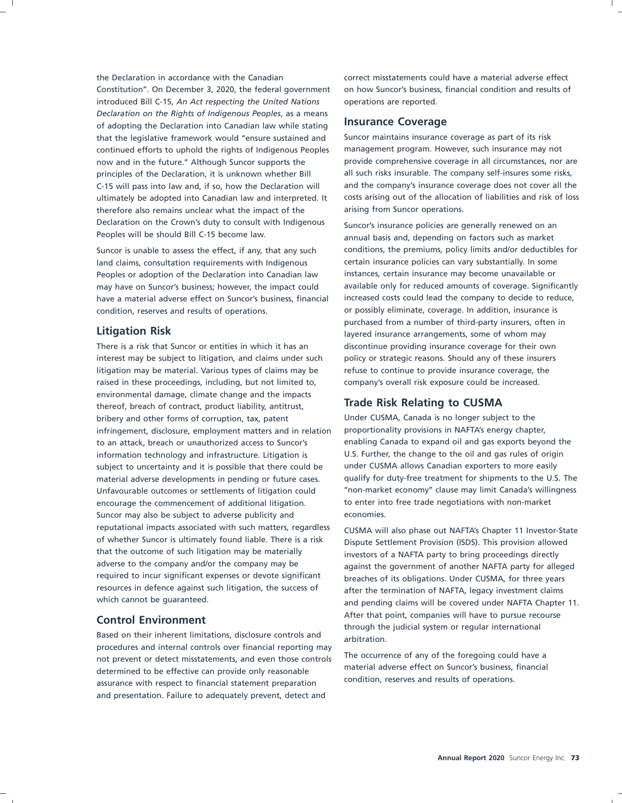Constitution''. On December 3, 2020, the federal government on how Suncor's business, financial condition and results of introduced Bill C-15, *An Act respecting the United Nations* operations are reported. *Declaration on the Rights of Indigenous Peoples*, as a means of adopting the Declaration into Canadian law while stating **Insurance Coverage** that the legislative framework would ''ensure sustained and Suncor maintains insurance coverage as part of its risk continued efforts to uphold the rights of Indigenous Peoples management program. However, such insurance may not now and in the future." Although Suncor supports the provide comprehensive coverage in all circumstances, nor are principles of the Declaration, it is unknown whether Bill all such risks insurable. The company self-insures some risks, C-15 will pass into law and, if so, how the Declaration will and the company's insurance coverage does not cover all the therefore also remains unclear what the impact of the arising from Suncor operations. Declaration on the Crown's duty to consult with Indigenous Suncor's insurance policies are generally renewed on an<br>Peoples will be should Bill C-15 become law.

land claims, consultation requirements with Indigenous certain insurance policies can vary substantially. In some Peoples or adoption of the Declaration into Canadian law instances, certain insurance may become unavailable or have a material adverse effect on Suncor's business, financial increased costs could lead the company to decide to reduce, condition, reserves and results of operations. or possibly eliminate, coverage. In addition, insurance is

There is a risk that Suncor or entities in which it has an discontinue providing insurance coverage for their own interest may be subject to litigation, and claims under such policy or strategic reasons. Should any of these insurers litigation may be material. Various types of claims may be refuse to continue to provide insurance coverage, the raised in these proceedings, including, but not limited to, company's overall risk exposure could be increased. environmental damage, climate change and the impacts thereof, breach of contract, product liability, antitrust, **Trade Risk Relating to CUSMA** bribery and other forms of corruption, tax, patent Under CUSMA, Canada is no longer subject to the infringement, disclosure, employment matters and in relation proportionality provisions in NAFTA's energy chapter, to an attack, breach or unauthorized access to Suncor's enabling Canada to expand oil and gas exports beyond the information technology and infrastructure. Litigation is U.S. Further, the change to the oil and gas rules of origin subject to uncertainty and it is possible that there could be under CUSMA allows Canadian exporters to more easily material adverse developments in pending or future cases. qualify for duty-free treatment for shipments to the U.S. The Unfavourable outcomes or settlements of litigation could ''non-market economy'' clause may limit Canada's willingness encourage the commencement of additional litigation. to enter into free trade negotiations with non-market Suncor may also be subject to adverse publicity and economies. reputational impacts associated with such matters, regardless CUSMA will also phase out NAFTA's Chapter 11 Investor-State<br>of whether Suncor is ultimately found liable. There is a risk picnute Sottlement Provision (ISDS). T of whether Suncor is ultimately found liable. There is a risk Dispute Settlement Provision (ISDS). This provision allowed<br>that the outcome of such litigation may be materially investors of a NAFTA party to bring proceeding that the outcome of such litigation may be materially investors of a NAFTA party to bring proceedings directly<br>adverse to the company and/or the company may be adverse to the company and/or the company may be against the government of another NAFTA party for alleged<br>required to incur significant expenses or devote significant processes of its obligations. Under CUSMA, for three v required to incur significant expenses or devote significant breaches of its obligations. Under CUSMA, for three years<br>
resources in defence against such litigation, the success of a flar the termination of NAFTA, legacy i resources in defence against such litigation, the success of after the termination of NAFTA, legacy investment claims<br>which cannot be quaranteed.

Based on their inherent limitations, disclosure controls and arbitration. procedures and internal controls over financial reporting may The occurrence of any of the foregoing could have a<br>not prevent or detect misstatements, and even those controls<br>material adverse effect on Suncor's business, financial<br>determined to be offective can provide only resconsib determined to be effective can provide only reasonable material adverse effect on Suncor's business,<br>condition, reserves and results of operations. assurance with respect to financial statement preparation and presentation. Failure to adequately prevent, detect and

the Declaration in accordance with the Canadian correct misstatements could have a material adverse effect

ultimately be adopted into Canadian law and interpreted. It costs arising out of the allocation of liabilities and risk of loss

annual basis and, depending on factors such as market Suncor is unable to assess the effect, if any, that any such conditions, the premiums, policy limits and/or deductibles for may have on Suncor's business; however, the impact could available only for reduced amounts of coverage. Significantly purchased from a number of third-party insurers, often in **Litigation Risk** layered insurance arrangements, some of whom may

and pending claims will be covered under NAFTA Chapter 11. **Control Environment Control Environment Control Environment** the system of the judicial system or regular international system or regular international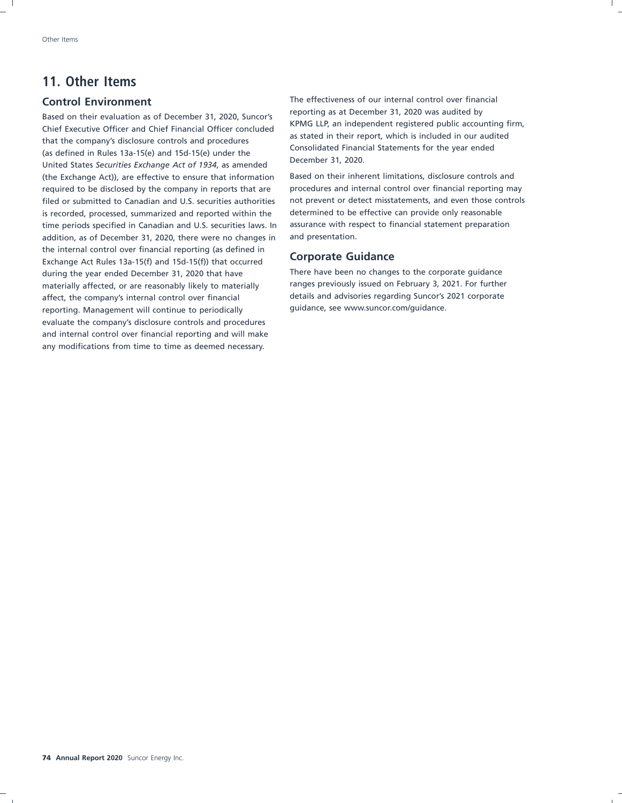### **11. Other Items**

Based on their evaluation as of December 31, 2020, Suncor's<br>Chief Executive Officer and Chief Financial Officer concluded<br>About the company's disclosure particle and approaching that the company's disclosure controls and procedures<br>(as defined in Rules 13a-15(e) and 15d-15(e) under the<br>United States Securities Exchange Act of 1934, as amended<br>December 31, 2020. (the Exchange Act)), are effective to ensure that information Based on their inherent limitations, disclosure controls and required to be disclosed by the company in reports that are procedures and internal control over financial reporting may filed or submitted to Canadian and U.S. securities authorities not prevent or detect misstatements, and even those controls is recorded, processed, summarized and reported within the determined to be effective can provide only reasonable time periods specified in Canadian and U.S. securities laws. In assurance with respect to financial statement preparation addition, as of December 31, 2020, there were no changes in and presentation. the internal control over financial reporting (as defined in **Corporate Guidance** Exchange Act Rules 13a-15(f) and 15d-15(f)) that occurred during the year ended December 31, 2020 that have There have been no changes to the corporate guidance materially affected, or are reasonably likely to materially ranges previously issued on February 3, 2021. For further<br>affect, the company's internal control over financial details and advisories regarding Suncor's 2021 cor affect, the company's internal control over financial reporting. Management will continue to periodically sumply guidance, see www.suncor.com/guidance. evaluate the company's disclosure controls and procedures and internal control over financial reporting and will make any modifications from time to time as deemed necessary.

**Control Environment** The effectiveness of our internal control over financial<br>
The effectiveness of our internal control over financial<br>
The effectiveness of our internal control over financial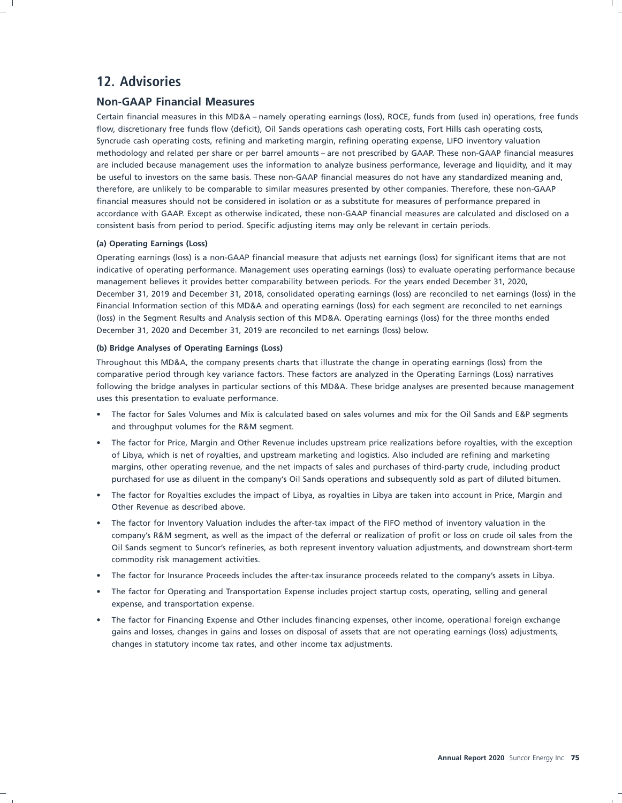### **12. Advisories**

### **Non-GAAP Financial Measures**

Certain financial measures in this MD&A – namely operating earnings (loss), ROCE, funds from (used in) operations, free funds flow, discretionary free funds flow (deficit), Oil Sands operations cash operating costs, Fort Hills cash operating costs, Syncrude cash operating costs, refining and marketing margin, refining operating expense, LIFO inventory valuation methodology and related per share or per barrel amounts – are not prescribed by GAAP. These non-GAAP financial measures are included because management uses the information to analyze business performance, leverage and liquidity, and it may be useful to investors on the same basis. These non-GAAP financial measures do not have any standardized meaning and, therefore, are unlikely to be comparable to similar measures presented by other companies. Therefore, these non-GAAP financial measures should not be considered in isolation or as a substitute for measures of performance prepared in accordance with GAAP. Except as otherwise indicated, these non-GAAP financial measures are calculated and disclosed on a consistent basis from period to period. Specific adjusting items may only be relevant in certain periods.

### **(a) Operating Earnings (Loss)**

Operating earnings (loss) is a non-GAAP financial measure that adjusts net earnings (loss) for significant items that are not indicative of operating performance. Management uses operating earnings (loss) to evaluate operating performance because management believes it provides better comparability between periods. For the years ended December 31, 2020, December 31, 2019 and December 31, 2018, consolidated operating earnings (loss) are reconciled to net earnings (loss) in the Financial Information section of this MD&A and operating earnings (loss) for each segment are reconciled to net earnings (loss) in the Segment Results and Analysis section of this MD&A. Operating earnings (loss) for the three months ended December 31, 2020 and December 31, 2019 are reconciled to net earnings (loss) below.

### **(b) Bridge Analyses of Operating Earnings (Loss)**

Throughout this MD&A, the company presents charts that illustrate the change in operating earnings (loss) from the comparative period through key variance factors. These factors are analyzed in the Operating Earnings (Loss) narratives following the bridge analyses in particular sections of this MD&A. These bridge analyses are presented because management uses this presentation to evaluate performance.

- The factor for Sales Volumes and Mix is calculated based on sales volumes and mix for the Oil Sands and E&P segments and throughput volumes for the R&M segment.
- The factor for Price, Margin and Other Revenue includes upstream price realizations before royalties, with the exception of Libya, which is net of royalties, and upstream marketing and logistics. Also included are refining and marketing margins, other operating revenue, and the net impacts of sales and purchases of third-party crude, including product purchased for use as diluent in the company's Oil Sands operations and subsequently sold as part of diluted bitumen.
- The factor for Royalties excludes the impact of Libya, as royalties in Libya are taken into account in Price, Margin and Other Revenue as described above.
- The factor for Inventory Valuation includes the after-tax impact of the FIFO method of inventory valuation in the company's R&M segment, as well as the impact of the deferral or realization of profit or loss on crude oil sales from the Oil Sands segment to Suncor's refineries, as both represent inventory valuation adjustments, and downstream short-term commodity risk management activities.
- The factor for Insurance Proceeds includes the after-tax insurance proceeds related to the company's assets in Libya.
- The factor for Operating and Transportation Expense includes project startup costs, operating, selling and general expense, and transportation expense.
- The factor for Financing Expense and Other includes financing expenses, other income, operational foreign exchange gains and losses, changes in gains and losses on disposal of assets that are not operating earnings (loss) adjustments, changes in statutory income tax rates, and other income tax adjustments.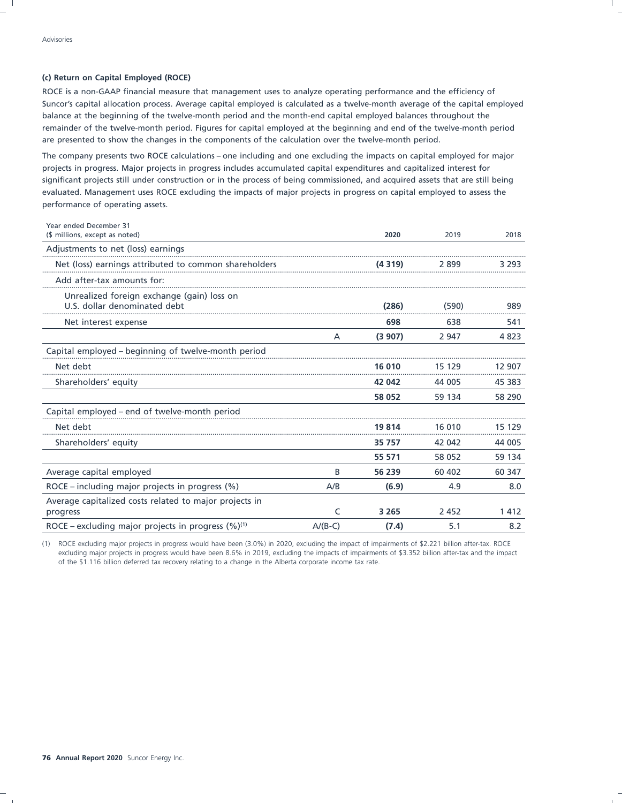### **(c) Return on Capital Employed (ROCE)**

ROCE is a non-GAAP financial measure that management uses to analyze operating performance and the efficiency of Suncor's capital allocation process. Average capital employed is calculated as a twelve-month average of the capital employed balance at the beginning of the twelve-month period and the month-end capital employed balances throughout the remainder of the twelve-month period. Figures for capital employed at the beginning and end of the twelve-month period are presented to show the changes in the components of the calculation over the twelve-month period.

The company presents two ROCE calculations – one including and one excluding the impacts on capital employed for major projects in progress. Major projects in progress includes accumulated capital expenditures and capitalized interest for significant projects still under construction or in the process of being commissioned, and acquired assets that are still being evaluated. Management uses ROCE excluding the impacts of major projects in progress on capital employed to assess the performance of operating assets.

| Year ended December 31<br>(\$ millions, except as noted)                   |           | 2020    | 2019    | 2018    |
|----------------------------------------------------------------------------|-----------|---------|---------|---------|
| Adjustments to net (loss) earnings                                         |           |         |         |         |
| Net (loss) earnings attributed to common shareholders                      |           | (4319)  | 2899    | 3 2 9 3 |
| Add after-tax amounts for:                                                 |           |         |         |         |
| Unrealized foreign exchange (gain) loss on<br>U.S. dollar denominated debt |           | (286)   | (590)   | 989     |
| Net interest expense                                                       |           | 698     | 638     | 541     |
|                                                                            | A         | (3907)  | 2 9 4 7 | 4 8 2 3 |
| Capital employed – beginning of twelve-month period                        |           |         |         |         |
| Net debt                                                                   |           | 16 010  | 15 129  | 12 907  |
| Shareholders' equity                                                       |           | 42 042  | 44 005  | 45 383  |
|                                                                            |           | 58 052  | 59 134  | 58 290  |
| Capital employed - end of twelve-month period                              |           |         |         |         |
| Net debt                                                                   |           | 19814   | 16 010  | 15 129  |
| Shareholders' equity                                                       |           | 35 757  | 42 042  | 44 005  |
|                                                                            |           | 55 571  | 58 0 52 | 59 134  |
| Average capital employed                                                   | B         | 56 239  | 60 40 2 | 60 347  |
| ROCE - including major projects in progress (%)                            | A/B       | (6.9)   | 4.9     | 8.0     |
| Average capitalized costs related to major projects in<br>progress         | C         | 3 2 6 5 | 2 4 5 2 | 1412    |
| ROCE – excluding major projects in progress $(\%)^{(1)}$                   | $A/(B-C)$ | (7.4)   | 5.1     | 8.2     |

(1) ROCE excluding major projects in progress would have been (3.0%) in 2020, excluding the impact of impairments of \$2.221 billion after-tax. ROCE excluding major projects in progress would have been 8.6% in 2019, excluding the impacts of impairments of \$3.352 billion after-tax and the impact of the \$1.116 billion deferred tax recovery relating to a change in the Alberta corporate income tax rate.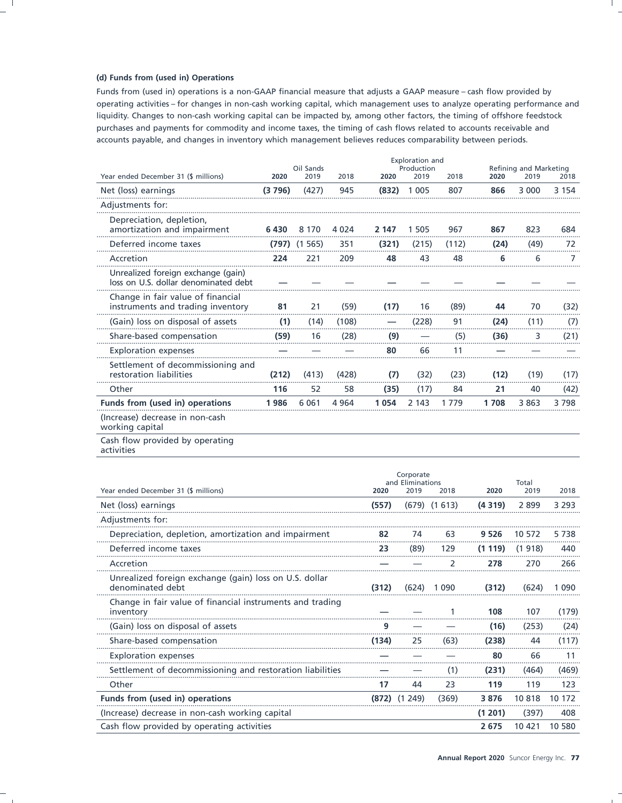### (d) Funds from (used in) Operations

Funds from (used in) operations is a non-GAAP financial measure that adjusts a GAAP measure - cash flow provided by operating activities - for changes in non-cash working capital, which management uses to analyze operating performance and liquidity. Changes to non-cash working capital can be impacted by, among other factors, the timing of offshore feedstock purchases and payments for commodity and income taxes, the timing of cash flows related to accounts receivable and accounts payable, and changes in inventory which management believes reduces comparability between periods.

|                                                                            |        | Oil Sands |         |       | Production |       |      | Refining and Marketing |         |  |  |
|----------------------------------------------------------------------------|--------|-----------|---------|-------|------------|-------|------|------------------------|---------|--|--|
| Year ended December 31 (\$ millions)                                       | 2020   | 2019      | 2018    | 2020  | 2019       | 2018  | 2020 | 2019                   | 2018    |  |  |
| Net (loss) earnings                                                        | (3796) | (427)     | 945     | (832) | 1 0 0 5    | 807   | 866  | 3 0 0 0                | 3 1 5 4 |  |  |
| Adjustments for:                                                           |        |           |         |       |            |       |      |                        |         |  |  |
| Depreciation, depletion,<br>amortization and impairment                    | 6430   | 8 1 7 0   | 4 0 2 4 | 2 147 | 1505       | 967   | 867  | 823                    | 684     |  |  |
| Deferred income taxes                                                      | (797)  | (1565)    | 351     | (321) | (215)      | (112) | (24) | (49)                   | 72      |  |  |
| Accretion                                                                  | 224    | 221       | 209     | 48    | 43         | 48    | 6    | 6                      |         |  |  |
| Unrealized foreign exchange (gain)<br>loss on U.S. dollar denominated debt |        |           |         |       |            |       |      |                        |         |  |  |
| Change in fair value of financial<br>instruments and trading inventory     | 81     | 21        | (59)    | (17)  | 16         | (89)  | 44   | 70                     | (32)    |  |  |
| (Gain) loss on disposal of assets                                          | (1)    | (14)      | (108)   |       | (228)      | 91    | (24) | (11)                   | (7)     |  |  |
| Share-based compensation                                                   | (59)   | 16        | (28)    | (9)   |            | (5)   | (36) | 3                      | (21)    |  |  |
| <b>Exploration expenses</b>                                                |        |           |         | 80    | 66         | 11    |      |                        |         |  |  |
| Settlement of decommissioning and<br>restoration liabilities               | (212)  | (413)     | (428)   | (7)   | (32)       | (23)  | (12) | (19)                   | (17)    |  |  |
| Other                                                                      | 116    | 52        | 58      | (35)  | (17)       | 84    | 21   | 40                     | (42)    |  |  |
| Funds from (used in) operations                                            | 1986   | 6 0 6 1   | 4 9 6 4 | 1054  | 2 1 4 3    | 1779  | 1708 | 3 8 6 3                | 3798    |  |  |
| (Increase) decrease in non-cash<br>working capital                         |        |           |         |       |            |       |      |                        |         |  |  |
| Cash flow provided by operating                                            |        |           |         |       |            |       |      |                        |         |  |  |

activities

| Year ended December 31 (\$ millions)                                       | 2020  | Corporate<br>and Eliminations<br>2019 | 2018             | 2020    | Total<br>2019 | 2018    |
|----------------------------------------------------------------------------|-------|---------------------------------------|------------------|---------|---------------|---------|
| Net (loss) earnings                                                        | (557) |                                       | $(679)$ $(1613)$ | (4319)  | 2899          | 3 2 9 3 |
| Adjustments for:                                                           |       |                                       |                  |         |               |         |
| Depreciation, depletion, amortization and impairment                       | 82    | 74                                    | 63               | 9 5 2 6 | 10 572        | 5738    |
| Deferred income taxes                                                      | 23    | (89)                                  | 129              | (1119)  | (1918)        | 440     |
| Accretion                                                                  |       |                                       |                  | 278     | 270           | 266     |
| Unrealized foreign exchange (gain) loss on U.S. dollar<br>denominated debt | (312) | (624)                                 | 1 0 9 0          | (312)   | (624)         | 1 0 9 0 |
| Change in fair value of financial instruments and trading<br>inventory     |       |                                       |                  | 108     | 107           | (179)   |
| (Gain) loss on disposal of assets                                          | q     |                                       |                  | (16)    | (253)         | (24)    |
| Share-based compensation                                                   | (134) | 25                                    | (63)             | (238)   | 44            | (117)   |
| <b>Exploration expenses</b>                                                |       |                                       |                  | 80      | 66            | 11      |
| Settlement of decommissioning and restoration liabilities                  |       |                                       |                  | (231)   | (464)         | (469)   |
| Other                                                                      | 17    | 44                                    | 23               | 119     | 119           | 123     |
| Funds from (used in) operations                                            | (872) | (1249)                                | (369)            | 3876    | 10818         | 10 172  |
| (Increase) decrease in non-cash working capital                            |       |                                       |                  | (1 201) | (397)         | 408     |
| Cash flow provided by operating activities                                 |       |                                       |                  | 2675    | 10 421        | 10 580  |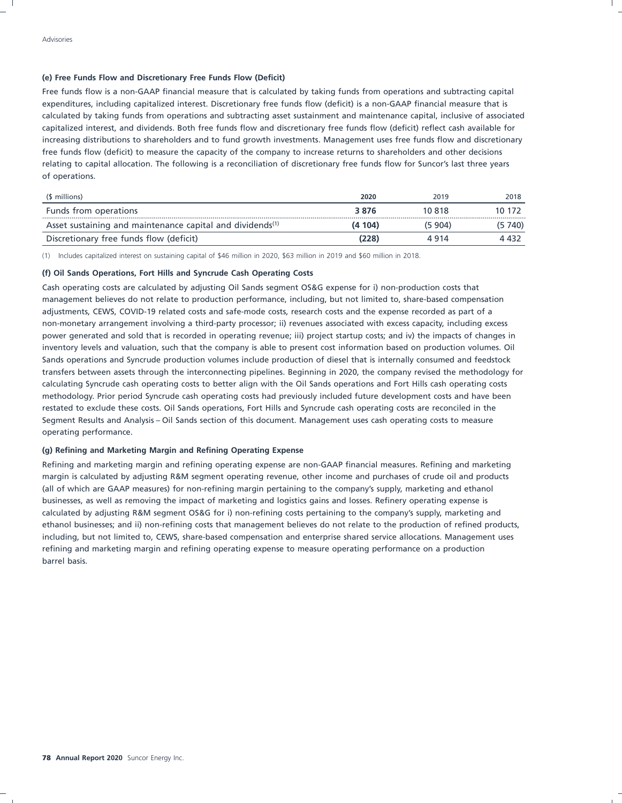### **(e) Free Funds Flow and Discretionary Free Funds Flow (Deficit)**

Free funds flow is a non-GAAP financial measure that is calculated by taking funds from operations and subtracting capital expenditures, including capitalized interest. Discretionary free funds flow (deficit) is a non-GAAP financial measure that is calculated by taking funds from operations and subtracting asset sustainment and maintenance capital, inclusive of associated capitalized interest, and dividends. Both free funds flow and discretionary free funds flow (deficit) reflect cash available for increasing distributions to shareholders and to fund growth investments. Management uses free funds flow and discretionary free funds flow (deficit) to measure the capacity of the company to increase returns to shareholders and other decisions relating to capital allocation. The following is a reconciliation of discretionary free funds flow for Suncor's last three years of operations.

| (\$ millions)                                                         | 2020   | 2019    | 2018    |
|-----------------------------------------------------------------------|--------|---------|---------|
| Funds from operations                                                 | 3876   | 10 818  | 10 172  |
| Asset sustaining and maintenance capital and dividends <sup>(1)</sup> | (4104) | (5 904) | (5 740) |
| Discretionary free funds flow (deficit)                               | (228)  | 4914    | 4 432   |

(1) Includes capitalized interest on sustaining capital of \$46 million in 2020, \$63 million in 2019 and \$60 million in 2018.

### **(f) Oil Sands Operations, Fort Hills and Syncrude Cash Operating Costs**

Cash operating costs are calculated by adjusting Oil Sands segment OS&G expense for i) non-production costs that management believes do not relate to production performance, including, but not limited to, share-based compensation adjustments, CEWS, COVID-19 related costs and safe-mode costs, research costs and the expense recorded as part of a non-monetary arrangement involving a third-party processor; ii) revenues associated with excess capacity, including excess power generated and sold that is recorded in operating revenue; iii) project startup costs; and iv) the impacts of changes in inventory levels and valuation, such that the company is able to present cost information based on production volumes. Oil Sands operations and Syncrude production volumes include production of diesel that is internally consumed and feedstock transfers between assets through the interconnecting pipelines. Beginning in 2020, the company revised the methodology for calculating Syncrude cash operating costs to better align with the Oil Sands operations and Fort Hills cash operating costs methodology. Prior period Syncrude cash operating costs had previously included future development costs and have been restated to exclude these costs. Oil Sands operations, Fort Hills and Syncrude cash operating costs are reconciled in the Segment Results and Analysis – Oil Sands section of this document. Management uses cash operating costs to measure operating performance.

### **(g) Refining and Marketing Margin and Refining Operating Expense**

Refining and marketing margin and refining operating expense are non-GAAP financial measures. Refining and marketing margin is calculated by adjusting R&M segment operating revenue, other income and purchases of crude oil and products (all of which are GAAP measures) for non-refining margin pertaining to the company's supply, marketing and ethanol businesses, as well as removing the impact of marketing and logistics gains and losses. Refinery operating expense is calculated by adjusting R&M segment OS&G for i) non-refining costs pertaining to the company's supply, marketing and ethanol businesses; and ii) non-refining costs that management believes do not relate to the production of refined products, including, but not limited to, CEWS, share-based compensation and enterprise shared service allocations. Management uses refining and marketing margin and refining operating expense to measure operating performance on a production barrel basis.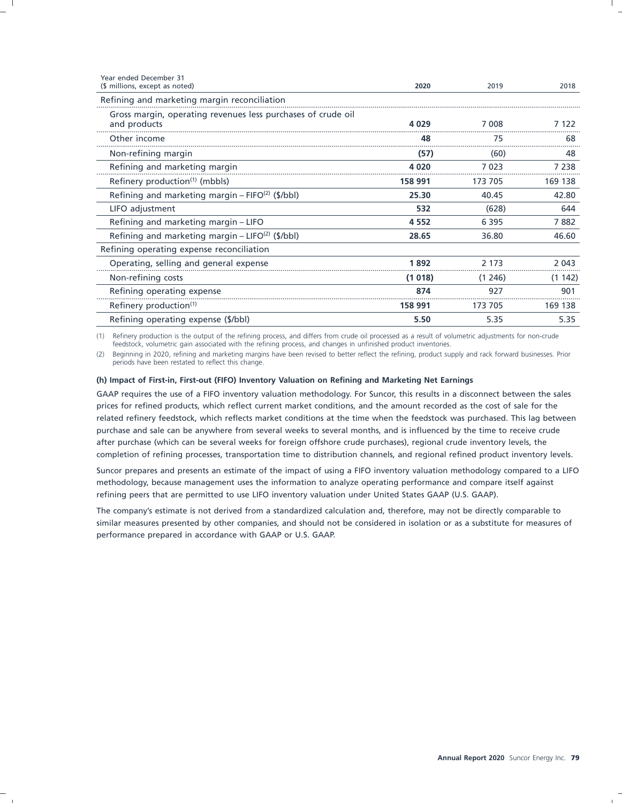| 2020    | 2019    | 2018    |
|---------|---------|---------|
|         |         |         |
| 4 0 2 9 | 7 008   | 7 1 2 2 |
| 48      | 75      | 68      |
| (57)    | (60)    | 48      |
| 4020    | 7023    | 7 2 3 8 |
| 158 991 | 173 705 | 169 138 |
| 25.30   | 40.45   | 42.80   |
| 532     | (628)   | 644     |
| 4 5 5 2 | 6 3 9 5 | 7882    |
| 28.65   | 36.80   | 46.60   |
|         |         |         |
| 1892    | 2 1 7 3 | 2 0 4 3 |
| (1018)  | (1246)  | (1142)  |
| 874     | 927     | 901     |
| 158 991 | 173 705 | 169 138 |
| 5.50    | 5.35    | 5.35    |
|         |         |         |

(1) Refinery production is the output of the refining process, and differs from crude oil processed as a result of volumetric adjustments for non-crude feedstock, volumetric gain associated with the refining process, and changes in unfinished product inventories.

(2) Beginning in 2020, refining and marketing margins have been revised to better reflect the refining, product supply and rack forward businesses. Prior periods have been restated to reflect this change.

### **(h) Impact of First-in, First-out (FIFO) Inventory Valuation on Refining and Marketing Net Earnings**

GAAP requires the use of a FIFO inventory valuation methodology. For Suncor, this results in a disconnect between the sales prices for refined products, which reflect current market conditions, and the amount recorded as the cost of sale for the related refinery feedstock, which reflects market conditions at the time when the feedstock was purchased. This lag between purchase and sale can be anywhere from several weeks to several months, and is influenced by the time to receive crude after purchase (which can be several weeks for foreign offshore crude purchases), regional crude inventory levels, the completion of refining processes, transportation time to distribution channels, and regional refined product inventory levels.

Suncor prepares and presents an estimate of the impact of using a FIFO inventory valuation methodology compared to a LIFO methodology, because management uses the information to analyze operating performance and compare itself against refining peers that are permitted to use LIFO inventory valuation under United States GAAP (U.S. GAAP).

The company's estimate is not derived from a standardized calculation and, therefore, may not be directly comparable to similar measures presented by other companies, and should not be considered in isolation or as a substitute for measures of performance prepared in accordance with GAAP or U.S. GAAP.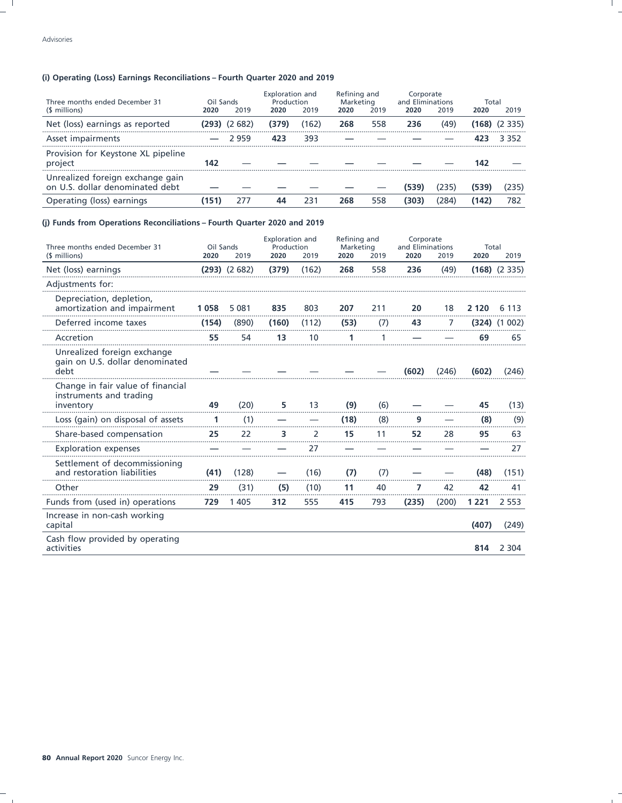### (i) Operating (Loss) Earnings Reconciliations - Fourth Quarter 2020 and 2019

| Three months ended December 31                                      | Oil Sands |                      | Exploration and<br>Production |       | Refining and<br>Marketing |      | Corporate<br>and Eliminations |       | Total |        |
|---------------------------------------------------------------------|-----------|----------------------|-------------------------------|-------|---------------------------|------|-------------------------------|-------|-------|--------|
| (\$ millions)                                                       | 2020      | 2019                 | 2020                          | 2019  | 2020                      | 2019 | 2020                          | 2019  | 2020  | 2019   |
| Net (loss) earnings as reported                                     |           | <b>(293)</b> (2 682) | (379)                         | (162) | 268                       | 558  | 236                           | (49)  | (168) | (2335) |
| Asset impairments                                                   |           | 2959                 | 423                           | 393   |                           |      |                               |       |       | 3 352  |
| Provision for Keystone XL pipeline<br>project                       | 142       |                      |                               |       |                           |      |                               |       | 142   |        |
| Unrealized foreign exchange gain<br>on U.S. dollar denominated debt |           |                      |                               |       |                           |      | (539)                         | (235) | (539) | 235)   |
| Operating (loss) earnings                                           | 151)      |                      |                               | 231   | 268                       | 558  | (303)                         | '284' | (142) | 782    |

### (j) Funds from Operations Reconciliations - Fourth Quarter 2020 and 2019

| Three months ended December 31                                            |       | Oil Sands        |       | Exploration and<br>Production |      | Refining and<br>Marketing |       | Corporate<br>and Eliminations |         | Total            |  |
|---------------------------------------------------------------------------|-------|------------------|-------|-------------------------------|------|---------------------------|-------|-------------------------------|---------|------------------|--|
| (\$ millions)                                                             | 2020  | 2019             | 2020  | 2019                          | 2020 | 2019                      | 2020  | 2019                          | 2020    | 2019             |  |
| Net (loss) earnings                                                       |       | $(293)$ $(2682)$ | (379) | (162)                         | 268  | 558                       | 236   | (49)                          |         | $(168)$ $(2335)$ |  |
| Adjustments for:                                                          |       |                  |       |                               |      |                           |       |                               |         |                  |  |
| Depreciation, depletion,<br>amortization and impairment                   | 1058  | 5 0 8 1          | 835   | 803                           | 207  | 211                       | 20    | 18                            | 2 1 2 0 | 6 1 1 3          |  |
| Deferred income taxes                                                     | (154) | (890)            | (160) | (112)                         | (53) | (7)                       | 43    | 7                             |         | $(324)$ $(1002)$ |  |
| Accretion                                                                 | 55    | 54               | 13    | 10                            | 1    |                           |       |                               | 69      | 65               |  |
| Unrealized foreign exchange<br>gain on U.S. dollar denominated<br>debt    |       |                  |       |                               |      |                           | (602) | (246)                         | (602)   | (246)            |  |
| Change in fair value of financial<br>instruments and trading<br>inventory | 49    | (20)             | 5     | 13                            | (9)  | (6)                       |       |                               | 45      | (13)             |  |
| Loss (gain) on disposal of assets                                         | 1     | (1)              |       |                               | (18) | (8)                       | 9     |                               | (8)     | (9)              |  |
| Share-based compensation                                                  | 25    | 22               | 3     | 2                             | 15   | 11                        | 52    | 28                            | 95      | 63               |  |
| <b>Exploration expenses</b>                                               |       |                  |       | 27                            |      |                           |       |                               |         | 27               |  |
| Settlement of decommissioning<br>and restoration liabilities              | (41)  | (128)            |       | (16)                          | (7)  | (7)                       |       |                               | (48)    | (151)            |  |
| Other                                                                     | 29    | (31)             | (5)   | (10)                          | 11   | 40                        | 7     | 42                            | 42      | 41               |  |
| Funds from (used in) operations                                           | 729   | 1 4 0 5          | 312   | 555                           | 415  | 793                       | (235) | (200)                         | 1 2 2 1 | 2 5 5 3          |  |
| Increase in non-cash working<br>capital                                   |       |                  |       |                               |      |                           |       |                               | (407)   | (249)            |  |
| Cash flow provided by operating<br>activities                             |       |                  |       |                               |      |                           |       |                               | 814     | 2 3 0 4          |  |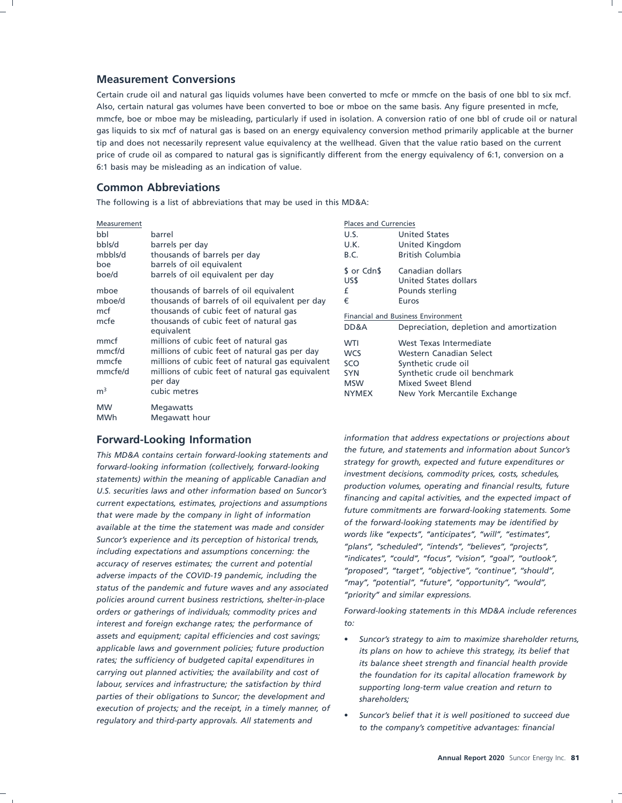### **Measurement Conversions**

Certain crude oil and natural gas liquids volumes have been converted to mcfe or mmcfe on the basis of one bbl to six mcf. Also, certain natural gas volumes have been converted to boe or mboe on the same basis. Any figure presented in mcfe, mmcfe, boe or mboe may be misleading, particularly if used in isolation. A conversion ratio of one bbl of crude oil or natural gas liquids to six mcf of natural gas is based on an energy equivalency conversion method primarily applicable at the burner tip and does not necessarily represent value equivalency at the wellhead. Given that the value ratio based on the current price of crude oil as compared to natural gas is significantly different from the energy equivalency of 6:1, conversion on a 6:1 basis may be misleading as an indication of value.

### **Common Abbreviations**

The following is a list of abbreviations that may be used in this MD&A:

| Measurement             |                                                                                                | <b>Places and Currencies</b> |                                                                                |  |  |  |
|-------------------------|------------------------------------------------------------------------------------------------|------------------------------|--------------------------------------------------------------------------------|--|--|--|
| bbl                     | barrel                                                                                         | U.S.                         | <b>United States</b>                                                           |  |  |  |
| bbls/d                  | barrels per day                                                                                | U.K.                         | United Kingdom                                                                 |  |  |  |
| mbbls/d                 | thousands of barrels per day                                                                   | B.C.                         | <b>British Columbia</b>                                                        |  |  |  |
| boe<br>boe/d            | barrels of oil equivalent<br>barrels of oil equivalent per day                                 | \$ or Cdn\$<br>US\$          | Canadian dollars<br>United States dollars                                      |  |  |  |
| mboe                    | thousands of barrels of oil equivalent                                                         | £                            | Pounds sterling                                                                |  |  |  |
| mboe/d                  | thousands of barrels of oil equivalent per day                                                 | €                            | Euros                                                                          |  |  |  |
| mcf<br>mcfe             | thousands of cubic feet of natural gas<br>thousands of cubic feet of natural gas<br>equivalent |                              | Financial and Business Environment<br>Depreciation, depletion and amortization |  |  |  |
| mmcf                    | millions of cubic feet of natural gas                                                          | <b>WTI</b>                   | West Texas Intermediate                                                        |  |  |  |
| mmcf/d                  | millions of cubic feet of natural gas per day                                                  | <b>WCS</b>                   | Western Canadian Select                                                        |  |  |  |
| mmcfe                   | millions of cubic feet of natural gas equivalent                                               | <b>SCO</b>                   | Synthetic crude oil                                                            |  |  |  |
| mmcfe/d                 | millions of cubic feet of natural gas equivalent                                               | <b>SYN</b>                   | Synthetic crude oil benchmark                                                  |  |  |  |
|                         | per day                                                                                        | <b>MSW</b>                   | Mixed Sweet Blend                                                              |  |  |  |
| m <sup>3</sup>          | cubic metres                                                                                   | <b>NYMEX</b>                 | New York Mercantile Exchange                                                   |  |  |  |
| <b>MW</b><br><b>MWh</b> | <b>Megawatts</b><br>Megawatt hour                                                              |                              |                                                                                |  |  |  |

Financing and capital activities, and the expected impact of<br>that were made by the company in light of information<br>available at the time the statement was made and consider<br>Suppose the supervisions and its parameters of bi Suncor's experience and its perception of historical trends,<br>
including expectations and assumptions concerning: the<br>
accuracy of reserves estimates; the current and potential<br>
adverse impacts of the COVID-19 pandemic, inc *orders or gatherings of individuals; commodity prices and Forward-looking statements in this MD&A include references interest and foreign exchange rates; the performance of to: assets and equipment; capital efficiencies and cost savings;* • *Suncor's strategy to aim to maximize shareholder returns, applicable laws and government policies; future production its plans on how to achieve this strategy, its belief that rates; the sufficiency of budgeted capital expenditures in its balance sheet strength and financial health provide labour, services and infrastructure; the satisfaction by third supporting long-term value creation and return to parties of their obligations to Suncor; the development and shareholders;*

**Forward-Looking Information** information that address expectations or projections about<br>the future, and statements and information about Suncor's This MD&A contains certain forward-looking statements and<br>forward-looking information (collectively, forward-looking<br>statements) within the meaning of applicable Canadian and<br>U.S. securities laws and other information base

- *carrying out planned activities; the availability and cost of the foundation for its capital allocation framework by*
- substitute that it is well positioned to succeed due<br>regulatory and third-party approvals. All statements and<br>to the company's competitive advantages: financial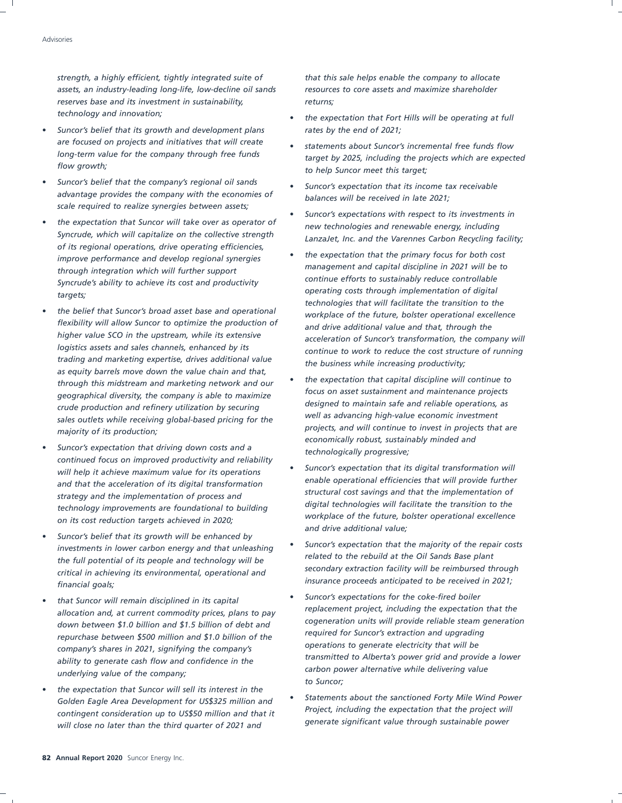*strength, a highly efficient, tightly integrated suite of that this sale helps enable the company to allocate assets, an industry-leading long-life, low-decline oil sands resources to core assets and maximize shareholder* reserves base and its investment in sustainability, many returns;

- *Suncor's belief that its growth and development plans rates by the end of 2021; are focused on projects and initiatives that will create* • *statements about Suncor's incremental free funds flow*
- *Suncor's belief that the company's regional oil sands Suncor's expectation that its income tax receivable advantage provides the company with the economies of balances will be received in late 2021; scale required to realize synergies between assets;*
- *of its regional operations, drive operating efficiencies,* • *the expectation that the primary focus for both cost improve performance and develop regional synergies management and capital discipline in 2021 will be to through integration which will further support Syncrude's ability to achieve its cost and productivity operating costs through implementation of digital targets;*
- *flexibility will allow Suncor to optimize the production of and drive additional value and that, through the trading and marketing expertise, drives additional value the business while increasing productivity; as equity barrels move down the value chain and that,* • *the expectation that capital discipline will continue to through this midstream and marketing network and our focus on asset sustainment and maintenance projects geographical diversity, the company is able to maximize designed to maintain safe and reliable operations, as crude production and refinery utilization by securing well as advancing high-value economic investment sales outlets while receiving global-based pricing for the*
- *Suncor's expectation that driving down costs and a technologically progressive; continued focus on improved productivity and reliability workplace of the future, bolster operational excellence on its cost reduction targets achieved in 2020;*
- *Suncor's belief that its growth will be enhanced by* • *Suncor's expectation that the majority of the repair costs investments in lower carbon energy and that unleashing secondary extraction facility will be reimbursed through critical in achieving its environmental, operational and*
- *cogeneration units will provide reliable steam generation down between \$1.0 billion and \$1.5 billion of debt and required for Suncor's extraction and upgrading repurchase between \$500 million and \$1.0 billion of the* ability to generate cash flow and confidence in the *carbon power alternative while delivering value underlying value of the company;*
- *the expectation that Suncor will sell its interest in the Project, including the expectation that the project will contingent consideration up to US\$50 million and that it generate significant value through sustainable power will close no later than the third quarter of 2021 and*

- *technology and innovation; the expectation that Fort Hills will be operating at full*
- *long-term value for the company through free funds target by 2025, including the projects which are expected flow growth; to help Suncor meet this target;*
	-
- *Suncor's expectations with respect to its investments in* • *the expectation that Suncor will take over as operator of new technologies and renewable energy, including* LanzaJet, Inc. and the Varennes Carbon Recycling facility;
- *technologies that will facilitate the transition to the* • *the belief that Suncor's broad asset base and operational workplace of the future, bolster operational excellence higher value SCO in the upstream, while its extensive acceleration of Suncor's transformation, the company will logistics assets and sales channels, enhanced by its continue to work to reduce the cost structure of running*
- *projects, and will continue to invest in projects that are majority of its production; economically robust, sustainably minded and*
- *Suncor's expectation that its digital transformation will will help it achieve maximum value for its operations* and that the acceleration of its digital transformation<br>
structural cost savings and that the implementation of *structural cost savings and that the implementation of strategy and the implementation of process and digital technologies will facilitate the transition to the technology improvements are foundational to building and drive additional value;*
- *related to the rebuild at the Oil Sands Base plant the full potential of its people and technology will be insurance proceeds anticipated to be received in 2021; financial goals;*
- *Suncor's expectations for the coke-fired boiler that Suncor will remain disciplined in its capital replacement project, including the expectation that the allocation and, at current commodity prices, plans to pay operations to generate electricity that will be company's shares in 2021, signifying the company's to Suncor;*
- *Statements about the sanctioned Forty Mile Wind Power Golden Eagle Area Development for US\$325 million and*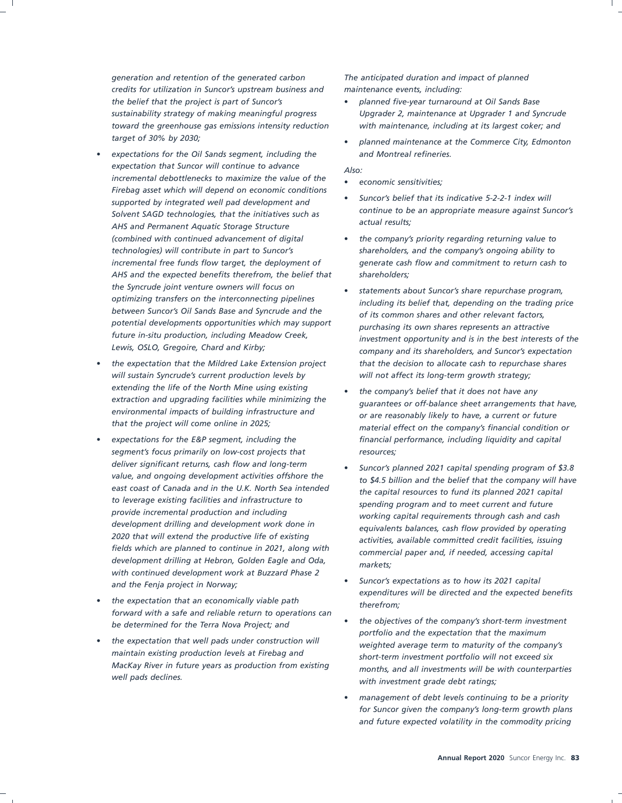*generation and retention of the generated carbon The anticipated duration and impact of planned credits for utilization in Suncor's upstream business and maintenance events, including: the belief that the project is part of Suncor's* • *planned five-year turnaround at Oil Sands Base toward the greenhouse gas emissions intensity reduction with maintenance, including at its largest coker; and target of 30% by 2030;* • *planned maintenance at the Commerce City, Edmonton*

- *expectations for the Oil Sands segment, including the and Montreal refineries. expectation that Suncor will continue to advance Also: incremental debottlenecks to maximize the value of the* • *economic sensitivities; Firebag asset which will depend on economic conditions* • *Suncor's belief that its indicative 5-2-2-1 index will supported by integrated well pad development and continue to be an appropriate measure against SAGD technologies, that the initiatives such as Solvent SAGD technologies, that the initiatives such as actual results*; *actual results; AHS and Permanent Aquatic Storage Structure (combined with continued advancement of digital* • *the company's priority regarding returning value to technologies) will contribute in part to Suncor's shareholders, and the company's ongoing ability to AHS and the expected benefits therefrom, the belief that shareholders; the Syncrude joint venture owners will focus on* • *statements about Suncor's share repurchase program, potential developments opportunities which may support purchasing its own shares represents an attractive*
- *will sustain Syncrude's current production levels by will not affect its long-term growth strategy; extending the life of the North Mine using existing* • *the company's belief that it does not have any environmental impacts of building infrastructure and or are reasonably likely to have, a current or future*
- *segment's focus primarily on low-cost projects that resources; deliver significant returns, cash flow and long-term* • *Suncor's planned 2021 capital spending program of \$3.8 to leverage existing facilities and infrastructure to spending program and to meet current and future provide incremental production and including working capital requirements through cash and cash development drilling at Hebron, Golden Eagle and Oda, markets; with continued development work at Buzzard Phase 2* • *Suncor's expectations as to how its 2021 capital and the Fenja project in Norway;*
- *the expectation that an economically viable path therefrom; forward with a safe and reliable return to operations can* • *the objectives of the company's short-term investment be determined for the Terra Nova Project; and*
- *maintain existing production levels at Firebag and short-term investment portfolio will not exceed six*

- *sustainability strategy of making meaningful progress Upgrader 2, maintenance at Upgrader 1 and Syncrude*
	-

- 
- 
- *incremental free funds flow target, the deployment of generate cash flow and commitment to return cash to*
- *optimizing transfers on the interconnecting pipelines including its belief that, depending on the trading price between Suncor's Oil Sands Base and Syncrude and the of its common shares and other relevant factors, future in-situ production, including Meadow Creek, investment opportunity and is in the best interests of the Lewis, OSLO, Gregoire, Chard and Kirby; company and its shareholders, and Suncor's expectation* • *the expectation that the Mildred Lake Extension project that the decision to allocate cash to repurchase shares*
- *extraction and upgrading facilities while minimizing the guarantees or off-balance sheet arrangements that have, that the project will come online in 2025; material effect on the company's financial condition or* • *expectations for the E&P segment, including the financial performance, including liquidity and capital*
- *value, and ongoing development activities offshore the to \$4.5 billion and the belief that the company will have east coast of Canada and in the U.K. North Sea intended the capital resources to fund its planned 2021 capital development drilling and development work done in equivalents balances, cash flow provided by operating 2020 that will extend the productive life of existing activities, available committed credit facilities, issuing fields which are planned to continue in 2021, along with commercial paper and, if needed, accessing capital*
	- *expenditures will be directed and the expected benefits*
- *portfolio and the expectation that the maximum* • *the expectation that well pads under construction will weighted average term to maturity of the company's MacKay River in future years as production from existing months, and all investments will be with counterparties* with investment grade debt ratings;
	- *management of debt levels continuing to be a priority for Suncor given the company's long-term growth plans and future expected volatility in the commodity pricing*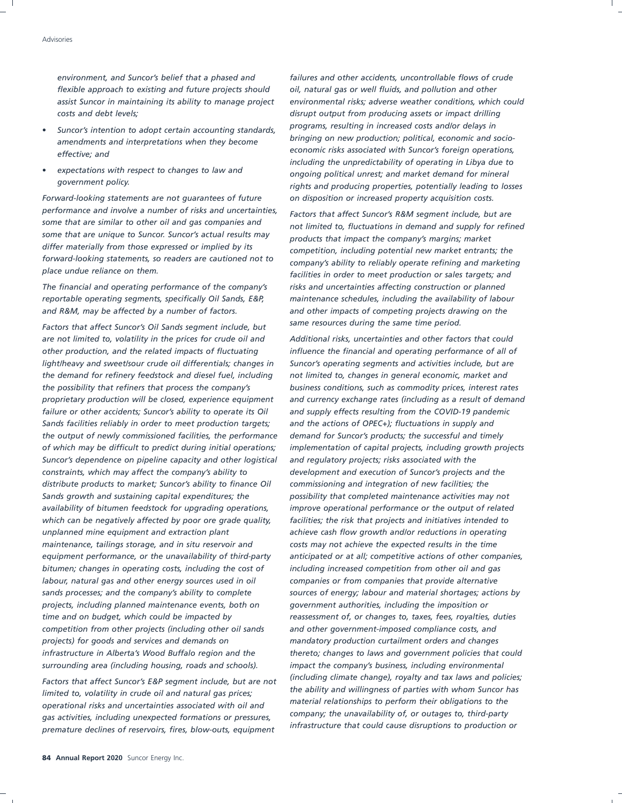environment, and Suncor's belief that a phased and failures and other accidents, uncontrollable flows of crude *flexible approach to existing and future projects should oil, natural gas or well fluids, and pollution and other costs and debt levels; disrupt output from producing assets or impact drilling*

- *bringing on new production; political, economic and socio- amendments and interpretations when they become*
- 

*performance and involve a number of risks and uncertainties, Factors that affect Suncor's R&M segment include, but are some that are similar to other oil and gas companies and not limited to, fluctuations in demand and supply for refined some that are unique to Suncor. Suncor's actual results may products that impact the company's margins; market differ materially from those expressed or implied by its competition, including potential new market entrants; the forward-looking statements, so readers are cautioned not to company's ability to reliably operate refining and marketing*

*and R&M, may be affected by a number of factors. and other impacts of competing projects drawing on the*

*are not limited to, volatility in the prices for crude oil and Additional risks, uncertainties and other factors that could other production, and the related impacts of fluctuating influence the financial and operating performance of all of light/heavy and sweet/sour crude oil differentials; changes in Suncor's operating segments and activities include, but are the demand for refinery feedstock and diesel fuel, including not limited to, changes in general economic, market and the possibility that refiners that process the company's business conditions, such as commodity prices, interest rates failure or other accidents; Suncor's ability to operate its Oil and supply effects resulting from the COVID-19 pandemic Sands facilities reliably in order to meet production targets; and the actions of OPEC+); fluctuations in supply and the output of newly commissioned facilities, the performance demand for Suncor's products; the successful and timely Suncor's dependence on pipeline capacity and other logistical and regulatory projects; risks associated with the constraints, which may affect the company's ability to development and execution of Suncor's projects and the distribute products to market; Suncor's ability to finance Oil commissioning and integration of new facilities; the Sands growth and sustaining capital expenditures; the possibility that completed maintenance activities may not availability of bitumen feedstock for upgrading operations, improve operational performance or the output of related which can be negatively affected by poor ore grade quality, facilities; the risk that projects and initiatives intended to unplanned mine equipment and extraction plant achieve cash flow growth and/or reductions in operating maintenance, tailings storage, and in situ reservoir and costs may not achieve the expected results in the time bitumen; changes in operating costs, including the cost of including increased competition from other oil and gas labour, natural gas and other energy sources used in oil companies or from companies that provide alternative sands processes; and the company's ability to complete sources of energy; labour and material shortages; actions by projects, including planned maintenance events, both on government authorities, including the imposition or time and on budget, which could be impacted by reassessment of, or changes to, taxes, fees, royalties, duties competition from other projects (including other oil sands and other government-imposed compliance costs, and projects) for goods and services and demands on mandatory production curtailment orders and changes surrounding area (including housing, roads and schools). impact the company's business, including environmental*

*the ability and willingness of parties with whom Suncor has limited to, volatility in crude oil and natural gas prices; material relationships to perform their obligations to the operational risks and uncertainties associated with oil and company; the unavailability of, or outages to, third-party gas activities, including unexpected formations or pressures, infrastructure that could cause disruptions to production or premature declines of reservoirs, fires, blow-outs, equipment*

*assist Suncor in maintaining its ability to manage project environmental risks; adverse weather conditions, which could programs, resulting in increased costs and/or delays in* • *Suncor's intention to adopt certain accounting standards, economic risks associated with Suncor's foreign operations, effective; and including the unpredictability of operating in Libya due to* • *expectations with respect to changes to law and ongoing political unrest; and market demand for mineral* rights and producing properties, potentially leading to losses *Forward-looking statements are not guarantees of future on disposition or increased property acquisition costs.*

facilities in order to meet production or sales targets; and *The financial and operating performance of the company's risks and uncertainties affecting construction or planned reportable operating segments, specifically Oil Sands, E&P, maintenance schedules, including the availability of labour same resources during the same time period. Factors that affect Suncor's Oil Sands segment include, but*

*proprietary production will be closed, experience equipment and currency exchange rates (including as a result of demand of which may be difficult to predict during initial operations; implementation of capital projects, including growth projects equipment performance, or the unavailability of third-party anticipated or at all; competitive actions of other companies, infrastructure in Alberta's Wood Buffalo region and the thereto; changes to laws and government policies that could (including climate change), royalty and tax laws and policies; Factors that affect Suncor's E&P segment include, but are not*